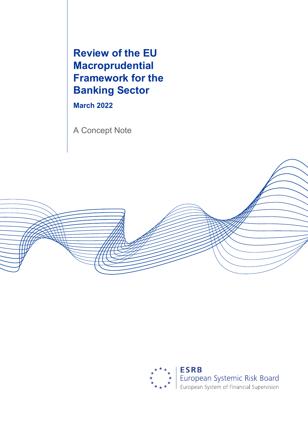**Review of the EU Macroprudential Framework for the Banking Sector**

**March 2022** 

A Concept Note



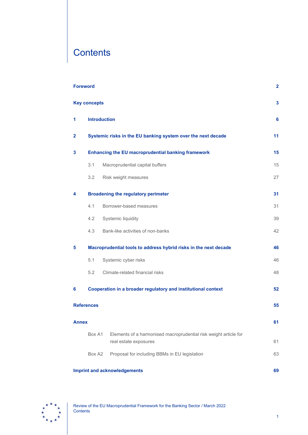# **Contents**

|                   | <b>Foreword</b><br>$\overline{\mathbf{2}}$                       |                                                                                           |    |
|-------------------|------------------------------------------------------------------|-------------------------------------------------------------------------------------------|----|
|                   | <b>Key concepts</b>                                              |                                                                                           | 3  |
| 1                 |                                                                  | <b>Introduction</b>                                                                       | 6  |
| $\mathbf{2}$      | Systemic risks in the EU banking system over the next decade     |                                                                                           | 11 |
| 3                 | <b>Enhancing the EU macroprudential banking framework</b>        |                                                                                           |    |
|                   | 3.1                                                              | Macroprudential capital buffers                                                           | 15 |
|                   | 3.2                                                              | Risk weight measures                                                                      | 27 |
| 4                 |                                                                  | <b>Broadening the regulatory perimeter</b>                                                | 31 |
|                   | 4.1                                                              | Borrower-based measures                                                                   | 31 |
|                   | 4.2                                                              | Systemic liquidity                                                                        | 39 |
|                   | 4.3                                                              | Bank-like activities of non-banks                                                         | 42 |
| 5                 | Macroprudential tools to address hybrid risks in the next decade |                                                                                           | 46 |
|                   | 5.1                                                              | Systemic cyber risks                                                                      | 46 |
|                   | 5.2                                                              | Climate-related financial risks                                                           | 48 |
| 6                 |                                                                  | Cooperation in a broader regulatory and institutional context                             | 52 |
| <b>References</b> |                                                                  |                                                                                           | 55 |
| <b>Annex</b>      |                                                                  |                                                                                           | 61 |
|                   | Box A1                                                           | Elements of a harmonised macroprudential risk weight article for<br>real estate exposures | 61 |
|                   | Box A2                                                           | Proposal for including BBMs in EU legislation                                             | 63 |
|                   |                                                                  | <b>Imprint and acknowledgements</b>                                                       | 69 |

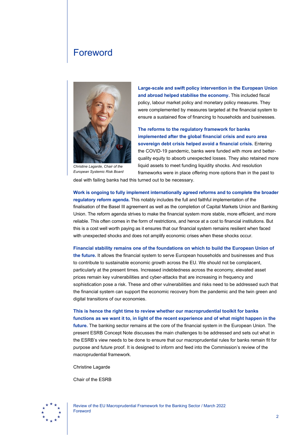# <span id="page-2-0"></span>Foreword



*Christine Lagarde, Chair of the European Systemic Risk Board*

**Large-scale and swift policy intervention in the European Union and abroad helped stabilise the economy.** This included fiscal policy, labour market policy and monetary policy measures. They were complemented by measures targeted at the financial system to ensure a sustained flow of financing to households and businesses.

**The reforms to the regulatory framework for banks implemented after the global financial crisis and euro area sovereign debt crisis helped avoid a financial crisis.** Entering the COVID-19 pandemic, banks were funded with more and betterquality equity to absorb unexpected losses. They also retained more liquid assets to meet funding liquidity shocks. And resolution frameworks were in place offering more options than in the past to

deal with failing banks had this turned out to be necessary.

**Work is ongoing to fully implement internationally agreed reforms and to complete the broader regulatory reform agenda.** This notably includes the full and faithful implementation of the finalisation of the Basel III agreement as well as the completion of Capital Markets Union and Banking Union. The reform agenda strives to make the financial system more stable, more efficient, and more reliable. This often comes in the form of restrictions, and hence at a cost to financial institutions. But this is a cost well worth paying as it ensures that our financial system remains resilient when faced with unexpected shocks and does not amplify economic crises when these shocks occur.

**Financial stability remains one of the foundations on which to build the European Union of the future.** It allows the financial system to serve European households and businesses and thus to contribute to sustainable economic growth across the EU. We should not be complacent, particularly at the present times. Increased indebtedness across the economy, elevated asset prices remain key vulnerabilities and cyber-attacks that are increasing in frequency and sophistication pose a risk. These and other vulnerabilities and risks need to be addressed such that the financial system can support the economic recovery from the pandemic and the twin green and digital transitions of our economies.

**This is hence the right time to review whether our macroprudential toolkit for banks functions as we want it to, in light of the recent experience and of what might happen in the future.** The banking sector remains at the core of the financial system in the European Union. The present ESRB Concept Note discusses the main challenges to be addressed and sets out what in the ESRB's view needs to be done to ensure that our macroprudential rules for banks remain fit for purpose and future proof. It is designed to inform and feed into the Commission's review of the macroprudential framework.

Christine Lagarde

Chair of the ESRB

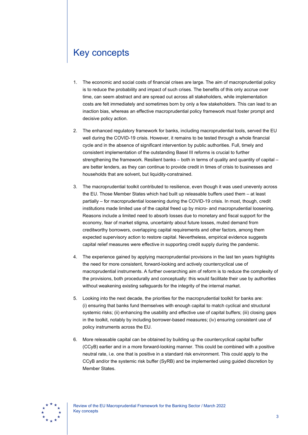# <span id="page-3-0"></span>Key concepts

- 1. The economic and social costs of financial crises are large. The aim of macroprudential policy is to reduce the probability and impact of such crises. The benefits of this only accrue over time, can seem abstract and are spread out across all stakeholders, while implementation costs are felt immediately and sometimes born by only a few stakeholders. This can lead to an inaction bias, whereas an effective macroprudential policy framework must foster prompt and decisive policy action.
- 2. The enhanced regulatory framework for banks, including macroprudential tools, served the EU well during the COVID-19 crisis. However, it remains to be tested through a whole financial cycle and in the absence of significant intervention by public authorities. Full, timely and consistent implementation of the outstanding Basel III reforms is crucial to further strengthening the framework. Resilient banks – both in terms of quality and quantity of capital – are better lenders, as they can continue to provide credit in times of crisis to businesses and households that are solvent, but liquidity-constrained.
- 3. The macroprudential toolkit contributed to resilience, even though it was used unevenly across the EU. Those Member States which had built up releasable buffers used them – at least partially – for macroprudential loosening during the COVID-19 crisis. In most, though, credit institutions made limited use of the capital freed up by micro- and macroprudential loosening. Reasons include a limited need to absorb losses due to monetary and fiscal support for the economy, fear of market stigma, uncertainty about future losses, muted demand from creditworthy borrowers, overlapping capital requirements and other factors, among them expected supervisory action to restore capital. Nevertheless, empirical evidence suggests capital relief measures were effective in supporting credit supply during the pandemic.
- 4. The experience gained by applying macroprudential provisions in the last ten years highlights the need for more consistent, forward-looking and actively countercyclical use of macroprudential instruments. A further overarching aim of reform is to reduce the complexity of the provisions, both procedurally and conceptually: this would facilitate their use by authorities without weakening existing safeguards for the integrity of the internal market.
- 5. Looking into the next decade, the priorities for the macroprudential toolkit for banks are: (i) ensuring that banks fund themselves with enough capital to match cyclical and structural systemic risks; (ii) enhancing the usability and effective use of capital buffers; (iii) closing gaps in the toolkit, notably by including borrower-based measures; (iv) ensuring consistent use of policy instruments across the EU.
- 6. More releasable capital can be obtained by building up the countercyclical capital buffer (CCyB) earlier and in a more forward-looking manner. This could be combined with a positive neutral rate, i.e. one that is positive in a standard risk environment. This could apply to the CCyB and/or the systemic risk buffer (SyRB) and be implemented using guided discretion by Member States.

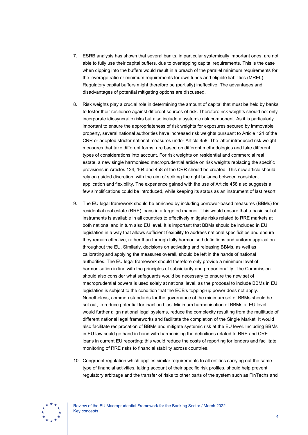- 7. ESRB analysis has shown that several banks, in particular systemically important ones, are not able to fully use their capital buffers, due to overlapping capital requirements. This is the case when dipping into the buffers would result in a breach of the parallel minimum requirements for the leverage ratio or minimum requirements for own funds and eligible liabilities (MREL). Regulatory capital buffers might therefore be (partially) ineffective. The advantages and disadvantages of potential mitigating options are discussed.
- 8. Risk weights play a crucial role in determining the amount of capital that must be held by banks to foster their resilience against different sources of risk. Therefore risk weights should not only incorporate idiosyncratic risks but also include a systemic risk component. As it is particularly important to ensure the appropriateness of risk weights for exposures secured by immovable property, several national authorities have increased risk weights pursuant to Article 124 of the CRR or adopted stricter national measures under Article 458. The latter introduced risk weight measures that take different forms, are based on different methodologies and take different types of considerations into account. For risk weights on residential and commercial real estate, a new single harmonised macroprudential article on risk weights replacing the specific provisions in Articles 124, 164 and 458 of the CRR should be created. This new article should rely on guided discretion, with the aim of striking the right balance between consistent application and flexibility. The experience gained with the use of Article 458 also suggests a few simplifications could be introduced, while keeping its status as an instrument of last resort.
- 9. The EU legal framework should be enriched by including borrower-based measures (BBMs) for residential real estate (RRE) loans in a targeted manner. This would ensure that a basic set of instruments is available in all countries to effectively mitigate risks related to RRE markets at both national and in turn also EU level. It is important that BBMs should be included in EU legislation in a way that allows sufficient flexibility to address national specificities and ensure they remain effective, rather than through fully harmonised definitions and uniform application throughout the EU. Similarly, decisions on activating and releasing BBMs, as well as calibrating and applying the measures overall, should be left in the hands of national authorities. The EU legal framework should therefore only provide a minimum level of harmonisation in line with the principles of subsidiarity and proportionality. The Commission should also consider what safeguards would be necessary to ensure the new set of macroprudential powers is used solely at national level, as the proposal to include BBMs in EU legislation is subject to the condition that the ECB's topping-up power does not apply. Nonetheless, common standards for the governance of the minimum set of BBMs should be set out, to reduce potential for inaction bias. Minimum harmonisation of BBMs at EU level would further align national legal systems, reduce the complexity resulting from the multitude of different national legal frameworks and facilitate the completion of the Single Market. It would also facilitate reciprocation of BBMs and mitigate systemic risk at the EU level. Including BBMs in EU law could go hand in hand with harmonising the definitions related to RRE and CRE loans in current EU reporting; this would reduce the costs of reporting for lenders and facilitate monitoring of RRE risks to financial stability across countries.
- 10. Congruent regulation which applies similar requirements to all entities carrying out the same type of financial activities, taking account of their specific risk profiles, should help prevent regulatory arbitrage and the transfer of risks to other parts of the system such as FinTechs and

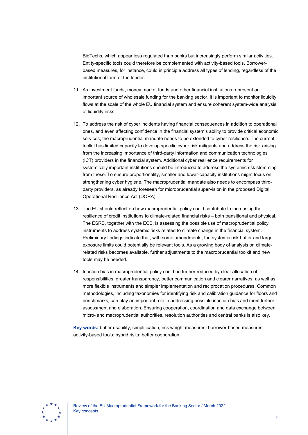BigTechs, which appear less regulated than banks but increasingly perform similar activities. Entity-specific tools could therefore be complemented with activity-based tools. Borrowerbased measures, for instance, could in principle address all types of lending, regardless of the institutional form of the lender.

- 11. As investment funds, money market funds and other financial institutions represent an important source of wholesale funding for the banking sector, it is important to monitor liquidity flows at the scale of the whole EU financial system and ensure coherent system-wide analysis of liquidity risks.
- 12. To address the risk of cyber incidents having financial consequences in addition to operational ones, and even affecting confidence in the financial system's ability to provide critical economic services, the macroprudential mandate needs to be extended to cyber resilience. The current toolkit has limited capacity to develop specific cyber risk mitigants and address the risk arising from the increasing importance of third-party information and communication technologies (ICT) providers in the financial system. Additional cyber resilience requirements for systemically important institutions should be introduced to address the systemic risk stemming from these. To ensure proportionality, smaller and lower-capacity institutions might focus on strengthening cyber hygiene. The macroprudential mandate also needs to encompass thirdparty providers, as already foreseen for microprudential supervision in the proposed Digital Operational Resilience Act (DORA).
- 13. The EU should reflect on how macroprudential policy could contribute to increasing the resilience of credit institutions to climate-related financial risks – both transitional and physical. The ESRB, together with the ECB, is assessing the possible use of macroprudential policy instruments to address systemic risks related to climate change in the financial system. Preliminary findings indicate that, with some amendments, the systemic risk buffer and large exposure limits could potentially be relevant tools. As a growing body of analysis on climaterelated risks becomes available, further adjustments to the macroprudential toolkit and new tools may be needed.
- 14. Inaction bias in macroprudential policy could be further reduced by clear allocation of responsibilities, greater transparency, better communication and clearer narratives, as well as more flexible instruments and simpler implementation and reciprocation procedures. Common methodologies, including taxonomies for identifying risk and calibration guidance for floors and benchmarks, can play an important role in addressing possible inaction bias and merit further assessment and elaboration. Ensuring cooperation, coordination and data exchange between micro- and macroprudential authorities, resolution authorities and central banks is also key.

**Key words:** buffer usability; simplification, risk weight measures, borrower-based measures; activity-based tools; hybrid risks; better cooperation.

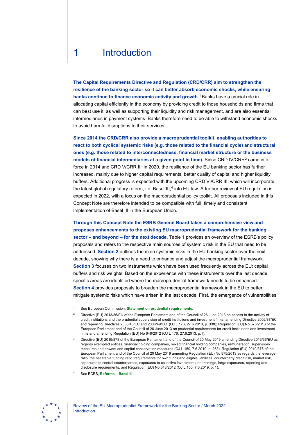# <span id="page-6-0"></span>1 Introduction

**The Capital Requirements Directive and Regulation (CRD/CRR) aim to strengthen the resilience of the banking sector so it can better absorb economic shocks, while ensuring banks continue to finance economic activity and growth.**[1](#page-6-1) Banks have a crucial role in allocating capital efficiently in the economy by providing credit to those households and firms that can best use it, as well as supporting their liquidity and risk management, and are also essential intermediaries in payment systems. Banks therefore need to be able to withstand economic shocks to avoid harmful disruptions to their services.

**Since 2014 the CRD/CRR also provide a macroprudential toolkit, enabling authorities to react to both cyclical systemic risks (e.g. those related to the financial cycle) and structural ones (e.g. those related to interconnectedness, financial market structure or the business models of financial intermediaries at a given point in time).** Since CRD IV/CRR<sup>[2](#page-6-2)</sup> came into force in 2014 and CRD V/CRR II<sup>[3](#page-6-3)</sup> in 2020, the resilience of the EU banking sector has further increased, mainly due to higher capital requirements, better quality of capital and higher liquidity buffers. Additional progress is expected with the upcoming CRD VI/CRR III, which will incorporate the latest global regulatory reform, i.e. Basel III,<sup>[4](#page-6-4)</sup> into EU law. A further review of EU regulation is expected in 2022, with a focus on the macroprudential policy toolkit. All proposals included in this Concept Note are therefore intended to be compatible with full, timely and consistent implementation of Basel III in the European Union.

**Through this Concept Note the ESRB General Board takes a comprehensive view and proposes enhancements to the existing EU macroprudential framework for the banking sector – and beyond – for the next decade.** Table 1 provides an overview of the ESRB's policy proposals and refers to the respective main sources of systemic risk in the EU that need to be addressed. **Section 2** outlines the main systemic risks in the EU banking sector over the next decade, showing why there is a need to enhance and adjust the macroprudential framework. **Section 3** focuses on two instruments which have been used frequently across the EU: capital buffers and risk weights. Based on the experience with these instruments over the last decade, specific areas are identified where the macroprudential framework needs to be enhanced. **Section 4** provides proposals to broaden the macroprudential framework in the EU to better mitigate systemic risks which have arisen in the last decade. First, the emergence of vulnerabilities

<span id="page-6-4"></span>

<span id="page-6-2"></span><span id="page-6-1"></span><sup>1</sup> See European Commission, **[Statement on prudential requirements](https://ec.europa.eu/info/business-economy-euro/banking-and-finance/financial-supervision-and-risk-management/managing-risks-banks-and-financial-institutions/prudential-requirements_en)**.

<sup>2</sup> Directive (EU) 2013/36/EU of the European Parliament and of the Council of 26 June 2013 on access to the activity of credit institutions and the prudential supervision of credit institutions and investment firms, amending Directive 2002/87/EC and repealing Directives 2006/48/EC and 2006/49/EC (OJ L 176, 27.6.2013, p. 338); Regulation (EU) No 575/2013 of the European Parliament and of the Council of 26 June 2013 on prudential requirements for credit institutions and investment firms and amending Regulation (EU) No 648/2012 (OJ L 176, 27.6.2013, p.1).

<span id="page-6-3"></span><sup>3</sup> Directive (EU) 2019/878 of the European Parliament and of the Council of 20 May 2019 amending Directive 2013/36/EU as regards exempted entities, financial holding companies, mixed financial holding companies, remuneration, supervisory measures and powers and capital conservation measures (OJ L 150, 7.6.2019, p. 253); Regulation (EU) 2019/876 of the European Parliament and of the Council of 20 May 2019 amending Regulation (EU) No 575/2013 as regards the leverage ratio, the net stable funding ratio, requirements for own funds and eligible liabilities, counterparty credit risk, market risk, exposures to central counterparties, exposures to collective investment undertakings, large exposures, reporting and disclosure requirements, and Regulation (EU) No 648/2012 (OJ L 150, 7.6.2019, p. 1).

<sup>4</sup> See BCBS, **[Reforms – Basel III](https://www.bis.org/bcbs/basel3/b3_bank_sup_reforms.pdf)**.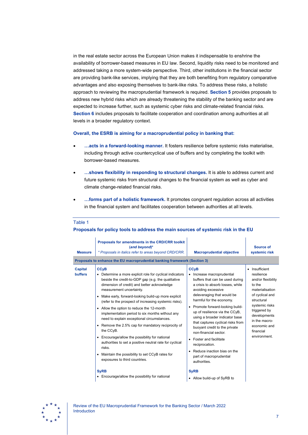in the real estate sector across the European Union makes it indispensable to enshrine the availability of borrower-based measures in EU law. Second, liquidity risks need to be monitored and addressed taking a more system-wide perspective. Third, other institutions in the financial sector are providing bank-like services, implying that they are both benefiting from regulatory comparative advantages and also exposing themselves to bank-like risks. To address these risks, a holistic approach to reviewing the macroprudential framework is required. **Section 5** provides proposals to address new hybrid risks which are already threatening the stability of the banking sector and are expected to increase further, such as systemic cyber risks and climate-related financial risks. **Section 6** includes proposals to facilitate cooperation and coordination among authorities at all levels in a broader regulatory context.

### **Overall, the ESRB is aiming for a macroprudential policy in banking that:**

- **…acts in a forward-looking manner.** It fosters resilience before systemic risks materialise, including through active countercyclical use of buffers and by completing the toolkit with borrower-based measures.
- **…shows flexibility in responding to structural changes.** It is able to address current and future systemic risks from structural changes to the financial system as well as cyber and climate change-related financial risks.
- **…forms part of a holistic framework.** It promotes congruent regulation across all activities in the financial system and facilitates cooperation between authorities at all levels.

| Proposals for amendments in the CRD/CRR toolkit<br>(and beyond)*<br>* Proposals in italics refer to areas beyond CRD/CRR.<br><b>Measure</b><br>Proposals to enhance the EU macroprudential banking framework (Section 3)                                                                                                                                                                                                                                                                                                                                                                                                                                                                                                                                                                                                                                                                              | <b>Macroprudential objective</b>                                                                                                                                                                                                                                                                                                                                                                                                                                                                                                                                                          | Source of<br>systemic risk                                                                                                                                                                                                       |
|-------------------------------------------------------------------------------------------------------------------------------------------------------------------------------------------------------------------------------------------------------------------------------------------------------------------------------------------------------------------------------------------------------------------------------------------------------------------------------------------------------------------------------------------------------------------------------------------------------------------------------------------------------------------------------------------------------------------------------------------------------------------------------------------------------------------------------------------------------------------------------------------------------|-------------------------------------------------------------------------------------------------------------------------------------------------------------------------------------------------------------------------------------------------------------------------------------------------------------------------------------------------------------------------------------------------------------------------------------------------------------------------------------------------------------------------------------------------------------------------------------------|----------------------------------------------------------------------------------------------------------------------------------------------------------------------------------------------------------------------------------|
| <b>CC<sub>V</sub>B</b><br><b>Capital</b><br><b>buffers</b><br>• Determine a more explicit role for cyclical indicators<br>beside the credit-to-GDP gap (e.g. the qualitative<br>dimension of credit) and better acknowledge<br>measurement uncertainty.<br>Make early, forward-looking build-up more explicit<br>$\bullet$<br>(refer to the prospect of increasing systemic risks).<br>• Allow the option to reduce the 12-month<br>implementation period to six months without any<br>need to explain exceptional circumstances.<br>Remove the 2.5% cap for mandatory reciprocity of<br>the CCyB.<br>Encourage/allow the possibility for national<br>$\bullet$<br>authorities to set a positive neutral rate for cyclical<br>risks.<br>Maintain the possibility to set CCyB rates for<br>$\bullet$<br>exposures to third countries.<br><b>SyRB</b><br>• Encourage/allow the possibility for national | <b>CC<sub>V</sub>B</b><br>• Increase macroprudential<br>buffers that can be used during<br>a crisis to absorb losses, while<br>avoiding excessive<br>deleveraging that would be<br>harmful for the economy.<br>• Promote forward-looking build-<br>up of resilience via the CCyB,<br>using a broader indicator base<br>that captures cyclical risks from<br>buoyant credit to the private<br>non-financial sector.<br>• Foster and facilitate<br>reciprocation.<br>• Reduce inaction bias on the<br>part of macroprudential<br>authorities.<br><b>SyRB</b><br>• Allow build-up of SyRB to | • Insufficient<br>resilience<br>and/or flexibility<br>to the<br>materialisation<br>of cyclical and<br>structural<br>systemic risks<br>triggered by<br>developments<br>in the macro-<br>economic and<br>financial<br>environment. |

### Table 1

### **Proposals for policy tools to address the main sources of systemic risk in the EU**

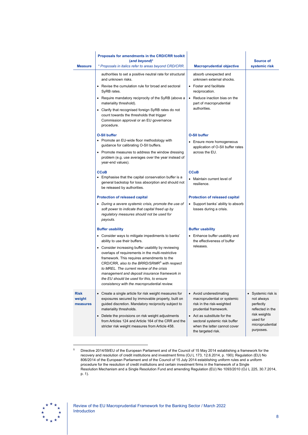| <b>Measure</b>                    | Proposals for amendments in the CRD/CRR toolkit<br>(and beyond)*<br>* Proposals in italics refer to areas beyond CRD/CRR.                                                                                                                                                                                                                                                                                     | <b>Macroprudential objective</b>                                                                                   | Source of<br>systemic risk                                                   |
|-----------------------------------|---------------------------------------------------------------------------------------------------------------------------------------------------------------------------------------------------------------------------------------------------------------------------------------------------------------------------------------------------------------------------------------------------------------|--------------------------------------------------------------------------------------------------------------------|------------------------------------------------------------------------------|
|                                   | authorities to set a positive neutral rate for structural<br>and unknown risks.                                                                                                                                                                                                                                                                                                                               | absorb unexpected and<br>unknown external shocks.                                                                  |                                                                              |
|                                   | • Revise the cumulation rule for broad and sectoral<br>SyRB rates.                                                                                                                                                                                                                                                                                                                                            | • Foster and facilitate<br>reciprocation.                                                                          |                                                                              |
|                                   | • Require mandatory reciprocity of the SyRB (above a<br>materiality threshold).                                                                                                                                                                                                                                                                                                                               | • Reduce inaction bias on the<br>part of macroprudential                                                           |                                                                              |
|                                   | authorities.<br>• Clarify that recognised foreign SyRB rates do not<br>count towards the thresholds that trigger<br>Commission approval or an EU governance<br>procedure.                                                                                                                                                                                                                                     |                                                                                                                    |                                                                              |
|                                   | <b>O-SII buffer</b>                                                                                                                                                                                                                                                                                                                                                                                           | <b>O-SII buffer</b>                                                                                                |                                                                              |
|                                   | • Promote an EU-wide floor methodology with<br>guidance for calibrating O-SII buffers.                                                                                                                                                                                                                                                                                                                        | • Ensure more homogeneous<br>application of O-SII buffer rates                                                     |                                                                              |
|                                   | • Promote measures to address the window dressing<br>problem (e.g. use averages over the year instead of<br>year-end values).                                                                                                                                                                                                                                                                                 | across the EU.                                                                                                     |                                                                              |
|                                   | <b>CCoB</b>                                                                                                                                                                                                                                                                                                                                                                                                   | <b>CCoB</b>                                                                                                        |                                                                              |
|                                   | • Emphasise that the capital conservation buffer is a<br>general backstop for loss absorption and should not<br>be released by authorities.                                                                                                                                                                                                                                                                   | • Maintain current level of<br>resilience.                                                                         |                                                                              |
|                                   | <b>Protection of released capital</b>                                                                                                                                                                                                                                                                                                                                                                         | <b>Protection of released capital</b>                                                                              |                                                                              |
|                                   | • During a severe systemic crisis, promote the use of<br>soft power to indicate that capital freed up by<br>regulatory measures should not be used for<br>payouts.                                                                                                                                                                                                                                            | • Support banks' ability to absorb<br>losses during a crisis.                                                      |                                                                              |
|                                   | <b>Buffer usability</b>                                                                                                                                                                                                                                                                                                                                                                                       | <b>Buffer usability</b>                                                                                            |                                                                              |
|                                   | • Consider ways to mitigate impediments to banks'<br>ability to use their buffers.                                                                                                                                                                                                                                                                                                                            | • Enhance buffer usability and<br>the effectiveness of buffer<br>releases.                                         |                                                                              |
|                                   | • Consider increasing buffer usability by reviewing<br>overlaps of requirements in the multi-restrictive<br>framework. This requires amendments to the<br>CRD/CRR, also to the BRRD/SRMR <sup>5</sup> with respect<br>to MREL. The current review of the crisis<br>management and deposit insurance framework in<br>the EU should be used for this, to ensure<br>consistency with the macroprudential review. |                                                                                                                    |                                                                              |
| <b>Risk</b><br>weight<br>measures | Create a single article for risk weight measures for<br>٠<br>exposures secured by immovable property, built on<br>guided discretion. Mandatory reciprocity subject to<br>materiality thresholds.                                                                                                                                                                                                              | • Avoid underestimating<br>macroprudential or systemic<br>risk in the risk-weighted<br>prudential framework.       | Systemic risk is<br>$\bullet$<br>not always<br>perfectly<br>reflected in the |
|                                   | Delete the provisions on risk weight adjustments<br>$\bullet$<br>from Articles 124 and Article 164 of the CRR and the<br>stricter risk weight measures from Article 458.                                                                                                                                                                                                                                      | • Act as substitute for the<br>sectoral systemic risk buffer<br>when the latter cannot cover<br>the targeted risk. | risk weights<br>used for<br>microprudential<br>purposes.                     |

<sup>5</sup> Directive 2014/59/EU of the European Parliament and of the Council of 15 May 2014 establishing a framework for the recovery and resolution of credit institutions and investment firms (OJ L 173, 12.6.2014, p. 190); Regulation (EU) No 806/2014 of the European Parliament and of the Council of 15 July 2014 establishing uniform rules and a uniform procedure for the resolution of credit institutions and certain investment firms in the framework of a Single Resolution Mechanism and a Single Resolution Fund and amending Regulation (EU) No 1093/2010 (OJ L 225, 30.7.2014, p. 1).

<span id="page-8-0"></span>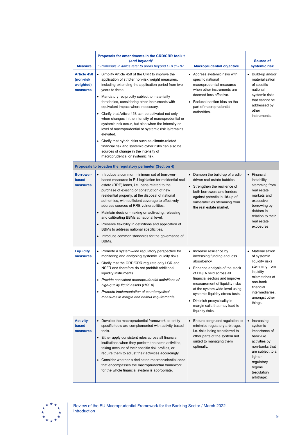| <b>Measure</b><br>Article 458<br>(non-risk<br>weighted)<br>measures | Proposals for amendments in the CRD/CRR toolkit<br>$(and beyond)*$<br>* Proposals in italics refer to areas beyond CRD/CRR.<br>• Simplify Article 458 of the CRR to improve the<br>application of stricter non-risk weight measures,<br>including extending the application period from two<br>years to three.<br>• Mandatory reciprocity subject to materiality<br>thresholds, considering other instruments with<br>equivalent impact where necessary.<br>• Clarify that Article 458 can be activated not only<br>when changes in the intensity of macroprudential or<br>systemic risk occur, but also when the intensity or<br>level of macroprudential or systemic risk is/remains<br>elevated.<br>• Clarify that hybrid risks such as climate-related<br>financial risk and systemic cyber risks can also be | <b>Macroprudential objective</b><br>• Address systemic risks with<br>specific national<br>macroprudential measures<br>when other instruments are<br>deemed less effective.<br>• Reduce inaction bias on the<br>part of macroprudential<br>authorities.                                                                                                             | <b>Source of</b><br>systemic risk<br>• Build-up and/or<br>materialisation<br>of specific<br>national<br>systemic risks<br>that cannot be<br>addressed by<br>other<br>instruments. |
|---------------------------------------------------------------------|-------------------------------------------------------------------------------------------------------------------------------------------------------------------------------------------------------------------------------------------------------------------------------------------------------------------------------------------------------------------------------------------------------------------------------------------------------------------------------------------------------------------------------------------------------------------------------------------------------------------------------------------------------------------------------------------------------------------------------------------------------------------------------------------------------------------|--------------------------------------------------------------------------------------------------------------------------------------------------------------------------------------------------------------------------------------------------------------------------------------------------------------------------------------------------------------------|-----------------------------------------------------------------------------------------------------------------------------------------------------------------------------------|
|                                                                     | sources of change in the intensity of<br>macroprudential or systemic risk.                                                                                                                                                                                                                                                                                                                                                                                                                                                                                                                                                                                                                                                                                                                                        |                                                                                                                                                                                                                                                                                                                                                                    |                                                                                                                                                                                   |
|                                                                     | Proposals to broaden the regulatory perimeter (Section 4)                                                                                                                                                                                                                                                                                                                                                                                                                                                                                                                                                                                                                                                                                                                                                         |                                                                                                                                                                                                                                                                                                                                                                    |                                                                                                                                                                                   |
| <b>Borrower-</b><br>based<br>measures                               | • Introduce a common minimum set of borrower-<br>based measures in EU legislation for residential real<br>estate (RRE) loans, i.e. loans related to the<br>purchase of existing or construction of new<br>residential property, at the disposal of national<br>authorities, with sufficient coverage to effectively<br>address sources of RRE vulnerabilities.<br>• Maintain decision-making on activating, releasing<br>and calibrating BBMs at national level.<br>• Preserve flexibility in definitions and application of<br>BBMs to address national specificities.<br>• Introduce common standards for the governance of<br>BBMs.                                                                                                                                                                            | • Dampen the build-up of credit-<br>driven real estate bubbles.<br>• Strengthen the resilience of<br>both borrowers and lenders<br>against potential build-up of<br>vulnerabilities stemming from<br>the real estate market.                                                                                                                                       | • Financial<br>instability<br>stemming from<br>real estate<br>markets and<br>excessive<br>borrowing by<br>debtors in<br>relation to their<br>real estate<br>exposures.            |
| <b>Liquidity</b><br>measures                                        | • Promote a system-wide regulatory perspective for<br>monitoring and analysing systemic liquidity risks.<br>• Clarify that the CRD/CRR regulate only LCR and<br>NSFR and therefore do not prohibit additional<br>liquidity instruments.<br>• Provide consistent macroprudential definitions of<br>high-quality liquid assets (HQLA).<br>• Promote implementation of countercyclical<br>measures in margin and haircut requirements.                                                                                                                                                                                                                                                                                                                                                                               | • Increase resilience by<br>increasing funding and loss<br>absorbency.<br>• Enhance analysis of the stock<br>of HQLA held across all<br>financial sectors and improve<br>measurement of liquidity risks<br>at the system-wide level using<br>systemic liquidity stress tests.<br>• Diminish procyclicality in<br>margin calls that may lead to<br>liquidity risks. | • Materialisation<br>of systemic<br>liquidity risks<br>stemming from<br>liquidity<br>mismatches at<br>non-bank<br>financial<br>intermediaries,<br>amongst other<br>things.        |
| <b>Activity-</b><br>based<br>measures                               | • Develop the macroprudential framework so entity-<br>specific tools are complemented with activity-based<br>tools.<br>• Either apply consistent rules across all financial<br>institutions when they perform the same activities,<br>taking account of their specific risk profiles, or<br>require them to adjust their activities accordingly.<br>• Consider whether a dedicated macroprudential code<br>that encompasses the macroprudential framework<br>for the whole financial system is appropriate.                                                                                                                                                                                                                                                                                                       | • Ensure congruent regulation to<br>minimise regulatory arbitrage,<br>i.e. risks being transferred to<br>other parts of the system not<br>suited to managing them<br>optimally.                                                                                                                                                                                    | • Increasing<br>systemic<br>importance of<br>bank-like<br>activities by<br>non-banks that<br>are subject to a<br>lighter<br>regulatory<br>regime<br>(regulatory<br>arbitrage).    |

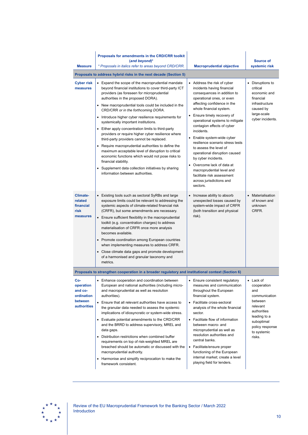| <b>Measure</b>                                                             | Proposals for amendments in the CRD/CRR toolkit<br>(and beyond)*<br>* Proposals in italics refer to areas beyond CRD/CRR.                                                                                                                                                                                                                                                                                                                                                                                                                                                                                                                                                                                                                                                                                                                 | <b>Macroprudential objective</b>                                                                                                                                                                                                                                                                                                                                                                                                                                                                                                                                                   | <b>Source of</b><br>systemic risk                                                                                                                              |
|----------------------------------------------------------------------------|-------------------------------------------------------------------------------------------------------------------------------------------------------------------------------------------------------------------------------------------------------------------------------------------------------------------------------------------------------------------------------------------------------------------------------------------------------------------------------------------------------------------------------------------------------------------------------------------------------------------------------------------------------------------------------------------------------------------------------------------------------------------------------------------------------------------------------------------|------------------------------------------------------------------------------------------------------------------------------------------------------------------------------------------------------------------------------------------------------------------------------------------------------------------------------------------------------------------------------------------------------------------------------------------------------------------------------------------------------------------------------------------------------------------------------------|----------------------------------------------------------------------------------------------------------------------------------------------------------------|
|                                                                            | Proposals to address hybrid risks in the next decade (Section 5)                                                                                                                                                                                                                                                                                                                                                                                                                                                                                                                                                                                                                                                                                                                                                                          |                                                                                                                                                                                                                                                                                                                                                                                                                                                                                                                                                                                    |                                                                                                                                                                |
| <b>Cyber risk</b><br>measures                                              | Expand the scope of the macroprudential mandate<br>beyond financial institutions to cover third-party ICT<br>providers (as foreseen for microprudential<br>authorities in the proposed DORA).<br>• New macroprudential tools could be included in the<br>CRD/CRR or in the forthcoming DORA.<br>• Introduce higher cyber resilience requirements for<br>systemically important institutions.<br>• Either apply concentration limits to third-party<br>providers or require higher cyber resilience where<br>third-party providers cannot be replaced.<br>• Require macroprudential authorities to define the<br>maximum acceptable level of disruption to critical<br>economic functions which would not pose risks to<br>financial stability.<br>• Supplement data collection initiatives by sharing<br>information between authorities. | • Address the risk of cyber<br>incidents having financial<br>consequences in addition to<br>operational ones, or even<br>affecting confidence in the<br>whole financial system.<br>• Ensure timely recovery of<br>operational systems to mitigate<br>contagion effects of cyber<br>incidents.<br>• Enable system-wide cyber<br>resilience scenario stress tests<br>to assess the level of<br>operational disruption caused<br>by cyber incidents.<br>• Overcome lack of data at<br>macroprudential level and<br>facilitate risk assessment<br>across jurisdictions and<br>sectors. | Disruptions to<br>$\bullet$<br>critical<br>economic and<br>financial<br>infrastructure<br>caused by<br>large-scale<br>cyber incidents.                         |
| Climate-<br>related<br>financial<br>risk<br>measures                       | • Existing tools such as sectoral SyRBs and large<br>exposure limits could be relevant to addressing the<br>systemic aspects of climate-related financial risk<br>(CRFR), but some amendments are necessary.<br>• Ensure sufficient flexibility in the macroprudential<br>toolkit (e.g. concentration charges) to address<br>materialisation of CRFR once more analysis<br>becomes available.<br>• Promote coordination among European countries<br>when implementing measures to address CRFR.<br>• Close climate data gaps and promote development<br>of a harmonised and granular taxonomy and<br>metrics.                                                                                                                                                                                                                             | • Increase ability to absorb<br>unexpected losses caused by<br>system-wide impact of CRFR<br>(both transition and physical<br>risk).                                                                                                                                                                                                                                                                                                                                                                                                                                               | $\bullet$<br>Materialisation<br>of known and<br>unknown<br>CRFR.                                                                                               |
|                                                                            | Proposals to strengthen cooperation in a broader regulatory and institutional context (Section 6)                                                                                                                                                                                                                                                                                                                                                                                                                                                                                                                                                                                                                                                                                                                                         |                                                                                                                                                                                                                                                                                                                                                                                                                                                                                                                                                                                    |                                                                                                                                                                |
| Co-<br>operation<br>and co-<br>ordination<br>between<br><b>authorities</b> | Enhance cooperation and coordination between<br>European and national authorities (including micro-<br>and macroprudential as well as resolution<br>authorities).<br>• Ensure that all relevant authorities have access to<br>the granular data needed to assess the systemic<br>implications of idiosyncratic or system-wide stress.<br>• Evaluate potential amendments to the CRD/CRR<br>and the BRRD to address supervisory, MREL and<br>data gaps.<br>Distribution restrictions when combined buffer<br>requirements on top of risk-weighted MREL are<br>breached should be automatic or discussed with the<br>macroprudential authority.<br>Harmonise and simplify reciprocation to make the<br>framework consistent.                                                                                                                | Ensure consistent regulatory<br>measures and communication<br>throughout the European<br>financial system.<br>• Facilitate cross-sectoral<br>analysis of the whole financial<br>sector.<br>• Facilitate flow of information<br>between macro- and<br>microprudential as well as<br>resolution authorities and<br>central banks.<br>• Facilitate/ensure proper<br>functioning of the European<br>internal market; create a level<br>playing field for lenders.                                                                                                                      | Lack of<br>cooperation<br>and<br>communication<br>between<br>relevant<br>authorities<br>leading to a<br>suboptimal<br>policy response<br>to systemic<br>risks. |

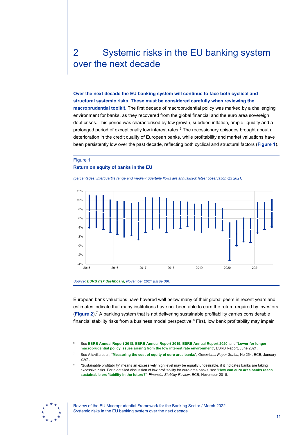# <span id="page-11-0"></span>2 Systemic risks in the EU banking system over the next decade

**Over the next decade the EU banking system will continue to face both cyclical and structural systemic risks. These must be considered carefully when reviewing the macroprudential toolkit.** The first decade of macroprudential policy was marked by a challenging environment for banks, as they recovered from the global financial and the euro area sovereign debt crises. This period was characterised by low growth, subdued inflation, ample liquidity and a prolonged period of exceptionally low interest rates.<sup>[6](#page-11-2)</sup> The recessionary episodes brought about a deterioration in the credit quality of European banks, while profitability and market valuations have been persistently low over the past decade, reflecting both cyclical and structural factors (**[Figure 1](#page-11-1)**).

### <span id="page-11-1"></span>Figure 1

#### **Return on equity of banks in the EU**

*(percentages; interquartile range and median; quarterly flows are annualised; latest observation Q3 2021)*





European bank valuations have hovered well below many of their global peers in recent years and estimates indicate that many institutions have not been able to earn the return required by investors (**[Figure 2](#page-12-0)**).[7](#page-11-3) A banking system that is not delivering sustainable profitability carries considerable financial stability risks from a business model perspective.<sup>[8](#page-11-4)</sup> First, low bank profitability may impair

<span id="page-11-4"></span><span id="page-11-3"></span><span id="page-11-2"></span>

<sup>6</sup> See **[ESRB Annual Report](https://www.esrb.europa.eu/pub/pdf/ar/2019/esrb.ar2018%7Ed69ff774ac.en.pdf) 2018**; **[ESRB Annual Report](https://www.esrb.europa.eu/pub/pdf/ar/2020/esrb.ar2019%7E03c9997400.en.pdf) 2019**; **[ESRB Annual Report](https://www.esrb.europa.eu/pub/pdf/ar/2021/esrb.ar2020%7Ef20842b253.en.pdf) 2020**; and "**[Lower for longer –](https://www.esrb.europa.eu/pub/pdf/reports/esrb.reports210601_low_interest_rate%7E199fb84437.en.pdf)  [macroprudential policy issues arising from the low interest rate environment](https://www.esrb.europa.eu/pub/pdf/reports/esrb.reports210601_low_interest_rate%7E199fb84437.en.pdf)**", ESRB Report, June 2021.

<sup>7</sup> See Altavilla et al., "**[Measuring the cost of equity of euro area banks](https://www.ecb.europa.eu/pub/pdf/scpops/ecb.op254%7E664ed99e11.en.pdf)**", *Occasional Paper Series*, No 254, ECB, January 2021.

<sup>8 &</sup>quot;Sustainable profitability" means an excessively high level may be equally undesirable, if it indicates banks are taking excessive risks. For a detailed discussion of low profitability for euro area banks, see "**[How can euro area banks reach](https://www.ecb.europa.eu/pub/financial-stability/fsr/special/html/ecb.fsrart201811_1.en.html)  [sustainable profitability in the future?](https://www.ecb.europa.eu/pub/financial-stability/fsr/special/html/ecb.fsrart201811_1.en.html)**", *Financial Stability Review*, ECB, November 2018.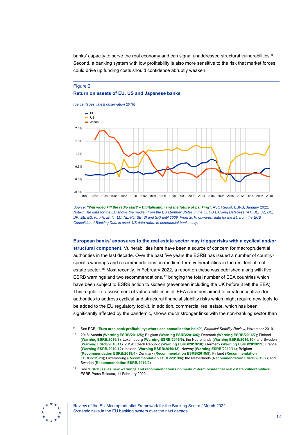banks' capacity to serve the real economy and can signal unaddressed structural vulnerabilities.<sup>[9](#page-12-1)</sup> Second, a banking system with low profitability is also more sensitive to the risk that market forces could drive up funding costs should confidence abruptly weaken.

### <span id="page-12-0"></span>Figure 2 **Return on assets of EU, US and Japanese banks**

*(percentages, latest observation 2018)*



*Source: ["Will video kill the radio star? – Digitalisation and the future of banking",](https://www.esrb.europa.eu/pub/pdf/asc/esrb.ascreport202201_digitalisationandthefutureofbanking%7E83f079b5c7.en.pdf)* ASC Report, ESRB, January 2022. *Notes: The data for the EU shows the median from the EU Member States in the OECD Banking Database (AT, BE, CZ, DE, DK, EE, ES, FI, FR, IE, IT, LU, NL, PL, SE, SI and SK) until 2009. From 2010 onwards, data for the EU from the ECB Consolidated Banking Data is used. US data refers to commercial banks only.*

**European banks' exposures to the real estate sector may trigger risks with a cyclical and/or structural component.** Vulnerabilities here have been a source of concern for macroprudential authorities in the last decade. Over the past five years the ESRB has issued a number of countryspecific warnings and recommendations on medium-term vulnerabilities in the residential real estate sector.<sup>[10](#page-12-2)</sup> Most recently, in February 2022, a report on these was published along with five ESRB warnings and two recommendations,<sup>[11](#page-12-3)</sup> bringing the total number of EEA countries which have been subject to ESRB action to sixteen (seventeen including the UK before it left the EEA). This regular re-assessment of vulnerabilities in all EEA countries aimed to create incentives for authorities to address cyclical and structural financial stability risks which might require new tools to be added to the EU regulatory toolkit. In addition, commercial real estate, which has been significantly affected by the pandemic, shows much stronger links with the non-banking sector than

<span id="page-12-3"></span>

Review of the EU Macroprudential Framework for the Banking Sector / March 2022 Systemic risks in the EU banking system over the next decade

<span id="page-12-2"></span><span id="page-12-1"></span><sup>9</sup> See ECB, "**[Euro area bank profitability: where can consolidation help?](https://www.ecb.europa.eu/pub/financial-stability/fsr/special/html/ecb.fsrart201911_01%7E81377050be.en.html)**", *Financial Stability Review*, November 2019.

<sup>10</sup> 2016: Austria (**[Warning ESRB/2016/5](https://www.esrb.europa.eu/pub/pdf/warnings/161128_ESRB_AT_warning.en.pdf?4109281b4473186e7e01e281fb83a9f6)**); Belgium (**[Warning ESRB/2016/6](https://www.esrb.europa.eu/pub/pdf/warnings/161128_ESRB_BE_warning.en.pdf?51801db43737e54f262d11187eb5a5d0)**); Denmark (**[Warning ESRB/2016/7](https://www.esrb.europa.eu/pub/pdf/warnings/161128_ESRB_DK_warning.en.pdf?69c940bba49fe1029767b94feffebf47)**); Finland (**[Warning ESRB/2016/8](https://www.esrb.europa.eu/pub/pdf/warnings/161128_ESRB_FI_warning.en.pdf?c99f5ce982d1d6e441b114bfaa247b74)**); Luxembourg (**[Warning ESRB/2016/9](https://www.esrb.europa.eu/pub/pdf/warnings/161128_ESRB_LU_warning.en.pdf?e3974367852fe81d804212091c9ed519)**); the Netherlands (**[Warning ESRB/2016/10](https://www.esrb.europa.eu/pub/pdf/warnings/161128_ESRB_NL_warning.en.pdf?b356b4b363c09da9f6e0f8fa88627eca)**); and Sweden (**[Warning ESRB/2016/11](https://www.esrb.europa.eu/pub/pdf/warnings/161128_ESRB_SE_warning.en.pdf?c480c853818499f537afce96052e24ac)**). 2019: Czech Republic (**[Warning ESRB/2019/10](https://www.esrb.europa.eu/pub/pdf/warnings/esrb.warning190923_cz_warning%7Ebd479e5cb1.en.pdf?85124f1422f99483c5b61c3eb4fd3977)**); Germany (**[Warning ESRB/2019/11](https://www.esrb.europa.eu/pub/pdf/warnings/esrb.warning190923_de_warning%7E6e31e93446.en.pdf?926b167901fb0c238cfe175a62ee3073)**); France (**[Warning ESRB/2019/12](https://www.esrb.europa.eu/pub/pdf/warnings/esrb.warning190923_fr_warning%7E48c2ad6df4.en.pdf?0579a444c7a78be20d55914a39f46f04)**); Iceland (**[Warning ESRB/2019/13](https://www.esrb.europa.eu/pub/pdf/warnings/esrb.warning190923_is_warning%7E32a34b069f.en.pdf?3c3070eedc5c49c287d98e731426374e)**); Norway (**[Warning ESRB/2019/14](https://www.esrb.europa.eu/pub/pdf/warnings/esrb.warning190923_no_warning%7Ed3e4f2c135.en.pdf?4cf3e3031aa71bffaa0bd97a66b311ac)**); Belgium (**[Recommendation ESRB/2019/4](https://www.esrb.europa.eu/pub/pdf/recommendations/esrb.recommendation190923_be_recommandation%7E2cb5134896.en.pdf?a6262f97ef6cbf9a919426f8bf11f7fe)**); Denmark (**[Recommendation ESRB/2019/5](https://www.esrb.europa.eu/pub/pdf/recommendations/esrb.recommendation190923_dk_recommandation%7E85f24c864d.en.pdf?02e5dfa1ef7bc5bc09fc1bc297622d1a)**); Finland (**[Recommendation](https://www.esrb.europa.eu/pub/pdf/recommendations/esrb.recommendation190923_fi_recommandation%7E60d62c4314.en.pdf?dddfca81265fe3d7e2b4435ec9dc872b)  [ESRB/2019/8](https://www.esrb.europa.eu/pub/pdf/recommendations/esrb.recommendation190923_fi_recommandation%7E60d62c4314.en.pdf?dddfca81265fe3d7e2b4435ec9dc872b)**); Luxembourg (**[Recommendation ESRB/2019/6](https://www.esrb.europa.eu/pub/pdf/recommendations/esrb.recommendation190923_lu_recommandation%7E6577fe0f0d.en.pdf?f47ec83bdcd02b966bf5c4c1175a8875)**); the Netherlands (**[Recommendation ESRB/2019/7](https://www.esrb.europa.eu/pub/pdf/recommendations/esrb.recommendation190923_nl_recommandation%7Ededbe77acd.en.pdf?3a435a3847cd722cab43356bb94e6cd6)**); and Sweden (**[Recommendation ESRB/2019/9](https://www.esrb.europa.eu/pub/pdf/recommendations/esrb.recommendation190923_se_recommandation%7Ea11003ac8e.en.pdf?832275df092cdddff22063c720085be4)**).

<sup>11</sup> See "**[ESRB issues new warnings and recommendations on medium-term residential real estate vulnerabilities](https://www.esrb.europa.eu/news/pr/date/2022/html/esrb.pr220211%7E9393d5e991.en.html)**", ESRB Press Release, 11 February 2022.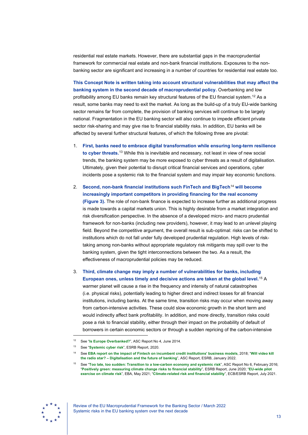residential real estate markets. However, there are substantial gaps in the macroprudential framework for commercial real estate and non-bank financial institutions. Exposures to the nonbanking sector are significant and increasing in a number of countries for residential real estate too.

**This Concept Note is written taking into account structural vulnerabilities that may affect the banking system in the second decade of macroprudential policy.** Overbanking and low profitability among EU banks remain key structural features of the EU financial system.<sup>[12](#page-13-0)</sup> As a result, some banks may need to exit the market. As long as the build-up of a truly EU-wide banking sector remains far from complete, the provision of banking services will continue to be largely national. Fragmentation in the EU banking sector will also continue to impede efficient private sector risk-sharing and may give rise to financial stability risks. In addition, EU banks will be affected by several further structural features, of which the following three are pivotal:

- 1. **First, banks need to embrace digital transformation while ensuring long-term resilience to cyber threats.**[13](#page-13-1) While this is inevitable and necessary, not least in view of new social trends, the banking system may be more exposed to cyber threats as a result of digitalisation. Ultimately, given their potential to disrupt critical financial services and operations, cyber incidents pose a systemic risk to the financial system and may impair key economic functions.
- 2. **Second, non-bank financial institutions such FinTech and BigTech**[14](#page-13-2) **will become increasingly important competitors in providing financing for the real economy [\(Figure](#page-14-0) 3).** The role of non-bank finance is expected to increase further as additional progress is made towards a capital markets union. This is highly desirable from a market integration and risk diversification perspective. In the absence of a developed micro- and macro prudential framework for non-banks (including new providers), however, it may lead to an unlevel playing field. Beyond the competitive argument, the overall result is sub-optimal: risks can be shifted to institutions which do not fall under fully developed prudential regulation. High levels of risktaking among non-banks without appropriate regulatory risk mitigants may spill over to the banking system, given the tight interconnections between the two. As a result, the effectiveness of macroprudential policies may be reduced.
- 3. **Third, climate change may imply a number of vulnerabilities for banks, including European ones, unless timely and decisive actions are taken at the global level.** [15](#page-13-3) A warmer planet will cause a rise in the frequency and intensity of natural catastrophes (i.e. physical risks), potentially leading to higher direct and indirect losses for all financial institutions, including banks. At the same time, transition risks may occur when moving away from carbon-intensive activities. These could slow economic growth in the short term and would indirectly affect bank profitability. In addition, and more directly, transition risks could pose a risk to financial stability, either through their impact on the probability of default of borrowers in certain economic sectors or through a sudden repricing of the carbon-intensive

<span id="page-13-3"></span><span id="page-13-2"></span><span id="page-13-1"></span><span id="page-13-0"></span>

<sup>12</sup> See "**[Is Europe Overbanked?](https://www.esrb.europa.eu/pub/pdf/asc/Reports_ASC_4_1406.pdf)**", ASC Report No 4, June 2014.

<sup>13</sup> See "**[Systemic cyber risk](https://www.esrb.europa.eu/pub/pdf/reports/esrb.report200219_systemiccyberrisk%7E101a09685e.en.pdf)**", ESRB Report, 2020.

<sup>14</sup> See **[EBA report on the impact of Fintech on incumbent credit institutions' business models](https://www.eba.europa.eu/sites/default/documents/files/documents/10180/2270909/1f27bb57-387e-4978-82f6-ece725b51941/Report%20on%20the%20impact%20of%20Fintech%20on%20incumbent%20credit%20institutions%27%20business%20models.pdf)**, 2018; "**[Will video kill](https://www.esrb.europa.eu/pub/pdf/asc/esrb.ascreport202201_digitalisationandthefutureofbanking%7E83f079b5c7.en.pdf?87d77f9d8be17bcd1c5bacb79455b1f0)  the radio star? – [Digitalisation and the future of banking](https://www.esrb.europa.eu/pub/pdf/asc/esrb.ascreport202201_digitalisationandthefutureofbanking%7E83f079b5c7.en.pdf?87d77f9d8be17bcd1c5bacb79455b1f0)**", ASC Report, ESRB, January 2022.

<sup>15</sup> See "**[Too late, too sudden: Transition to a low-carbon economy and systemic risk](https://www.esrb.europa.eu/pub/pdf/asc/Reports_ASC_6_1602.pdf)**", ASC Report No 6, February 2016; "**[Positively green: measuring climate change risks to financial stability](https://www.esrb.europa.eu/pub/pdf/reports/esrb.report200608_on_Positively_green_-_Measuring_climate_change_risks_to_financial_stability%7Ed903a83690.en.pdf)**", ESRB Report, June 2020; "**[EU-wide pilot](https://www.eba.europa.eu/sites/default/documents/files/document_library/Publications/Reports/2021/1001589/Mapping%20Climate%20Risk%20-%20Main%20findings%20from%20the%20EU-wide%20pilot%20exercise%20on%20climate%20risk.pdf)  [exercise on climate risk](https://www.eba.europa.eu/sites/default/documents/files/document_library/Publications/Reports/2021/1001589/Mapping%20Climate%20Risk%20-%20Main%20findings%20from%20the%20EU-wide%20pilot%20exercise%20on%20climate%20risk.pdf)**", EBA, May 2021; "**[Climate-related risk and financial stability](https://www.esrb.europa.eu/pub/pdf/reports/esrb.climateriskfinancialstability202107%7E79c10eba1a.en.pdf)**", ECB/ESRB Report, July 2021.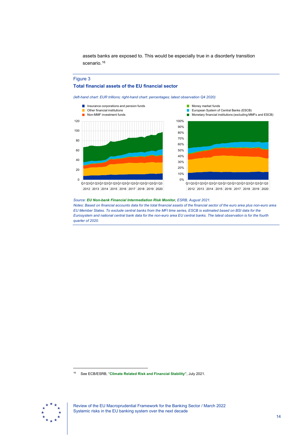assets banks are exposed to. This would be especially true in a disorderly transition scenario.<sup>16</sup>

### <span id="page-14-0"></span>Figure 3

### **Total financial assets of the EU financial sector**

*(left-hand chart: EUR trillions; right-hand chart: percentages; latest observation Q4 2020)*





Money market funds

 $\overline{\mathcal{A}}$ 

*Source: [EU Non-bank Financial Intermediation Risk Monitor,](https://www.esrb.europa.eu/pub/pdf/reports/nbfi_monitor/esrb.202108_eunon-bankfinancialintermediationriskmonitor2021_%7E88093a4a94.en.pdf) ESRB, August 2021. Notes: Based on financial accounts data for the total financial assets of the financial sector of the euro area plus non-euro area EU Member States. To exclude central banks from the MFI time series, ESCB is estimated based on BSI data for the Eurosystem and national central bank data for the non-euro area EU central banks. The latest observation is for the fourth quarter of 2020.*

<span id="page-14-1"></span>

<sup>16</sup> See ECB/ESRB, "**[Climate Related Risk and Financial Stability"](https://www.esrb.europa.eu/pub/pdf/reports/esrb.climateriskfinancialstability202107%7E79c10eba1a.en.pdf?71a273dc36a85ef05c8bed530466f900)**, July 2021.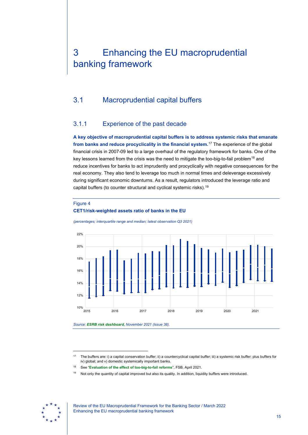# <span id="page-15-0"></span>3 Enhancing the EU macroprudential banking framework

# <span id="page-15-1"></span>3.1 Macroprudential capital buffers

## 3.1.1 Experience of the past decade

**A key objective of macroprudential capital buffers is to address systemic risks that emanate from banks and reduce procyclicality in the financial system.** [17](#page-15-2) The experience of the global financial crisis in 2007-09 led to a large overhaul of the regulatory framework for banks. One of the key lessons learned from the crisis was the need to mitigate the too-big-to-fail problem<sup>[18](#page-15-3)</sup> and reduce incentives for banks to act imprudently and procyclically with negative consequences for the real economy. They also tend to leverage too much in normal times and deleverage excessively during significant economic downturns. As a result, regulators introduced the leverage ratio and capital buffers (to counter structural and cyclical systemic risks).[19](#page-15-4)

### <span id="page-15-5"></span>Figure 4

### **CET1/risk-weighted assets ratio of banks in the EU**



*(percentages; interquartile range and median; latest observation Q3 2021)*

*Source: ESRB risk dashboard, [November 2021 \(Issue 38\).](https://www.esrb.europa.eu/pub/pdf/dashboard/esrb.risk_dashboard211209%7Ec09aef002a.en.pdf)*

<span id="page-15-4"></span><span id="page-15-3"></span><span id="page-15-2"></span>

Review of the EU Macroprudential Framework for the Banking Sector / March 2022 Enhancing the EU macroprudential banking framework

<sup>17</sup> The buffers are: i) a capital conservation buffer; ii) a countercyclical capital buffer; iii) a systemic risk buffer; plus buffers for iv) global; and v) domestic systemically important banks.

<sup>18</sup> See "**[Evaluation of the effect of too-big-to-fail reforms](https://www.fsb.org/wp-content/uploads/P010421-1.pdf)**", FSB, April 2021.

<sup>&</sup>lt;sup>19</sup> Not only the quantity of capital improved but also its quality. In addition, liquidity buffers were introduced.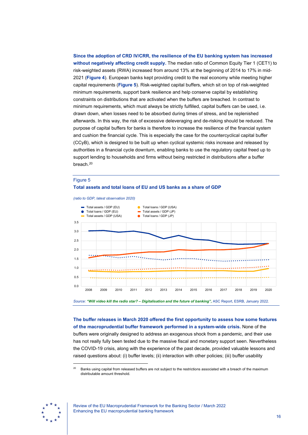**Since the adoption of CRD IV/CRR, the resilience of the EU banking system has increased without negatively affecting credit supply.** The median ratio of Common Equity Tier 1 (CET1) to risk-weighted assets (RWA) increased from around 13% at the beginning of 2014 to 17% in mid-2021 (**[Figure 4](#page-15-5)**). European banks kept providing credit to the real economy while meeting higher capital requirements (**[Figure 5](#page-16-0)**). Risk-weighted capital buffers, which sit on top of risk-weighted minimum requirements, support bank resilience and help conserve capital by establishing constraints on distributions that are activated when the buffers are breached. In contrast to minimum requirements, which must always be strictly fulfilled, capital buffers can be used, i.e. drawn down, when losses need to be absorbed during times of stress, and be replenished afterwards. In this way, the risk of excessive deleveraging and de-risking should be reduced. The purpose of capital buffers for banks is therefore to increase the resilience of the financial system and cushion the financial cycle. This is especially the case for the countercyclical capital buffer (CCyB), which is designed to be built up when cyclical systemic risks increase and released by authorities in a financial cycle downturn, enabling banks to use the regulatory capital freed up to support lending to households and firms without being restricted in distributions after a buffer breach.<sup>[20](#page-16-1)</sup>

#### <span id="page-16-0"></span>Figure 5

#### **Total assets and total loans of EU and US banks as a share of GDP**

*(ratio to GDP, latest observation 2020)*



**The buffer releases in March 2020 offered the first opportunity to assess how some features of the macroprudential buffer framework performed in a system-wide crisis.** None of the buffers were originally designed to address an exogenous shock from a pandemic, and their use has not really fully been tested due to the massive fiscal and monetary support seen. Nevertheless the COVID-19 crisis, along with the experience of the past decade, provided valuable lessons and raised questions about: (i) buffer levels; (ii) interaction with other policies; (iii) buffer usability

<span id="page-16-1"></span>

Banks using capital from released buffers are not subject to the restrictions associated with a breach of the maximum distributable amount threshold.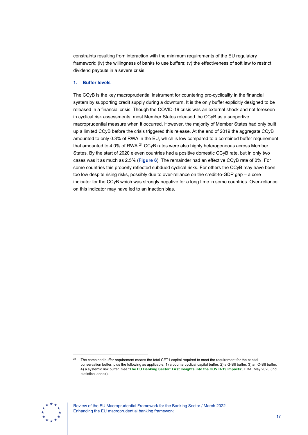constraints resulting from interaction with the minimum requirements of the EU regulatory framework; (iv) the willingness of banks to use buffers; (v) the effectiveness of soft law to restrict dividend payouts in a severe crisis.

### **1. Buffer levels**

The CCyB is the key macroprudential instrument for countering pro-cyclicality in the financial system by supporting credit supply during a downturn. It is the only buffer explicitly designed to be released in a financial crisis. Though the COVID-19 crisis was an external shock and not foreseen in cyclical risk assessments, most Member States released the CCyB as a supportive macroprudential measure when it occurred. However, the majority of Member States had only built up a limited CCyB before the crisis triggered this release. At the end of 2019 the aggregate CCyB amounted to only 0.3% of RWA in the EU, which is low compared to a combined buffer requirement that amounted to 4.0% of RWA.<sup>[21](#page-17-0)</sup> CCyB rates were also highly heterogeneous across Member States. By the start of 2020 eleven countries had a positive domestic CCyB rate, but in only two cases was it as much as 2.5% (**[Figure 6](#page-18-0)**). The remainder had an effective CCyB rate of 0%. For some countries this properly reflected subdued cyclical risks. For others the CCyB may have been too low despite rising risks, possibly due to over-reliance on the credit-to-GDP gap – a core indicator for the CCyB which was strongly negative for a long time in some countries. Over-reliance on this indicator may have led to an inaction bias.

<span id="page-17-0"></span>

<sup>&</sup>lt;sup>21</sup> The combined buffer requirement means the total CET1 capital required to meet the requirement for the capital conservation buffer, plus the following as applicable: 1) a countercyclical capital buffer; 2) a G-SII buffer; 3) an O-SII buffer; 4) a systemic risk buffer. See "**[The EU Banking Sector: First Insights into the COVID-19 Impacts](https://www.eba.europa.eu/sites/default/documents/files/document_library/Risk%20Analysis%20and%20Data/Risk%20Assessment%20Reports/2020/Thematic%20notes/883986/Thematic%20note%20-%20Preliminary%20analysis%20of%20impact%20of%20COVID-19%20on%20EU%20banks%20%E2%80%93%20May%202020.pdf)**", EBA, May 2020 (incl. statistical annex).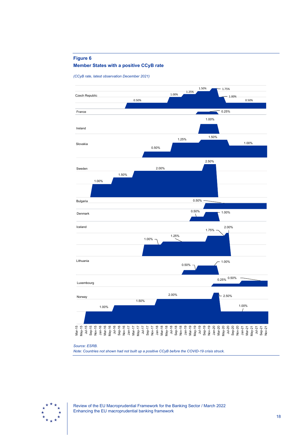### <span id="page-18-0"></span>**Figure 6**



*(CCyB rate, latest observation December 2021)* 



#### *Source: ESRB.*

*Note: Countries not shown had not built up a positive CCyB before the COVID-19 crisis struck.*



Review of the EU Macroprudential Framework for the Banking Sector / March 2022 Enhancing the EU macroprudential banking framework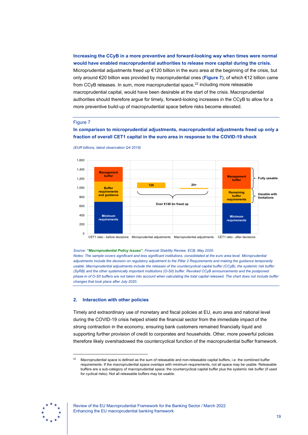### **Increasing the CCyB in a more preventive and forward-looking way when times were normal would have enabled macroprudential authorities to release more capital during the crisis.**

Microprudential adjustments freed up €120 billion in the euro area at the beginning of the crisis, but only around €20 billion was provided by macroprudential ones (**[Figure 7](#page-19-0)**), of which €12 billion came from CCyB releases. In sum, more macroprudential space, $^{22}$  $^{22}$  $^{22}$  including more releasable macroprudential capital, would have been desirable at the start of the crisis. Macroprudential authorities should therefore argue for timely, forward-looking increases in the CCyB to allow for a more preventive build-up of macroprudential space before risks become elevated.

### <span id="page-19-0"></span>Figure 7

### **In comparison to microprudential adjustments, macroprudential adjustments freed up only a fraction of overall CET1 capital in the euro area in response to the COVID-19 shock**



*(EUR billions, latest observation Q4 2019)*

#### *Source: ["Macroprudential Policy Issues"](https://www.ecb.europa.eu/pub/financial-stability/fsr/html/ecb.fsr202005%7E1b75555f66.en.html#toc33), Financial Stability Review, ECB, May 2020.*

*Notes: The sample covers significant and less significant institutions, consolidated at the euro area level. Microprudential adjustments include the decision on regulatory adjustment to the Pillar 2 Requirements and making the guidance temporarily usable. Macroprudential adjustments include the releases of the countercyclical capital buffer (CCyB), the systemic risk buffer (SyRB) and the other systemically important institutions (O-SII) buffer. Revoked CCyB announcements and the postponed phase-in of O-SII buffers are not taken into account when calculating the total capital released. The chart does not include buffer changes that took place after July 2020.*

### **2. Interaction with other policies**

Timely and extraordinary use of monetary and fiscal policies at EU, euro area and national level during the COVID-19 crisis helped shield the financial sector from the immediate impact of the strong contraction in the economy, ensuring bank customers remained financially liquid and supporting further provision of credit to corporates and households. Other, more powerful policies therefore likely overshadowed the countercyclical function of the macroprudential buffer framework.

<span id="page-19-1"></span>

<sup>&</sup>lt;sup>22</sup> Macroprudential space is defined as the sum of releasable and non-releasable capital buffers, i.e. the combined buffer requirements. If the macroprudential space overlaps with minimum requirements, not all space may be usable. Releasable buffers are a sub-category of macroprudential space: the countercyclical capital buffer plus the systemic risk buffer (if used for cyclical risks). Not all releasable buffers may be usable.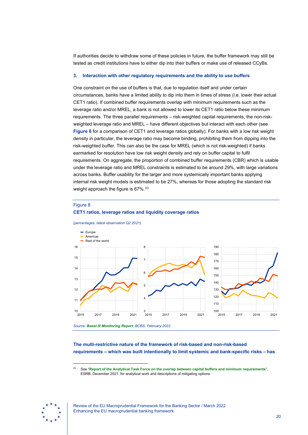If authorities decide to withdraw some of these policies in future, the buffer framework may still be tested as credit institutions have to either dip into their buffers or make use of released CCyBs.

### **3. Interaction with other regulatory requirements and the ability to use buffers**

One constraint on the use of buffers is that, due to regulation itself and under certain circumstances, banks have a limited ability to dip into them in times of stress (i.e. lower their actual CET1 ratio). If combined buffer requirements overlap with minimum requirements such as the leverage ratio and/or MREL, a bank is not allowed to lower its CET1 ratio below these minimum requirements. The three parallel requirements – risk-weighted capital requirements, the non-riskweighted leverage ratio and MREL – have different objectives but interact with each other (see **[Figure 8](#page-20-0)** for a comparison of CET1 and leverage ratios globally). For banks with a low risk weight density in particular, the leverage ratio may become binding, prohibiting them from dipping into the risk-weighted buffer. This can also be the case for MREL (which is not risk-weighted) if banks earmarked for resolution have low risk weight density and rely on buffer capital to fulfil requirements. On aggregate, the proportion of combined buffer requirements (CBR) which is usable under the leverage ratio and MREL constraints is estimated to be around 29%, with large variations across banks. Buffer usability for the larger and more systemically important banks applying internal risk weight models is estimated to be 27%, whereas for those adopting the standard risk weight approach the figure is 67%.<sup>[23](#page-20-1)</sup>

#### <span id="page-20-0"></span>Figure 8



**CET1 ratios, leverage ratios and liquidity coverage ratios**

*Source: [Basel III Monitoring Report](https://www.bis.org/bcbs/publ/d531.pdf), BCBS, February 2022.*

### **The multi-restrictive nature of the framework of risk-based and non-risk-based requirements – which was built intentionally to limit systemic and bank-specific risks – has**

<span id="page-20-1"></span>

<sup>23</sup> See "**[Report of the Analytical Task Force on the overlap between capital buffers and minimum requirements](https://www.esrb.europa.eu/pub/pdf/reports/esrb.ATFreport211217_capitalbuffers%7Ea1d4725ab0.en.pdf)**", ESRB, December 2021, for analytical work and descriptions of mitigating options.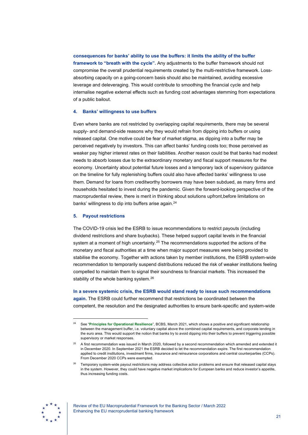# **consequences for banks' ability to use the buffers: it limits the ability of the buffer framework to "breath with the cycle".** Any adjustments to the buffer framework should not compromise the overall prudential requirements created by the multi-restrictive framework. Lossabsorbing capacity on a going-concern basis should also be maintained, avoiding excessive leverage and deleveraging. This would contribute to smoothing the financial cycle and help internalise negative external effects such as funding cost advantages stemming from expectations of a public bailout.

### **4. Banks' willingness to use buffers**

Even where banks are not restricted by overlapping capital requirements, there may be several supply- and demand-side reasons why they would refrain from dipping into buffers or using released capital. One motive could be fear of market stigma, as dipping into a buffer may be perceived negatively by investors. This can affect banks' funding costs too; those perceived as weaker pay higher interest rates on their liabilities. Another reason could be that banks had modest needs to absorb losses due to the extraordinary monetary and fiscal support measures for the economy. Uncertainty about potential future losses and a temporary lack of supervisory guidance on the timeline for fully replenishing buffers could also have affected banks' willingness to use them. Demand for loans from creditworthy borrowers may have been subdued, as many firms and households hesitated to invest during the pandemic. Given the forward-looking perspective of the macroprudential review, there is merit in thinking about solutions upfront,before limitations on banks' willingness to dip into buffers arise again.<sup>[24](#page-21-0)</sup>

### **5. Payout restrictions**

The COVID-19 crisis led the ESRB to issue recommendations to restrict payouts (including dividend restrictions and share buybacks). These helped support capital levels in the financial system at a moment of high uncertainty.<sup>[25](#page-21-1)</sup> The recommendations supported the actions of the monetary and fiscal authorities at a time when major support measures were being provided to stabilise the economy. Together with actions taken by member institutions, the ESRB system-wide recommendation to temporarily suspend distributions reduced the risk of weaker institutions feeling compelled to maintain them to signal their soundness to financial markets. This increased the stability of the whole banking system.<sup>[26](#page-21-2)</sup>

**In a severe systemic crisis, the ESRB would stand ready to issue such recommendations again.** The ESRB could further recommend that restrictions be coordinated between the competent, the resolution and the designated authorities to ensure bank-specific and system-wide

<span id="page-21-2"></span><span id="page-21-1"></span>

<span id="page-21-0"></span><sup>24</sup> See "**[Principles for Operational Resilience](https://www.bis.org/bcbs/publ/d516.pdf)**", BCBS, March 2021, which shows a positive and significant relationship between the management buffer, i.e. voluntary capital above the combined capital requirements, and corporate lending in the euro area. This would support the notion that banks try to avoid dipping into their buffers to prevent triggering possible supervisory or market responses.

<sup>&</sup>lt;sup>25</sup> A first recommendation was issued in March 2020, followed by a second recommendation which amended and extended it in December 2020. In September 2021 the ESRB decided to let the recommendation expire. The first recommendation applied to credit institutions, investment firms, insurance and reinsurance corporations and central counterparties (CCPs). From December 2020 CCPs were exempted.

<sup>26</sup> Temporary system-wide payout restrictions may address collective action problems and ensure that released capital stays in the system. However, they could have negative market implications for European banks and reduce investor's appetite, thus increasing funding costs.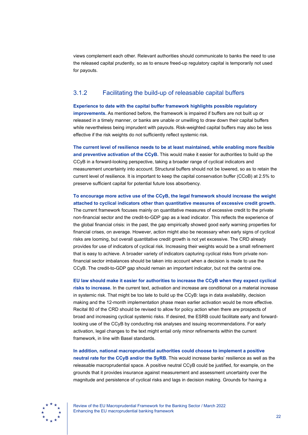views complement each other. Relevant authorities should communicate to banks the need to use the released capital prudently, so as to ensure freed-up regulatory capital is temporarily not used for payouts.

# 3.1.2 Facilitating the build-up of releasable capital buffers

**Experience to date with the capital buffer framework highlights possible regulatory improvements.** As mentioned before, the framework is impaired if buffers are not built up or released in a timely manner, or banks are unable or unwilling to draw down their capital buffers while nevertheless being imprudent with payouts. Risk-weighted capital buffers may also be less effective if the risk weights do not sufficiently reflect systemic risk.

**The current level of resilience needs to be at least maintained, while enabling more flexible and preventive activation of the CCyB.** This would make it easier for authorities to build up the CCyB in a forward-looking perspective, taking a broader range of cyclical indicators and measurement uncertainty into account. Structural buffers should not be lowered, so as to retain the current level of resilience. It is important to keep the capital conservation buffer (CCoB) at 2.5% to preserve sufficient capital for potential future loss absorbency.

## **To encourage more active use of the CCyB, the legal framework should increase the weight attached to cyclical indicators other than quantitative measures of excessive credit growth.**

The current framework focuses mainly on quantitative measures of excessive credit to the private non-financial sector and the credit-to-GDP gap as a lead indicator. This reflects the experience of the global financial crisis: in the past, the gap empirically showed good early warning properties for financial crises, on average. However, action might also be necessary when early signs of cyclical risks are looming, but overall quantitative credit growth is not yet excessive. The CRD already provides for use of indicators of cyclical risk. Increasing their weights would be a small refinement that is easy to achieve. A broader variety of indicators capturing cyclical risks from private nonfinancial sector imbalances should be taken into account when a decision is made to use the CCyB. The credit-to-GDP gap should remain an important indicator, but not the central one.

**EU law should make it easier for authorities to increase the CCyB when they expect cyclical risks to increase.** In the current text, activation and increase are conditional on a material increase in systemic risk. That might be too late to build up the CCyB: lags in data availability, decision making and the 12-month implementation phase mean earlier activation would be more effective. Recital 80 of the CRD should be revised to allow for policy action when there are prospects of broad and increasing cyclical systemic risks. If desired, the ESRB could facilitate early and forwardlooking use of the CCyB by conducting risk analyses and issuing recommendations. For early activation, legal changes to the text might entail only minor refinements within the current framework, in line with Basel standards.

**In addition, national macroprudential authorities could choose to implement a positive neutral rate for the CCyB and/or the SyRB.** This would increase banks' resilience as well as the releasable macroprudential space. A positive neutral CCyB could be justified, for example, on the grounds that it provides insurance against measurement and assessment uncertainty over the magnitude and persistence of cyclical risks and lags in decision making. Grounds for having a



Review of the EU Macroprudential Framework for the Banking Sector / March 2022 Enhancing the EU macroprudential banking framework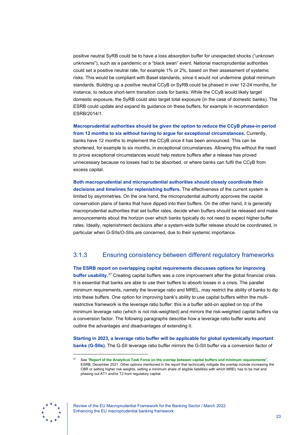positive neutral SyRB could be to have a loss absorption buffer for unexpected shocks ("unknown unknowns"), such as a pandemic or a "black swan" event. National macroprudential authorities could set a positive neutral rate, for example 1% or 2%, based on their assessment of systemic risks. This would be compliant with Basel standards, since it would not undermine global minimum standards. Building up a positive neutral CCyB or SyRB could be phased in over 12-24 months, for instance, to reduce short-term transition costs for banks. While the CCyB would likely target domestic exposure, the SyRB could also target total exposure (in the case of domestic banks). The ESRB could update and expand its guidance on these buffers, for example in recommendation ESRB/2014/1.

**Macroprudential authorities should be given the option to reduce the CCyB phase-in period from 12 months to six without having to argue for exceptional circumstances.** Currently, banks have 12 months to implement the CCyB once it has been announced. This can be shortened, for example to six months, in exceptional circumstances. Allowing this without the need to prove exceptional circumstances would help restore buffers after a release has proved unnecessary because no losses had to be absorbed, or where banks can fulfil the CCyB from excess capital.

**Both macroprudential and microprudential authorities should closely coordinate their decisions and timelines for replenishing buffers.** The effectiveness of the current system is limited by asymmetries. On the one hand, the microprudential authority approves the capital conservation plans of banks that have dipped into their buffers. On the other hand, it is generally macroprudential authorities that set buffer rates, decide when buffers should be released and make announcements about the horizon over which banks typically do not need to expect higher buffer rates. Ideally, replenishment decisions after a system-wide buffer release should be coordinated, in particular when G-SIIs/O-SIIs are concerned, due to their systemic importance.

# 3.1.3 Ensuring consistency between different regulatory frameworks

**The ESRB report on overlapping capital requirements discusses options for improving buffer usability.**<sup>[27](#page-23-0)</sup> Creating capital buffers was a core improvement after the global financial crisis. It is essential that banks are able to use their buffers to absorb losses in a crisis. The parallel minimum requirements, namely the leverage ratio and MREL, may restrict the ability of banks to dip into these buffers. One option for improving bank's ability to use capital buffers within the multirestrictive framework is the leverage ratio buffer: this is a buffer add-on applied on top of the minimum leverage ratio (which is not risk-weighted) and mirrors the risk-weighted capital buffers via a conversion factor. The following paragraphs describe how a leverage ratio buffer works and outline the advantages and disadvantages of extending it.

**Starting in 2023, a leverage ratio buffer will be applicable for global systemically important banks (G-SIIs).** The G-SII leverage ratio buffer mirrors the G-SII buffer via a conversion factor of

<span id="page-23-0"></span>

<sup>27</sup> See "**[Report of the Analytical Task Force on the overlap between capital buffers and minimum requirements](https://www.esrb.europa.eu/pub/pdf/reports/esrb.ATFreport211217_capitalbuffers%7Ea1d4725ab0.en.pdf?1485b688223df041bdf275ea2384aab3)**", ESRB, December 2021. Other options mentioned in the report that technically mitigate the overlap include increasing the CBR or setting higher risk weights, setting a minimum share of eligible liabilities with which MREL has to be met and phasing out AT1 and/or T2 from regulatory capital.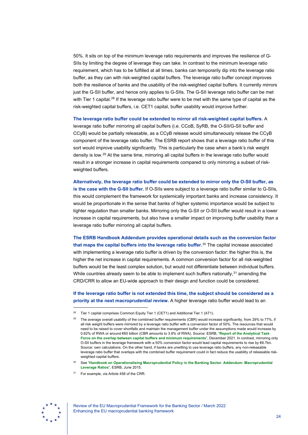50%. It sits on top of the minimum leverage ratio requirements and improves the resilience of G-SIIs by limiting the degree of leverage they can take. In contrast to the minimum leverage ratio requirement, which has to be fulfilled at all times, banks can temporarily dip into the leverage ratio buffer, as they can with risk-weighted capital buffers. The leverage ratio buffer concept improves both the resilience of banks and the usability of the risk-weighted capital buffers. It currently mirrors just the G-SII buffer, and hence only applies to G-SIIs. The G-SII leverage ratio buffer can be met with Tier 1 capital.<sup>[28](#page-24-0)</sup> If the leverage ratio buffer were to be met with the same type of capital as the risk-weighted capital buffers, i.e. CET1 capital, buffer usability would improve further.

**The leverage ratio buffer could be extended to mirror all risk-weighted capital buffers.** A

leverage ratio buffer mirroring all capital buffers (i.e. CCoB, SyRB, the O-SII/G-SII buffer and CCyB) would be partially releasable, as a CCyB release would simultaneously release the CCyB component of the leverage ratio buffer. The ESRB report shows that a leverage ratio buffer of this sort would improve usability significantly. This is particularly the case when a bank's risk weight density is low.[29](#page-24-1) At the same time, mirroring all capital buffers in the leverage ratio buffer would result in a stronger increase in capital requirements compared to only mirroring a subset of riskweighted buffers.

**Alternatively, the leverage ratio buffer could be extended to mirror only the O-SII buffer, as is the case with the G-SII buffer.** If O-SIIs were subject to a leverage ratio buffer similar to G-SIIs, this would complement the framework for systemically important banks and increase consistency. It would be proportionate in the sense that banks of higher systemic importance would be subject to tighter regulation than smaller banks. Mirroring only the G-SII or O-SII buffer would result in a lower increase in capital requirements, but also have a smaller impact on improving buffer usability than a leverage ratio buffer mirroring all capital buffers.

**The ESRB Handbook Addendum provides operational details such as the conversion factor that maps the capital buffers into the leverage ratio buffer.**[30](#page-24-2) The capital increase associated with implementing a leverage ratio buffer is driven by the conversion factor: the higher this is, the higher the net increase in capital requirements. A common conversion factor for all risk-weighted buffers would be the least complex solution, but would not differentiate between individual buffers. While countries already seem to be able to implement such buffers nationally, $31$  amending the CRD/CRR to allow an EU-wide approach to their design and function could be considered.

**If the leverage ratio buffer is not extended this time, the subject should be considered as a priority at the next macroprudential review.** A higher leverage ratio buffer would lead to an

<sup>31</sup> For example, via Article 458 of the CRR.

<span id="page-24-3"></span><span id="page-24-2"></span>

<span id="page-24-1"></span><span id="page-24-0"></span><sup>&</sup>lt;sup>28</sup> Tier 1 capital comprises Common Equity Tier 1 (CET1) and Additional Tier 1 (AT1).

<sup>29</sup> The average overall usability of the combined buffer requirements (CBR) would increase significantly, from 29% to 77%, if all risk weight buffers were mirrored by a leverage ratio buffer with a conversion factor of 50%. The resources that would need to be raised to cover shortfalls and maintain the management buffer under the assumptions made would increase by 0.82% of RWA or around €60 billion (CBR amounts to 3.8% of RWA). Source: ESRB, "**[Report of the Analytical Task](https://www.esrb.europa.eu/pub/pdf/reports/esrb.ATFreport211217_capitalbuffers%7Ea1d4725ab0.en.pdf)  [Force on the overlap between capital buffers and minimum requirements](https://www.esrb.europa.eu/pub/pdf/reports/esrb.ATFreport211217_capitalbuffers%7Ea1d4725ab0.en.pdf)**", December 2021. In contrast, mirroring only O-SII buffers in the leverage framework with a 50% conversion factor would lead capital requirements to rise by €6.7bn. Source: own calculations. On the other hand, if banks are unwilling to use leverage ratio buffers, any non-releasable leverage ratio buffer that overlaps with the combined buffer requirement could in fact reduce the usability of releasable riskweighted capital buffers.

<sup>30</sup> See "**[Handbook on Operationalising Macroprudential Policy in the Banking Sector. Addendum: Macroprudential](https://www.esrb.europa.eu/pub/pdf/other/150625_esrb_handbook_addendum.en.pdf)  [Leverage Ratios](https://www.esrb.europa.eu/pub/pdf/other/150625_esrb_handbook_addendum.en.pdf)**", ESRB, June 2015.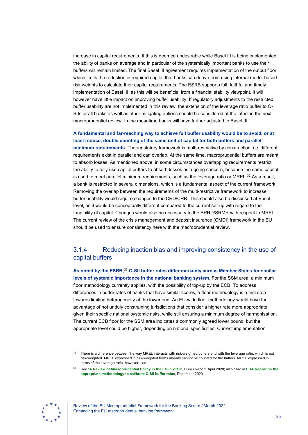increase in capital requirements. If this is deemed undesirable while Basel III is being implemented, the ability of banks on average and in particular of the systemically important banks to use their buffers will remain limited. The final Basel III agreement requires implementation of the output floor, which limits the reduction in required capital that banks can derive from using internal model-based risk weights to calculate their capital requirements. The ESRB supports full, faithful and timely implementation of Basel III, as this will be beneficial from a financial stability viewpoint. It will however have little impact on improving buffer usability. If regulatory adjustments to the restricted buffer usability are not implemented in this review, the extension of the leverage ratio buffer to O-SIIs or all banks as well as other mitigating options should be considered at the latest in the next macroprudential review. In the meantime banks will have further adjusted to Basel III.

**A fundamental and far-reaching way to achieve full buffer usability would be to avoid, or at least reduce, double counting of the same unit of capital for both buffers and parallel minimum requirements.** The regulatory framework is multi-restrictive by construction, i.e. different requirements exist in parallel and can overlap. At the same time, macroprudential buffers are meant to absorb losses. As mentioned above, in some circumstances overlapping requirements restrict the ability to fully use capital buffers to absorb losses as a going concern, because the same capital is used to meet parallel minimum requirements, such as the leverage ratio or  $MREL$ .<sup>[32](#page-25-0)</sup> As a result, a bank is restricted in several dimensions, which is a fundamental aspect of the current framework. Removing the overlap between the requirements of the multi-restrictive framework to increase buffer usability would require changes to the CRD/CRR. This should also be discussed at Basel level, as it would be conceptually different compared to the current set-up with regard to the fungibility of capital. Changes would also be necessary to the BRRD/SRMR with respect to MREL. The current review of the crisis management and deposit insurance (CMDI) framework in the EU should be used to ensure consistency here with the macroprudential review.

# 3.1.4 Reducing inaction bias and improving consistency in the use of capital buffers

**As noted by the ESRB,**[33](#page-25-1) **O-SII buffer rates differ markedly across Member States for similar levels of systemic importance in the national banking system.** For the SSM area, a minimum floor methodology currently applies, with the possibility of top-up by the ECB. To address differences in buffer rates of banks that have similar scores, a floor methodology is a first step towards limiting heterogeneity at the lower end. An EU-wide floor methodology would have the advantage of not unduly constraining jurisdictions that consider a higher rate more appropriate given their specific national systemic risks, while still ensuring a minimum degree of harmonisation. The current ECB floor for the SSM area indicates a commonly agreed lower bound, but the appropriate level could be higher, depending on national specificities. Current implementation

<span id="page-25-1"></span><span id="page-25-0"></span>

Review of the EU Macroprudential Framework for the Banking Sector / March 2022 Enhancing the EU macroprudential banking framework

<sup>&</sup>lt;sup>32</sup> There is a difference between the way MREL interacts with risk-weighted buffers and with the leverage ratio, which is not risk-weighted. MREL expressed in risk-weighted terms already cannot be counted for the buffers. MREL expressed in terms of the leverage ratio, however, can.

<sup>33</sup> See "**[A Review of Macroprudential Policy in the EU in 2019](https://www.esrb.europa.eu/pub/pdf/reports/review_macroprudential_policy/esrb.report200429_reviewofmacroprudentialpolicy%7E13aab65584.en.pdf)**", ESRB Report, April 2020; also cited in **[EBA Report on the](https://www.eba.europa.eu/sites/default/documents/files/document_library/Publications/Reports/2020/961796/EBA%20report%20on%20calibration%20of%20OSII%20buffer%20rates.pdf)  [appropriate methodology to calibrate O-SII buffer rates](https://www.eba.europa.eu/sites/default/documents/files/document_library/Publications/Reports/2020/961796/EBA%20report%20on%20calibration%20of%20OSII%20buffer%20rates.pdf)**, December 2020.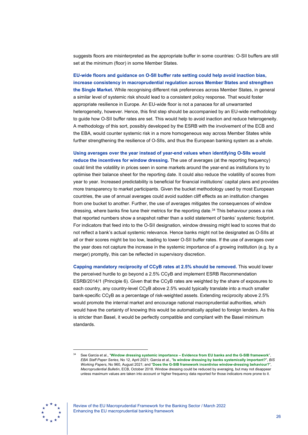suggests floors are misinterpreted as the appropriate buffer in some countries: O-SII buffers are still set at the minimum (floor) in some Member States.

**EU-wide floors and guidance on O-SII buffer rate setting could help avoid inaction bias, increase consistency in macroprudential regulation across Member States and strengthen the Single Market.** While recognising different risk preferences across Member States, in general a similar level of systemic risk should lead to a consistent policy response. That would foster appropriate resilience in Europe. An EU-wide floor is not a panacea for all unwarranted heterogeneity, however. Hence, this first step should be accompanied by an EU-wide methodology to guide how O-SII buffer rates are set. This would help to avoid inaction and reduce heterogeneity. A methodology of this sort, possibly developed by the ESRB with the involvement of the ECB and the EBA, would counter systemic risk in a more homogeneous way across Member States while further strengthening the resilience of O-SIIs, and thus the European banking system as a whole.

# **Using averages over the year instead of year-end values when identifying O-SIIs would**

**reduce the incentives for window dressing.** The use of averages (at the reporting frequency) could limit the volatility in prices seen in some markets around the year-end as institutions try to optimise their balance sheet for the reporting date. It could also reduce the volatility of scores from year to year. Increased predictability is beneficial for financial institutions' capital plans and provides more transparency to market participants. Given the bucket methodology used by most European countries, the use of annual averages could avoid sudden cliff effects as an institution changes from one bucket to another. Further, the use of averages mitigates the consequences of window dressing, where banks fine tune their metrics for the reporting date.<sup>[34](#page-26-0)</sup> This behaviour poses a risk that reported numbers show a snapshot rather than a solid statement of banks' systemic footprint. For indicators that feed into to the O-SII designation, window dressing might lead to scores that do not reflect a bank's actual systemic relevance. Hence banks might not be designated as O-SIIs at all or their scores might be too low, leading to lower O-SII buffer rates. If the use of averages over the year does not capture the increase in the systemic importance of a growing institution (e.g. by a merger) promptly, this can be reflected in supervisory discretion.

**Capping mandatory reciprocity of CCyB rates at 2.5% should be removed.** This would lower the perceived hurdle to go beyond a 2.5% CCyB and implement ESRB Recommendation ESRB/2014/1 (Principle 6). Given that the CCyB rates are weighted by the share of exposures to each country, any country-level CCyB above 2.5% would typically translate into a much smaller bank-specific CCyB as a percentage of risk-weighted assets. Extending reciprocity above 2.5% would promote the internal market and encourage national macroprudential authorities, which would have the certainty of knowing this would be automatically applied to foreign lenders. As this is stricter than Basel, it would be perfectly compatible and compliant with the Basel minimum standards.

<span id="page-26-0"></span>

<sup>34</sup> See Garcia et al., "**Window dressing systemic importance – [Evidence from EU banks and the G-SIB framework](https://www.eba.europa.eu/sites/default/documents/files/document_library/972420/Window%20dressing%20systemic%20importance%20-%20Garcia%20Lewrick%20Secnik.pdf)**", *EBA Staff Paper Series*, No 12, April 2021; Garcia et al., "**[Is window dressing by banks systemically important?](https://www.bis.org/publ/work960.pdf)**", *BIS Working Papers*, No 960, August 2021; and "**[Does the G-SIB framework incentivise window-dressing behaviour?](https://www.ecb.europa.eu/pub/financial-stability/macroprudential-bulletin/html/ecb.mpbu201810_02.en.html#:%7E:text=Window-dressing%20behaviour%20could%20have%20detrimental%20effects%20on%20financial,in%20this%20article%20suggests%20that%20both%20G%20)**", *Macroprudential Bulletin*, ECB, October 2018. Window dressing could be reduced by averaging, but may not disappear unless maximum values are taken into account or higher frequency data reported for those indicators more prone to it.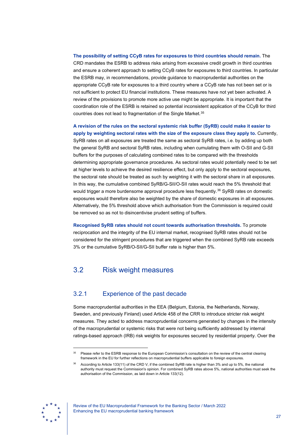**The possibility of setting CCyB rates for exposures to third countries should remain.** The CRD mandates the ESRB to address risks arising from excessive credit growth in third countries and ensure a coherent approach to setting CCyB rates for exposures to third countries. In particular the ESRB may, in recommendations, provide guidance to macroprudential authorities on the appropriate CCyB rate for exposures to a third country where a CCyB rate has not been set or is not sufficient to protect EU financial institutions. These measures have not yet been activated. A review of the provisions to promote more active use might be appropriate. It is important that the coordination role of the ESRB is retained so potential inconsistent application of the CCyB for third countries does not lead to fragmentation of the Single Market.<sup>[35](#page-27-1)</sup>

**A revision of the rules on the sectoral systemic risk buffer (SyRB) could make it easier to apply by weighting sectoral rates with the size of the exposure class they apply to.** Currently, SyRB rates on all exposures are treated the same as sectoral SyRB rates, i.e. by adding up both the general SyRB and sectoral SyRB rates, including when cumulating them with O-SII and G-SII buffers for the purposes of calculating combined rates to be compared with the thresholds determining appropriate governance procedures. As sectoral rates would potentially need to be set at higher levels to achieve the desired resilience effect, but only apply to the sectoral exposures, the sectoral rate should be treated as such by weighting it with the sectoral share in all exposures. In this way, the cumulative combined SyRB/G-SII/O-SII rates would reach the 5% threshold that would trigger a more burdensome approval procedure less frequently.<sup>[36](#page-27-2)</sup> SyRB rates on domestic exposures would therefore also be weighted by the share of domestic exposures in all exposures. Alternatively, the 5% threshold above which authorisation from the Commission is required could be removed so as not to disincentivise prudent setting of buffers.

**Recognised SyRB rates should not count towards authorisation thresholds.** To promote reciprocation and the integrity of the EU internal market, recognised SyRB rates should not be considered for the stringent procedures that are triggered when the combined SyRB rate exceeds 3% or the cumulative SyRB/O-SII/G-SII buffer rate is higher than 5%.

# <span id="page-27-0"></span>3.2 Risk weight measures

## 3.2.1 Experience of the past decade

Some macroprudential authorities in the EEA (Belgium, Estonia, the Netherlands, Norway, Sweden, and previously Finland) used Article 458 of the CRR to introduce stricter risk weight measures. They acted to address macroprudential concerns generated by changes in the intensity of the macroprudential or systemic risks that were not being sufficiently addressed by internal ratings-based approach (IRB) risk weights for exposures secured by residential property. Over the

<span id="page-27-2"></span><span id="page-27-1"></span>

<sup>&</sup>lt;sup>35</sup> Please refer to the ESRB response to the European Commission's consultation on the review of the central clearing framework in the EU for further reflections on macroprudential buffers applicable to foreign exposures.

According to Article 133(11) of the CRD V, if the combined SyRB rate is higher than 3% and up to 5%, the national authority must request the Commission's opinion. For combined SyRB rates above 5%, national authorities must seek the authorisation of the Commission, as laid down in Article 133(12).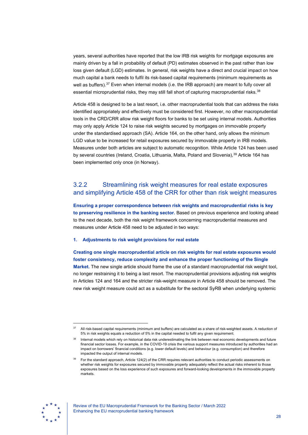years, several authorities have reported that the low IRB risk weights for mortgage exposures are mainly driven by a fall in probability of default (PD) estimates observed in the past rather than low loss given default (LGD) estimates. In general, risk weights have a direct and crucial impact on how much capital a bank needs to fulfil its risk-based capital requirements (minimum requirements as well as buffers).<sup>[37](#page-28-0)</sup> Even when internal models (i.e. the IRB approach) are meant to fully cover all essential microprudential risks, they may still fall short of capturing macroprudential risks.<sup>38</sup>

Article 458 is designed to be a last resort, i.e. other macroprudential tools that can address the risks identified appropriately and effectively must be considered first. However, no other macroprudential tools in the CRD/CRR allow risk weight floors for banks to be set using internal models. Authorities may only apply Article 124 to raise risk weights secured by mortgages on immovable property under the standardised approach (SA). Article 164, on the other hand, only allows the minimum LGD value to be increased for retail exposures secured by immovable property in IRB models. Measures under both articles are subject to automatic recognition. While Article 124 has been used by several countries (Ireland, Croatia, Lithuania, Malta, Poland and Slovenia),<sup>[39](#page-28-2)</sup> Article 164 has been implemented only once (in Norway).

# 3.2.2 Streamlining risk weight measures for real estate exposures and simplifying Article 458 of the CRR for other than risk weight measures

**Ensuring a proper correspondence between risk weights and macroprudential risks is key to preserving resilience in the banking sector.** Based on previous experience and looking ahead to the next decade, both the risk weight framework concerning macroprudential measures and measures under Article 458 need to be adjusted in two ways:

### **1. Adjustments to risk weight provisions for real estate**

**Creating one single macroprudential article on risk weights for real estate exposures would foster consistency, reduce complexity and enhance the proper functioning of the Single Market.** The new single article should frame the use of a standard macroprudential risk weight tool, no longer restraining it to being a last resort. The macroprudential provisions adjusting risk weights in Articles 124 and 164 and the stricter risk-weight measure in Article 458 should be removed. The new risk weight measure could act as a substitute for the sectoral SyRB when underlying systemic

<span id="page-28-2"></span>

<span id="page-28-0"></span><sup>&</sup>lt;sup>37</sup> All risk-based capital requirements (minimum and buffers) are calculated as a share of risk-weighted assets. A reduction of 5% in risk weights equals a reduction of 5% in the capital needed to fulfil any given requirement.

<span id="page-28-1"></span>Internal models which rely on historical data risk underestimating the link between real economic developments and future financial sector losses. For example, in the COVID-19 crisis the various support measures introduced by authorities had an impact on borrowers' financial conditions (e.g. lower default levels) and behaviour (e.g. consumption) and therefore impacted the output of internal models.

<sup>39</sup> For the standard approach, Article 124(2) of the CRR requires relevant authorities to conduct periodic assessments on whether risk weights for exposures secured by immovable property adequately reflect the actual risks inherent to those exposures based on the loss experience of such exposures and forward-looking developments in the immovable property markets.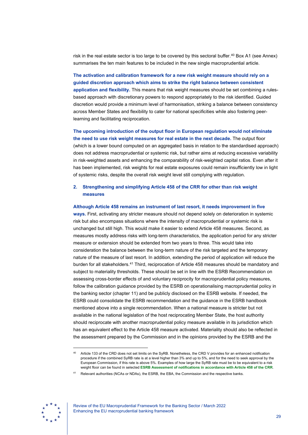risk in the real estate sector is too large to be covered by this sectoral buffer.<sup>40</sup> Box A1 (see Annex) summarises the ten main features to be included in the new single macroprudential article.

**The activation and calibration framework for a new risk weight measure should rely on a guided discretion approach which aims to strike the right balance between consistent application and flexibility.** This means that risk weight measures should be set combining a rulesbased approach with discretionary powers to respond appropriately to the risk identified. Guided discretion would provide a minimum level of harmonisation, striking a balance between consistency across Member States and flexibility to cater for national specificities while also fostering peerlearning and facilitating reciprocation.

**The upcoming introduction of the output floor in European regulation would not eliminate the need to use risk weight measures for real estate in the next decade.** The output floor (which is a lower bound computed on an aggregated basis in relation to the standardised approach) does not address macroprudential or systemic risk, but rather aims at reducing excessive variability in risk-weighted assets and enhancing the comparability of risk-weighted capital ratios. Even after it has been implemented, risk weights for real estate exposures could remain insufficiently low in light of systemic risks, despite the overall risk weight level still complying with regulation.

### **2. Strengthening and simplifying Article 458 of the CRR for other than risk weight measures**

### **Although Article 458 remains an instrument of last resort, it needs improvement in five**

**ways.** First, activating any stricter measure should not depend solely on deterioration in systemic risk but also encompass situations where the intensity of macroprudential or systemic risk is unchanged but still high. This would make it easier to extend Article 458 measures. Second, as measures mostly address risks with long-term characteristics, the application period for any stricter measure or extension should be extended from two years to three. This would take into consideration the balance between the long-term nature of the risk targeted and the temporary nature of the measure of last resort. In addition, extending the period of application will reduce the burden for all stakeholders.[41](#page-29-1) Third, reciprocation of Article 458 measures should be mandatory and subject to materiality thresholds. These should be set in line with the ESRB Recommendation on assessing cross-border effects of and voluntary reciprocity for macroprudential policy measures, follow the calibration guidance provided by the ESRB on operationalising macroprudential policy in the banking sector (chapter 11) and be publicly disclosed on the ESRB website. If needed, the ESRB could consolidate the ESRB recommendation and the guidance in the ESRB handbook mentioned above into a single recommendation. When a national measure is stricter but not available in the national legislation of the host reciprocating Member State, the host authority should reciprocate with another macroprudential policy measure available in its jurisdiction which has an equivalent effect to the Article 458 measure activated. Materiality should also be reflected in the assessment prepared by the Commission and in the opinions provided by the ESRB and the

<span id="page-29-1"></span><span id="page-29-0"></span>

<sup>40</sup> Article 133 of the CRD does not set limits on the SyRB. Nonetheless, the CRD V provides for an enhanced notification procedure if the combined SyRB rate is at a level higher than 3% and up to 5%, and for the need to seek approval by the European Commission, if this rate is above 5%. Examples of how large the SyRB rate must be to be equivalent to a risk weight floor can be found in selected **[ESRB Assessment of notifications in accordance with Article 458 of the CRR](https://www.esrb.europa.eu/mppa/opinions/html/index.en.html)**.

<sup>41</sup> Relevant authorities (NCAs or NDAs), the ESRB, the EBA, the Commission and the respective banks.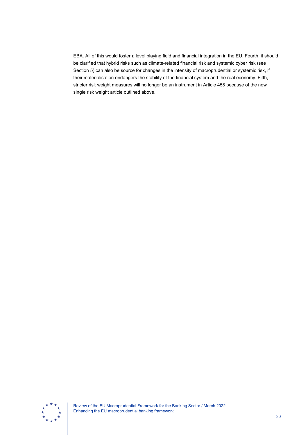EBA. All of this would foster a level playing field and financial integration in the EU. Fourth, it should be clarified that hybrid risks such as climate-related financial risk and systemic cyber risk (see Section 5) can also be source for changes in the intensity of macroprudential or systemic risk, if their materialisation endangers the stability of the financial system and the real economy. Fifth, stricter risk weight measures will no longer be an instrument in Article 458 because of the new single risk weight article outlined above.



Review of the EU Macroprudential Framework for the Banking Sector / March 2022 Enhancing the EU macroprudential banking framework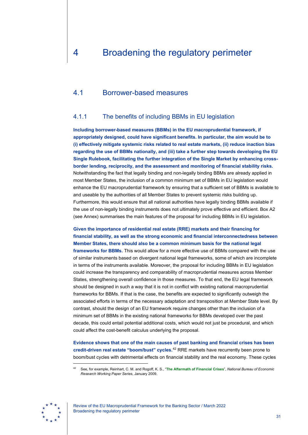# <span id="page-31-1"></span><span id="page-31-0"></span>4.1 Borrower-based measures

## 4.1.1 The benefits of including BBMs in EU legislation

**Including borrower-based measures (BBMs) in the EU macroprudential framework, if appropriately designed, could have significant benefits. In particular, the aim would be to (i) effectively mitigate systemic risks related to real estate markets, (ii) reduce inaction bias regarding the use of BBMs nationally, and (iii) take a further step towards developing the EU Single Rulebook, facilitating the further integration of the Single Market by enhancing crossborder lending, reciprocity, and the assessment and monitoring of financial stability risks.** Notwithstanding the fact that legally binding and non-legally binding BBMs are already applied in most Member States, the inclusion of a common minimum set of BBMs in EU legislation would enhance the EU macroprudential framework by ensuring that a sufficient set of BBMs is available to and useable by the authorities of all Member States to prevent systemic risks building up. Furthermore, this would ensure that all national authorities have legally binding BBMs available if the use of non-legally binding instruments does not ultimately prove effective and efficient. Box A2 (see Annex) summarises the main features of the proposal for including BBMs in EU legislation.

**Given the importance of residential real estate (RRE) markets and their financing for financial stability, as well as the strong economic and financial interconnectedness between Member States, there should also be a common minimum basis for the national legal frameworks for BBMs.** This would allow for a more effective use of BBMs compared with the use of similar instruments based on divergent national legal frameworks, some of which are incomplete in terms of the instruments available. Moreover, the proposal for including BBMs in EU legislation could increase the transparency and comparability of macroprudential measures across Member States, strengthening overall confidence in those measures. To that end, the EU legal framework should be designed in such a way that it is not in conflict with existing national macroprudential frameworks for BBMs. If that is the case, the benefits are expected to significantly outweigh the associated efforts in terms of the necessary adaptation and transposition at Member State level. By contrast, should the design of an EU framework require changes other than the inclusion of a minimum set of BBMs in the existing national frameworks for BBMs developed over the past decade, this could entail potential additional costs, which would not just be procedural, and which could affect the cost-benefit calculus underlying the proposal.

**Evidence shows that one of the main causes of past banking and financial crises has been credit-driven real estate "boom/bust" cycles.**[42](#page-31-2) RRE markets have recurrently been prone to boom/bust cycles with detrimental effects on financial stability and the real economy. These cycles

<span id="page-31-2"></span>

<sup>42</sup> See, for example, [Reinhart, C. M. and Rogoff, K. S., "](https://www.nber.org/system/files/working_papers/w14656/w14656.pdf)**The Aftermath of Financial Crises**", *National Bureau of Economic [Research Working Paper Series](https://www.nber.org/system/files/working_papers/w14656/w14656.pdf)*, January 2009.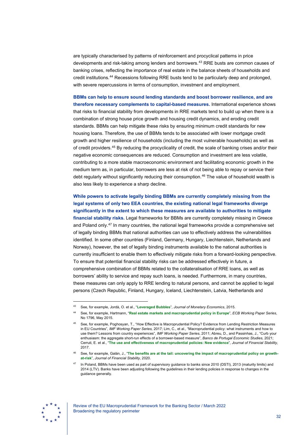are typically characterised by patterns of reinforcement and procyclical patterns in price developments and risk-taking among lenders and borrowers.[43](#page-32-0) RRE busts are common causes of banking crises, reflecting the importance of real estate in the balance sheets of households and credit institutions.[44](#page-32-1) Recessions following RRE busts tend to be particularly deep and prolonged, with severe repercussions in terms of consumption, investment and employment.

**BBMs can help to ensure sound lending standards and boost borrower resilience, and are therefore necessary complements to capital-based measures.** International experience shows that risks to financial stability from developments in RRE markets tend to build up when there is a combination of strong house price growth and housing credit dynamics, and eroding credit standards. BBMs can help mitigate these risks by ensuring minimum credit standards for new housing loans. Therefore, the use of BBMs tends to be associated with lower mortgage credit growth and higher resilience of households (including the most vulnerable households) as well as of credit providers.[45](#page-32-2) By reducing the procyclicality of credit, the scale of banking crises and/or their negative economic consequences are reduced. Consumption and investment are less volatile, contributing to a more stable macroeconomic environment and facilitating economic growth in the medium term as, in particular, borrowers are less at risk of not being able to repay or service their debt regularly without significantly reducing their consumption. $46$  The value of household wealth is also less likely to experience a sharp decline.

**While powers to activate legally binding BBMs are currently completely missing from the legal systems of only two EEA countries, the existing national legal frameworks diverge significantly in the extent to which these measures are available to authorities to mitigate financial stability risks.** Legal frameworks for BBMs are currently completely missing in Greece and Poland only.<sup>[47](#page-32-4)</sup> In many countries, the national legal frameworks provide a comprehensive set of legally binding BBMs that national authorities can use to effectively address the vulnerabilities identified. In some other countries (Finland, Germany, Hungary, Liechtenstein, Netherlands and Norway), however, the set of legally binding instruments available to the national authorities is currently insufficient to enable them to effectively mitigate risks from a forward-looking perspective. To ensure that potential financial stability risks can be addressed effectively in future, a comprehensive combination of BBMs related to the collateralisation of RRE loans, as well as borrowers' ability to service and repay such loans, is needed. Furthermore, in many countries, these measures can only apply to RRE lending to natural persons, and cannot be applied to legal persons (Czech Republic, Finland, Hungary, Iceland, Liechtenstein, Latvia, Netherlands and

<span id="page-32-4"></span><span id="page-32-3"></span>

<span id="page-32-0"></span><sup>43</sup> See, for example, Jordà, O. et al., "**Leveraged Bubbles**", *[Journal of Monetary Economics](https://www.sciencedirect.com/science/article/pii/S0304393215000987)*, 2015.

<span id="page-32-1"></span><sup>44</sup> See, for example, Hartmann, "**[Real estate markets and macroprudential policy in Europe](https://www.ecb.europa.eu/pub/pdf/scpwps/ecbwp1796.en.pdf)**", *ECB Working Paper Series*, [No 1796, May 2015.](https://www.ecb.europa.eu/pub/pdf/scpwps/ecbwp1796.en.pdf)

<span id="page-32-2"></span><sup>45</sup> See, for example, Poghosyan, T., "How Effective is Macroprudential Policy? Evidence from Lending Restriction Measures in EU Countries", *IMF Working Paper Series,* 2017; Lim, C., et al., "Macroprudential policy: what instruments and how to use them? Lessons from country experiences", *IMF Working Paper Series*, 2011; Abreu, D., and Passinhas, J., "Curb your enthusiasm: the aggregate short-run effects of a borrower-based measure", *Banco de Portugal Economic Studies*, 2021; Cerruti, E. et al., "**[The use and effectiveness of macroprudential policies: New evidence](https://www.sciencedirect.com/science/article/pii/S1572308915001035)**", *Journal of Financial Stability*, [2017.](https://www.sciencedirect.com/science/article/pii/S1572308915001035)

See, for example, Galán, J., "[The benefits are at the tail: uncovering the impact of macroprudential policy on growth](https://www.sciencedirect.com/science/article/pii/S1572308920301340)**at-risk**", *[Journal of Financial Stability](https://www.sciencedirect.com/science/article/pii/S1572308920301340)*, 2020.

In Poland, BBMs have been used as part of supervisory guidance to banks since 2010 (DSTI), 2013 (maturity limits) and 2014 (LTV). Banks have been adjusting following the guidelines in their lending policies in response to changes in the guidance generally.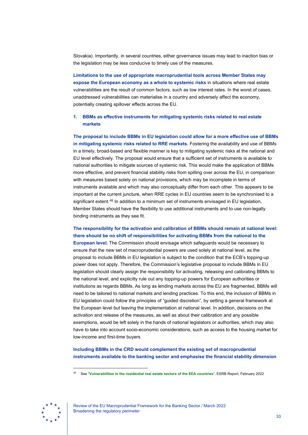Slovakia). Importantly, in several countries, either governance issues may lead to inaction bias or the legislation may be less conducive to timely use of the measures.

**Limitations to the use of appropriate macroprudential tools across Member States may expose the European economy as a whole to systemic risks** in situations where real estate vulnerabilities are the result of common factors, such as low interest rates. In the worst of cases, unaddressed vulnerabilities can materialise in a country and adversely affect the economy, potentially creating spillover effects across the EU.

### **1. BBMs as effective instruments for mitigating systemic risks related to real estate markets**

**The proposal to include BBMs in EU legislation could allow for a more effective use of BBMs in mitigating systemic risks related to RRE markets.** Fostering the availability and use of BBMs in a timely, broad-based and flexible manner is key to mitigating systemic risks at the national and EU level effectively. The proposal would ensure that a sufficient set of instruments is available to national authorities to mitigate sources of systemic risk. This would make the application of BBMs more effective, and prevent financial stability risks from spilling over across the EU, in comparison with measures based solely on national provisions, which may be incomplete in terms of instruments available and which may also conceptually differ from each other. This appears to be important at the current juncture, when RRE cycles in EU countries seem to be synchronised to a significant extent.<sup>[48](#page-33-0)</sup> In addition to a minimum set of instruments envisaged in EU legislation, Member States should have the flexibility to use additional instruments and to use non-legally binding instruments as they see fit.

# **The responsibility for the activation and calibration of BBMs should remain at national level: there should be no shift of responsibilities for activating BBMs from the national to the**

**European level.** The Commission should envisage which safeguards would be necessary to ensure that the new set of macroprudential powers are used solely at national level, as the proposal to include BBMs in EU legislation is subject to the condition that the ECB's topping-up power does not apply. Therefore, the Commission's legislative proposal to include BBMs in EU legislation should clearly assign the responsibility for activating, releasing and calibrating BBMs to the national level, and explicitly rule out any topping-up powers for European authorities or institutions as regards BBMs. As long as lending markets across the EU are fragmented, BBMs will need to be tailored to national markets and lending practices. To this end, the inclusion of BBMs in EU legislation could follow the principles of "guided discretion", by setting a general framework at the European level but leaving the implementation at national level. In addition, decisions on the activation and release of the measures, as well as about their calibration and any possible exemptions, would be left solely in the hands of national legislators or authorities, which may also have to take into account socio-economic considerations, such as access to the housing market for low-income and first-time buyers.

**Including BBMs in the CRD would complement the existing set of macroprudential instruments available to the banking sector and emphasise the financial stability dimension** 

<span id="page-33-0"></span>

Review of the EU Macroprudential Framework for the Banking Sector / March 2022 Broadening the regulatory perimeter

<sup>48</sup> See "**[Vulnerabilities in the residential real estate sectors of the EEA countries](https://www.esrb.europa.eu/pub/pdf/reports/esrb.report220211_vulnerabilities_eea_countries%7E27e571112b.en.pdf)**", ESRB Report, February 2022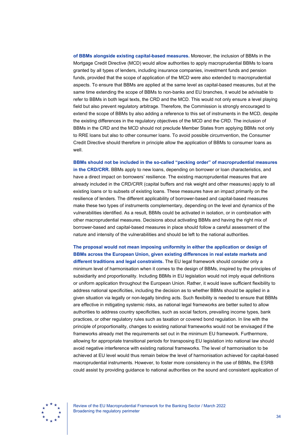**of BBMs alongside existing capital-based measures.** Moreover, the inclusion of BBMs in the Mortgage Credit Directive (MCD) would allow authorities to apply macroprudential BBMs to loans granted by all types of lenders, including insurance companies, investment funds and pension funds, provided that the scope of application of the MCD were also extended to macroprudential aspects. To ensure that BBMs are applied at the same level as capital-based measures, but at the same time extending the scope of BBMs to non-banks and EU branches, it would be advisable to refer to BBMs in both legal texts, the CRD and the MCD. This would not only ensure a level playing field but also prevent regulatory arbitrage. Therefore, the Commission is strongly encouraged to extend the scope of BBMs by also adding a reference to this set of instruments in the MCD, despite the existing differences in the regulatory objectives of the MCD and the CRD. The inclusion of BBMs in the CRD and the MCD should not preclude Member States from applying BBMs not only to RRE loans but also to other consumer loans. To avoid possible circumvention, the Consumer Credit Directive should therefore in principle allow the application of BBMs to consumer loans as well.

**BBMs should not be included in the so-called "pecking order" of macroprudential measures in the CRD/CRR.** BBMs apply to new loans, depending on borrower or loan characteristics, and have a direct impact on borrowers' resilience. The existing macroprudential measures that are already included in the CRD/CRR (capital buffers and risk weight and other measures) apply to all existing loans or to subsets of existing loans. These measures have an impact primarily on the resilience of lenders. The different applicability of borrower-based and capital-based measures make these two types of instruments complementary, depending on the level and dynamics of the vulnerabilities identified. As a result, BBMs could be activated in isolation, or in combination with other macroprudential measures. Decisions about activating BBMs and having the right mix of borrower-based and capital-based measures in place should follow a careful assessment of the nature and intensity of the vulnerabilities and should be left to the national authorities.

**The proposal would not mean imposing uniformity in either the application or design of BBMs across the European Union, given existing differences in real estate markets and different traditions and legal constraints.** The EU legal framework should consider only a minimum level of harmonisation when it comes to the design of BBMs, inspired by the principles of subsidiarity and proportionality. Including BBMs in EU legislation would not imply equal definitions or uniform application throughout the European Union. Rather, it would leave sufficient flexibility to address national specificities, including the decision as to whether BBMs should be applied in a given situation via legally or non-legally binding acts. Such flexibility is needed to ensure that BBMs are effective in mitigating systemic risks, as national legal frameworks are better suited to allow authorities to address country specificities, such as social factors, prevailing income types, bank practices, or other regulatory rules such as taxation or covered bond regulation. In line with the principle of proportionality, changes to existing national frameworks would not be envisaged if the frameworks already met the requirements set out in the minimum EU framework. Furthermore, allowing for appropriate transitional periods for transposing EU legislation into national law should avoid negative interference with existing national frameworks. The level of harmonisation to be achieved at EU level would thus remain below the level of harmonisation achieved for capital-based macroprudential instruments. However, to foster more consistency in the use of BBMs, the ESRB could assist by providing guidance to national authorities on the sound and consistent application of

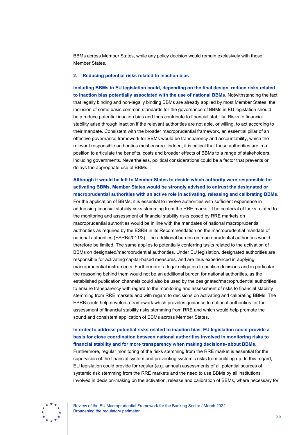BBMs across Member States, while any policy decision would remain exclusively with those Member States.

### **2. Reducing potential risks related to inaction bias**

**Including BBMs in EU legislation could, depending on the final design, reduce risks related to inaction bias potentially associated with the use of national BBMs.** Notwithstanding the fact that legally binding and non-legally binding BBMs are already applied by most Member States, the inclusion of some basic common standards for the governance of BBMs in EU legislation should help reduce potential inaction bias and thus contribute to financial stability. Risks to financial stability arise through inaction if the relevant authorities are not able, or willing, to act according to their mandate. Consistent with the broader macroprudential framework, an essential pillar of an effective governance framework for BBMs would be transparency and accountability, which the relevant responsible authorities must ensure. Indeed, it is critical that these authorities are in a position to articulate the benefits, costs and broader effects of BBMs to a range of stakeholders, including governments. Nevertheless, political considerations could be a factor that prevents or delays the appropriate use of BBMs.

## **Although it would be left to Member States to decide which authority were responsible for activating BBMs, Member States would be strongly advised to entrust the designated or macroprudential authorities with an active role in activating, releasing and calibrating BBMs.**

For the application of BBMs, it is essential to involve authorities with sufficient experience in addressing financial stability risks stemming from the RRE market. The conferral of tasks related to the monitoring and assessment of financial stability risks posed by RRE markets on macroprudential authorities would be in line with the mandates of national macroprudential authorities as required by the ESRB in its Recommendation on the macroprudential mandate of national authorities (ESRB/2011/3). The additional burden on macroprudential authorities would therefore be limited. The same applies to potentially conferring tasks related to the activation of BBMs on designated/macroprudential authorities. Under EU legislation, designated authorities are responsible for activating capital-based measures, and are thus experienced in applying macroprudential instruments. Furthermore, a legal obligation to publish decisions and in particular the reasoning behind them would not be an additional burden for national authorities, as the established publication channels could also be used by the designated/macroprudential authorities to ensure transparency with regard to the monitoring and assessment of risks to financial stability stemming from RRE markets and with regard to decisions on activating and calibrating BBMs. The ESRB could help develop a framework which provides guidance to national authorities for the assessment of financial stability risks stemming from RRE and which would help promote the sound and consistent application of BBMs across Member States.

# **In order to address potential risks related to inaction bias, EU legislation could provide a basis for close coordination between national authorities involved in monitoring risks to financial stability and for more transparency when making decisions- about BBMs.** Furthermore, regular monitoring of the risks stemming from the RRE market is essential for the supervision of the financial system and preventing systemic risks from building up. In this regard,

EU legislation could provide for regular (e.g. annual) assessments of all potential sources of systemic risk stemming from the RRE markets and the need to use BBMs by all institutions involved in decision-making on the activation, release and calibration of BBMs, where necessary for

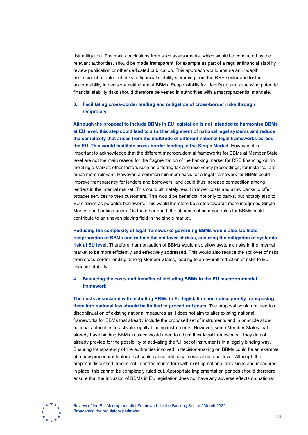risk mitigation. The main conclusions from such assessments, which would be conducted by the relevant authorities, should be made transparent, for example as part of a regular financial stability review publication or other dedicated publication. This approach would ensure an in-depth assessment of potential risks to financial stability stemming from the RRE sector and foster accountability in decision-making about BBMs. Responsibility for identifying and assessing potential financial stability risks should therefore be vested in authorities with a macroprudential mandate.

## **3. Facilitating cross-border lending and mitigation of cross-border risks through reciprocity**

**Although the proposal to include BBMs in EU legislation is not intended to harmonise BBMs at EU level, this step could lead to a further alignment of national legal systems and reduce the complexity that arises from the multitude of different national legal frameworks across the EU. This would facilitate cross-border lending in the Single Market.** However, it is important to acknowledge that the different macroprudential frameworks for BBMs at Member State level are not the main reason for the fragmentation of the banking market for RRE financing within the Single Market: other factors such as differing tax and insolvency proceedings, for instance, are much more relevant. However, a common minimum basis for a legal framework for BBMs could improve transparency for lenders and borrowers, and could thus increase competition among lenders in the internal market. This could ultimately result in lower costs and allow banks to offer broader services to their customers. This would be beneficial not only to banks, but notably also to EU citizens as potential borrowers. This would therefore be a step towards more integrated Single Market and banking union. On the other hand, the absence of common rules for BBMs could contribute to an uneven playing field in the single market.

**Reducing the complexity of legal frameworks governing BBMs would also facilitate reciprocation of BBMs and reduce the spillover of risks, ensuring the mitigation of systemic risk at EU level.** Therefore, harmonisation of BBMs would also allow systemic risks in the internal market to be more efficiently and effectively addressed. This would also reduce the spillover of risks from cross-border lending among Member States, leading to an overall reduction of risks to EU financial stability.

### **4. Balancing the costs and benefits of including BBMs in the EU macroprudential framework**

**The costs associated with including BBMs in EU legislation and subsequently transposing them into national law should be limited to procedural costs.** The proposal would not lead to a discontinuation of existing national measures as it does not aim to alter existing national frameworks for BBMs that already include the proposed set of instruments and in principle allow national authorities to activate legally binding instruments. However, some Member States that already have binding BBMs in place would need to adjust their legal frameworks if they do not already provide for the possibility of activating the full set of instruments in a legally binding way. Ensuring transparency of the authorities involved in decision-making on BBMs could be an example of a new procedural feature that could cause additional costs at national level. Although the proposal discussed here is not intended to interfere with existing national provisions and measures in place, this cannot be completely ruled out. Appropriate implementation periods should therefore ensure that the inclusion of BBMs in EU legislation does not have any adverse effects on national

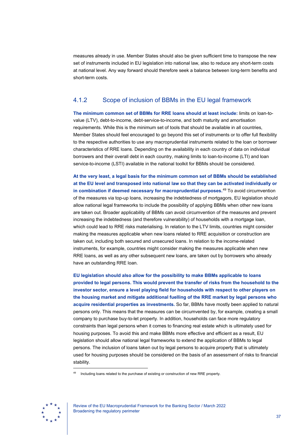measures already in use. Member States should also be given sufficient time to transpose the new set of instruments included in EU legislation into national law, also to reduce any short-term costs at national level. Any way forward should therefore seek a balance between long-term benefits and short-term costs.

# 4.1.2 Scope of inclusion of BBMs in the EU legal framework

**The minimum common set of BBMs for RRE loans should at least include:** limits on loan-tovalue (LTV), debt-to-income, debt-service-to-income, and both maturity and amortisation requirements. While this is the minimum set of tools that should be available in all countries, Member States should feel encouraged to go beyond this set of instruments or to offer full flexibility to the respective authorities to use any macroprudential instruments related to the loan or borrower characteristics of RRE loans. Depending on the availability in each country of data on individual borrowers and their overall debt in each country, making limits to loan-to-income (LTI) and loan service-to-income (LSTI) available in the national toolkit for BBMs should be considered.

**At the very least, a legal basis for the minimum common set of BBMs should be established at the EU level and transposed into national law so that they can be activated individually or in combination if deemed necessary for macroprudential purposes.**[49](#page-37-0) To avoid circumvention of the measures via top-up loans, increasing the indebtedness of mortgagors, EU legislation should allow national legal frameworks to include the possibility of applying BBMs when other new loans are taken out. Broader applicability of BBMs can avoid circumvention of the measures and prevent increasing the indebtedness (and therefore vulnerability) of households with a mortgage loan, which could lead to RRE risks materialising. In relation to the LTV limits, countries might consider making the measures applicable when new loans related to RRE acquisition or construction are taken out, including both secured and unsecured loans. In relation to the income-related instruments, for example, countries might consider making the measures applicable when new RRE loans, as well as any other subsequent new loans, are taken out by borrowers who already have an outstanding RRE loan.

**EU legislation should also allow for the possibility to make BBMs applicable to loans provided to legal persons. This would prevent the transfer of risks from the household to the investor sector, ensure a level playing field for households with respect to other players on the housing market and mitigate additional fuelling of the RRE market by legal persons who acquire residential properties as investments.** So far, BBMs have mostly been applied to natural persons only. This means that the measures can be circumvented by, for example, creating a small company to purchase buy-to-let property. In addition, households can face more regulatory constraints than legal persons when it comes to financing real estate which is ultimately used for housing purposes. To avoid this and make BBMs more effective and efficient as a result, EU legislation should allow national legal frameworks to extend the application of BBMs to legal persons. The inclusion of loans taken out by legal persons to acquire property that is ultimately used for housing purposes should be considered on the basis of an assessment of risks to financial stability.

<span id="page-37-0"></span>

<sup>49</sup> Including loans related to the purchase of existing or construction of new RRE property.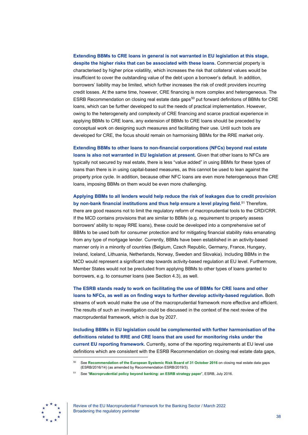## **Extending BBMs to CRE loans in general is not warranted in EU legislation at this stage, despite the higher risks that can be associated with these loans.** Commercial property is

characterised by higher price volatility, which increases the risk that collateral values would be insufficient to cover the outstanding value of the debt upon a borrower's default. In addition, borrowers' liability may be limited, which further increases the risk of credit providers incurring credit losses. At the same time, however, CRE financing is more complex and heterogeneous. The ESRB Recommendation on closing real estate data gaps<sup>[50](#page-38-0)</sup> put forward definitions of BBMs for CRE loans, which can be further developed to suit the needs of practical implementation. However, owing to the heterogeneity and complexity of CRE financing and scarce practical experience in applying BBMs to CRE loans, any extension of BBMs to CRE loans should be preceded by conceptual work on designing such measures and facilitating their use. Until such tools are developed for CRE, the focus should remain on harmonising BBMs for the RRE market only.

**Extending BBMs to other loans to non-financial corporations (NFCs) beyond real estate loans is also not warranted in EU legislation at present.** Given that other loans to NFCs are typically not secured by real estate, there is less "value added" in using BBMs for these types of loans than there is in using capital-based measures, as this cannot be used to lean against the property price cycle. In addition, because other NFC loans are even more heterogeneous than CRE loans, imposing BBMs on them would be even more challenging.

**Applying BBMs to all lenders would help reduce the risk of leakages due to credit provision by non-bank financial institutions and thus help ensure a level playing field.**[51](#page-38-1) Therefore, there are good reasons not to limit the regulatory reform of macroprudential tools to the CRD/CRR. If the MCD contains provisions that are similar to BBMs (e.g. requirement to properly assess borrowers' ability to repay RRE loans), these could be developed into a comprehensive set of BBMs to be used both for consumer protection and for mitigating financial stability risks emanating from any type of mortgage lender. Currently, BBMs have been established in an activity-based manner only in a minority of countries (Belgium, Czech Republic, Germany, France, Hungary, Ireland, Iceland, Lithuania, Netherlands, Norway, Sweden and Slovakia). Including BBMs in the MCD would represent a significant step towards activity-based regulation at EU level. Furthermore, Member States would not be precluded from applying BBMs to other types of loans granted to borrowers, e.g. to consumer loans (see Section 4.3), as well.

**The ESRB stands ready to work on facilitating the use of BBMs for CRE loans and other loans to NFCs, as well as on finding ways to further develop activity-based regulation.** Both streams of work would make the use of the macroprudential framework more effective and efficient. The results of such an investigation could be discussed in the context of the next review of the macroprudential framework, which is due by 2027.

**Including BBMs in EU legislation could be complemented with further harmonisation of the definitions related to RRE and CRE loans that are used for monitoring risks under the current EU reporting framework.** Currently, some of the reporting requirements at EU level use definitions which are consistent with the ESRB Recommendation on closing real estate data gaps,

<span id="page-38-1"></span><span id="page-38-0"></span>

<sup>50</sup> See **[Recommendation of the European Systemic Risk Board of 31 October 2016](https://www.esrb.europa.eu/pub/pdf/recommendations/esrb.recommendation190819_ESRB_2019-3%7E6690e1fbd3.en.pdf)** on closing real estate data gaps [\(ESRB/2016/14\) \(as amended by Recommendation ESRB/2019/3\).](https://www.esrb.europa.eu/pub/pdf/recommendations/esrb.recommendation190819_ESRB_2019-3%7E6690e1fbd3.en.pdf)

<sup>51</sup> See "**[Macroprudential policy beyond banking: an ESRB strategy paper](https://www.esrb.europa.eu/pub/pdf/reports/20160718_strategy_paper_beyond_banking.en.pdf)**", ESRB, July 2016.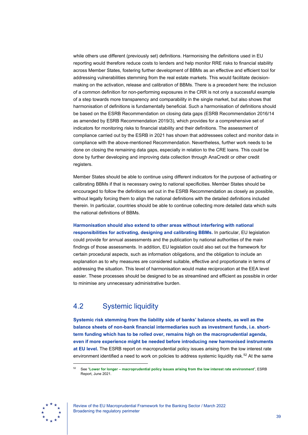while others use different (previously set) definitions. Harmonising the definitions used in EU reporting would therefore reduce costs to lenders and help monitor RRE risks to financial stability across Member States, fostering further development of BBMs as an effective and efficient tool for addressing vulnerabilities stemming from the real estate markets. This would facilitate decisionmaking on the activation, release and calibration of BBMs. There is a precedent here: the inclusion of a common definition for non-performing exposures in the CRR is not only a successful example of a step towards more transparency and comparability in the single market, but also shows that harmonisation of definitions is fundamentally beneficial. Such a harmonisation of definitions should be based on the ESRB Recommendation on closing data gaps (ESRB Recommendation 2016/14 as amended by ESRB Recommendation 2019/3), which provides for a comprehensive set of indicators for monitoring risks to financial stability and their definitions. The assessment of compliance carried out by the ESRB in 2021 has shown that addressees collect and monitor data in compliance with the above-mentioned Recommendation. Nevertheless, further work needs to be done on closing the remaining data gaps, especially in relation to the CRE loans. This could be done by further developing and improving data collection through AnaCredit or other credit registers.

Member States should be able to continue using different indicators for the purpose of activating or calibrating BBMs if that is necessary owing to national specificities. Member States should be encouraged to follow the definitions set out in the ESRB Recommendation as closely as possible, without legally forcing them to align the national definitions with the detailed definitions included therein. In particular, countries should be able to continue collecting more detailed data which suits the national definitions of BBMs.

# **Harmonisation should also extend to other areas without interfering with national**

**responsibilities for activating, designing and calibrating BBMs.** In particular, EU legislation could provide for annual assessments and the publication by national authorities of the main findings of those assessments. In addition, EU legislation could also set out the framework for certain procedural aspects, such as information obligations, and the obligation to include an explanation as to why measures are considered suitable, effective and proportionate in terms of addressing the situation. This level of harmonisation would make reciprocation at the EEA level easier. These processes should be designed to be as streamlined and efficient as possible in order to minimise any unnecessary administrative burden.

# <span id="page-39-0"></span>4.2 Systemic liquidity

**Systemic risk stemming from the liability side of banks' balance sheets, as well as the balance sheets of non-bank financial intermediaries such as investment funds, i.e. shortterm funding which has to be rolled over, remains high on the macroprudential agenda, even if more experience might be needed before introducing new harmonised instruments at EU level.** The ESRB report on macroprudential policy issues arising from the low interest rate environment identified a need to work on policies to address systemic liquidity risk.<sup>52</sup> At the same

<span id="page-39-1"></span>

<sup>52</sup> See "**Lower for longer – [macroprudential policy issues arising from the low interest rate environment](https://www.esrb.europa.eu/pub/pdf/reports/esrb.reports210601_low_interest_rate%7E199fb84437.en.pdf)**", ESRB [Report, June 2021.](https://www.esrb.europa.eu/pub/pdf/reports/esrb.reports210601_low_interest_rate%7E199fb84437.en.pdf)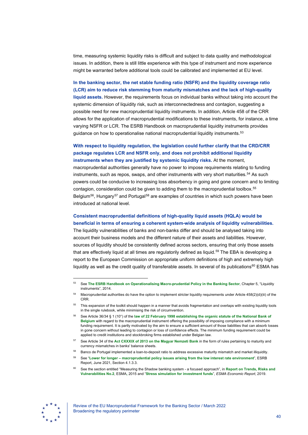time, measuring systemic liquidity risks is difficult and subject to data quality and methodological issues. In addition, there is still little experience with this type of instrument and more experience might be warranted before additional tools could be calibrated and implemented at EU level.

**In the banking sector, the net stable funding ratio (NSFR) and the liquidity coverage ratio (LCR) aim to reduce risk stemming from maturity mismatches and the lack of high-quality liquid assets.** However, the requirements focus on individual banks without taking into account the systemic dimension of liquidity risk, such as interconnectedness and contagion, suggesting a possible need for new macroprudential liquidity instruments. In addition, Article 458 of the CRR allows for the application of macroprudential modifications to these instruments, for instance, a time varying NSFR or LCR. The ESRB Handbook on macroprudential liquidity instruments provides guidance on how to operationalise national macroprudential liquidity instruments.<sup>[53](#page-40-0)</sup>

## **With respect to liquidity regulation, the legislation could further clarify that the CRD/CRR package regulates LCR and NSFR only, and does not prohibit additional liquidity instruments when they are justified by systemic liquidity risks.** At the moment,

macroprudential authorities generally have no power to impose requirements relating to funding instruments, such as repos, swaps, and other instruments with very short maturities.<sup>[54](#page-40-1)</sup> As such powers could be conducive to increasing loss absorbency in going and gone concern and to limiting contagion, consideration could be given to adding them to the macroprudential toolbox.<sup>55</sup> Belgium<sup>[56](#page-40-3)</sup>, Hungary<sup>[57](#page-40-4)</sup> and Portugal<sup>[58](#page-40-5)</sup> are examples of countries in which such powers have been introduced at national level.

## **Consistent macroprudential definitions of high-quality liquid assets (HQLA) would be beneficial in terms of ensuring a coherent system-wide analysis of liquidity vulnerabilities.**

The liquidity vulnerabilities of banks and non-banks differ and should be analysed taking into account their business models and the different nature of their assets and liabilities. However, sources of liquidity should be consistently defined across sectors, ensuring that only those assets that are effectively liquid at all times are regulatorily defined as liquid.<sup>59</sup> The EBA is developing a report to the European Commission on appropriate uniform definitions of high and extremely high liquidity as well as the credit quality of transferable assets. In several of its publications<sup>[60](#page-40-7)</sup> ESMA has

<span id="page-40-7"></span><span id="page-40-6"></span><span id="page-40-5"></span><span id="page-40-4"></span>

<span id="page-40-0"></span><sup>53</sup> See **[The ESRB Handbook on Operationalising Macro-prudential Policy in the Banking Sector](https://www.esrb.europa.eu/pub/pdf/other/150625_esrb_handbook_addendum.en.pdf)**, Chapter 5, "Liquidity [instruments"](https://www.esrb.europa.eu/pub/pdf/other/150625_esrb_handbook_addendum.en.pdf), 2014.

<span id="page-40-1"></span>Macroprudential authorities do have the option to implement stricter liquidity requirements under Article 458(2)(d)(iii) of the CRR.

<span id="page-40-2"></span>This expansion of the toolkit should happen in a manner that avoids fragmentation and overlaps with existing liquidity tools in the single rulebook, while minimising the risk of circumvention.

<span id="page-40-3"></span><sup>56</sup> See Article 36/34 § 1 (10°) of the **[law of 22 February 1998 establishing the organic statute of the National Bank of](https://www.nbb.be/doc/ts/enterprise/juridisch/e/organic_act.pdf)  [Belgium](https://www.nbb.be/doc/ts/enterprise/juridisch/e/organic_act.pdf)** with regard to the macroprudential instrument offering the possibility of imposing compliance with a minimum funding requirement. It is partly motivated by the aim to ensure a sufficient amount of those liabilities that can absorb losses in gone concern without leading to contagion or loss of confidence effects. The minimum funding requirement could be applied to credit institutions and stockbroking firms established under Belgian law.

<sup>57</sup> See Article 34 of the **[Act CXXXIX of 2013 on the Magyar Nemzeti Bank](https://www.mnb.hu/letoltes/mnb-torveny-2019-04-05-en.pdf)** in the form of rules pertaining to maturity and currency mismatches in banks' balance sheets.

<sup>58</sup> Banco de Portugal implemented a loan-to-deposit ratio to address excessive maturity mismatch and market illiquidity.

<sup>59</sup> See "**Lower for longer – [macroprudential policy issues arising from the low interest rate environment](https://www.esrb.europa.eu/pub/pdf/reports/esrb.reports210601_low_interest_rate%7E199fb84437.en.pdf)**", ESRB Report, June 2021, [Section 4.1.3.3.](https://www.esrb.europa.eu/pub/pdf/reports/esrb.reports210601_low_interest_rate%7E199fb84437.en.pdf)

<sup>60</sup> See the section entitled "Measuring the Shadow banking system - a focused approach", in **[Report on Trends, Risks and](https://www.esma.europa.eu/sites/default/files/library/2015_esma_-_1290_-_trv_2_2015.pdf)  [Vulnerabilities No.2](https://www.esma.europa.eu/sites/default/files/library/2015_esma_-_1290_-_trv_2_2015.pdf)**, ESMA**,** 2015 and "**[Stress simulation for investment funds](https://www.esma.europa.eu/sites/default/files/library/esma50-164-2458_stresi_report.pdf)**", *ESMA Economic Report*, 2019.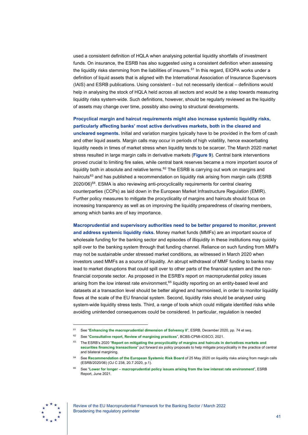used a consistent definition of HQLA when analysing potential liquidity shortfalls of investment funds. On insurance, the ESRB has also suggested using a consistent definition when assessing the liquidity risks stemming from the liabilities of insurers.<sup>[61](#page-41-0)</sup> In this regard, EIOPA works under a definition of liquid assets that is aligned with the International Association of Insurance Supervisors (IAIS) and ESRB publications. Using consistent – but not necessarily identical – definitions would help in analysing the stock of HQLA held across all sectors and would be a step towards measuring liquidity risks system-wide. Such definitions, however, should be regularly reviewed as the liquidity of assets may change over time, possibly also owing to structural developments.

**Procyclical margin and haircut requirements might also increase systemic liquidity risks, particularly affecting banks' most active derivatives markets, both in the cleared and uncleared segments.** Initial and variation margins typically have to be provided in the form of cash and other liquid assets. Margin calls may occur in periods of high volatility, hence exacerbating liquidity needs in times of market stress when liquidity tends to be scarcer. The March 2020 market stress resulted in large margin calls in derivative markets (**[Figure 9](#page-42-1)**). Central bank interventions proved crucial to limiting fire sales, while central bank reserves became a more important source of liquidity both in absolute and relative terms. $62$  The ESRB is carrying out work on margins and haircuts<sup>[63](#page-41-2)</sup> and has published a recommendation on liquidity risk arising from margin calls (ESRB 2020/06)<sup>[64](#page-41-3)</sup>. ESMA is also reviewing anti-procyclicality requirements for central clearing counterparties (CCPs) as laid down in the European Market Infrastructure Regulation (EMIR). Further policy measures to mitigate the procyclicality of margins and haircuts should focus on increasing transparency as well as on improving the liquidity preparedness of clearing members, among which banks are of key importance.

**Macroprudential and supervisory authorities need to be better prepared to monitor, prevent and address systemic liquidity risks.** Money market funds (MMFs) are an important source of wholesale funding for the banking sector and episodes of illiquidity in these institutions may quickly spill over to the banking system through that funding channel. Reliance on such funding from MMFs may not be sustainable under stressed market conditions, as witnessed in March 2020 when investors used MMFs as a source of liquidity. An abrupt withdrawal of MMF funding to banks may lead to market disruptions that could spill over to other parts of the financial system and the nonfinancial corporate sector. As proposed in the ESRB's report on macroprudential policy issues arising from the low interest rate environment, $65$  liquidity reporting on an entity-based level and datasets at a transaction level should be better aligned and harmonised, in order to monitor liquidity flows at the scale of the EU financial system. Second, liquidity risks should be analysed using system-wide liquidity stress tests. Third, a range of tools which could mitigate identified risks while avoiding unintended consequences could be considered. In particular, regulation is needed

<span id="page-41-4"></span><span id="page-41-3"></span><span id="page-41-2"></span>

<span id="page-41-0"></span><sup>61</sup> See "**[Enhancing the macroprudential dimension of Solvency II](https://www.esrb.europa.eu/pub/pdf/reports/esrb.200226_enhancingmacroprudentialdimensionsolvency2%7E1264e30795.en.pdf)**", ESRB, December 2020, pp. 74 et seq.

<span id="page-41-1"></span><sup>62</sup> See "**Consultative report, [Review of margining practices](https://www.bis.org/bcbs/publ/d526.pdf)**", BCBS-CPMI-IOSCO, 2021.

<sup>63</sup> The ESRB's 2020 "**[Report on mitigating the procyclicality of margins and haircuts in derivatives markets and](https://www.esrb.europa.eu/pub/pdf/reports/esrb.report_200109_mitigating_procyclicality_margins_haricuts%7E0f3e9f9e48.en.pdf)  [securities financing transactions](https://www.esrb.europa.eu/pub/pdf/reports/esrb.report_200109_mitigating_procyclicality_margins_haricuts%7E0f3e9f9e48.en.pdf)**" put forward six policy proposals to help mitigate procyclicality in the practice of central and bilateral margining.

<sup>64</sup> See **Recommendation [of the European Systemic Risk Board](https://www.esrb.europa.eu/pub/pdf/recommendations/esrb.recommendation200608_on_liquidity_risks_arising_from_margin_calls%7E41c70f16b2.en.pdf)** of 25 May 2020 on liquidity risks arising from margin calls (ESRB/2020/06) (OJ C 238, 20.7.2020, p.1).

<sup>65</sup> See "**Lower for longer – [macroprudential policy issues arising from the low interest rate environment](https://www.esrb.europa.eu/pub/pdf/reports/esrb.reports210601_low_interest_rate%7E199fb84437.en.pdf)**", ESRB Report, June 2021.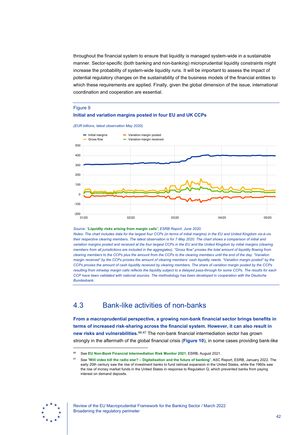throughout the financial system to ensure that liquidity is managed system-wide in a sustainable manner. Sector-specific (both banking and non-banking) microprudential liquidity constraints might increase the probability of system-wide liquidity runs. It will be important to assess the impact of potential regulatory changes on the sustainability of the business models of the financial entities to which these requirements are applied. Finally, given the global dimension of the issue, international coordination and cooperation are essential.

#### <span id="page-42-1"></span>Figure 9

### **Initial and variation margins posted in four EU and UK CCPs**

*(EUR billions, latest observation May 2020)*



#### *Source: "[Liquidity risks arising from margin calls](https://www.esrb.europa.eu/pub/pdf/reports/esrb.report200608_on_Liquidity_risks_arising_from_margin_calls_3%7E08542993cf.en.pdf)", ESRB Report, June 2020.*

*Notes: The chart includes data for the largest four CCPs (in terms of initial margins) in the EU and United Kingdom vis-à-vis their respective clearing members. The latest observation is for 7 May 2020. The chart shows a comparison of initial and variation margins posted and received at the four largest CCPs in the EU and the United Kingdom by initial margins (clearing members from all jurisdictions are included in the aggregates). "Gross flow" proxies the total amount of liquidity flowing from clearing members to the CCPs plus the amount from the CCPs to the clearing members until the end of the day. "Variation margin received" by the CCPs proxies the amount of clearing members' cash liquidity needs. "Variation margin posted" by the CCPs proxies the amount of cash liquidity received by clearing members. The share of variation margin posted by the CCPs resulting from intraday margin calls reflects the liquidity subject to a delayed pass-through for some CCPs. The results for each CCP have been validated with national sources. The methodology has been developed in cooperation with the Deutsche Bundesbank.*

# <span id="page-42-0"></span>4.3 Bank-like activities of non-banks

**From a macroprudential perspective, a growing non-bank financial sector brings benefits in terms of increased risk-sharing across the financial system. However, it can also result in new risks and vulnerabilities.**[66,](#page-42-2)[67](#page-42-3) The non-bank financial intermediation sector has grown strongly in the aftermath of the global financial crisis (**[Figure 10](#page-43-0)**), in some cases providing bank-like

<span id="page-42-3"></span><span id="page-42-2"></span>

<sup>66</sup> See **[EU Non-Bank Financial Intermediation Risk Monitor 2021](https://www.esrb.europa.eu/pub/pdf/reports/nbfi_monitor/esrb.202108_eunon-bankfinancialintermediationriskmonitor2021_%7E88093a4a94.en.pdf)**, ESRB, August 2021.

<sup>67</sup> See "**[Will video kill the radio star? – Digitalisation and the future of banking](https://www.esrb.europa.eu/pub/pdf/asc/esrb.ascreport202201_digitalisationandthefutureofbanking%7E83f079b5c7.en.pdf)**", ASC Report, ESRB, January 2022. The early 20th century saw the rise of investment banks to fund railroad expansion in the United States, while the 1960s saw the rise of money market funds in the United States in response to Regulation Q, which prevented banks from paying interest on demand deposits.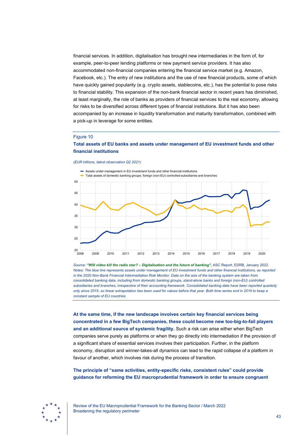financial services. In addition, digitalisation has brought new intermediaries in the form of, for example, peer-to-peer lending platforms or new payment service providers. It has also accommodated non-financial companies entering the financial service market (e.g. Amazon, Facebook, etc.). The entry of new institutions and the use of new financial products, some of which have quickly gained popularity (e.g. crypto assets, stablecoins, etc.), has the potential to pose risks to financial stability. This expansion of the non-bank financial sector in recent years has diminished, at least marginally, the role of banks as providers of financial services to the real economy, allowing for risks to be diversified across different types of financial institutions. But it has also been accompanied by an increase in liquidity transformation and maturity transformation, combined with a pick-up in leverage for some entities.

#### <span id="page-43-0"></span>Figure 10

### **Total assets of EU banks and assets under management of EU investment funds and other financial institutions**

#### *(EUR trillions, latest observation Q2 2021)*



*Source: ["Will video kill the radio star? – Digitalisation and the future of banking"](https://www.esrb.europa.eu/pub/pdf/asc/esrb.ascreport202201_digitalisationandthefutureofbanking%7E83f079b5c7.en.pdf),* ASC Report, ESRB, January 2022. *Notes: The blue line represents assets under management of EU investment funds and other financial institutions, as reported in the 2020 Non-Bank Financial Intermediation Risk Monitor. Data on the size of the banking system are taken from consolidated banking data, including from domestic banking groups, stand-alone banks and foreign (non-EU) controlled subsidiaries and branches, irrespective of their accounting framework. Consolidated banking data have been reported quarterly only since 2015, so linear extrapolation has been used for values before that year. Both time series end in 2019 to keep a constant sample of EU countries.*

**At the same time, if the new landscape involves certain key financial services being concentrated in a few BigTech companies, these could become new too-big-to-fail players and an additional source of systemic fragility.** Such a risk can arise either when BigTech companies serve purely as platforms or when they go directly into intermediation if the provision of a significant share of essential services involves their participation. Further, in the platform economy, disruption and winner-takes-all dynamics can lead to the rapid collapse of a platform in favour of another, which involves risk during the process of transition.

**The principle of "same activities, entity-specific risks, consistent rules" could provide guidance for reforming the EU macroprudential framework in order to ensure congruent** 

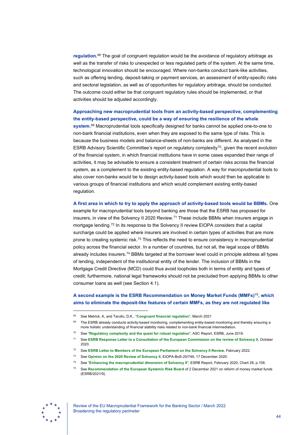**regulation.**[68](#page-44-0) The goal of congruent regulation would be the avoidance of regulatory arbitrage as well as the transfer of risks to unexpected or less regulated parts of the system. At the same time, technological innovation should be encouraged. Where non-banks conduct bank-like activities, such as offering lending, deposit-taking or payment services, an assessment of entity-specific risks and sectoral legislation, as well as of opportunities for regulatory arbitrage, should be conducted. The outcome could either be that congruent regulatory rules should be implemented, or that activities should be adjusted accordingly.

## **Approaching new macroprudential tools from an activity-based perspective, complementing the entity-based perspective, could be a way of ensuring the resilience of the whole**

**system.**[69](#page-44-1) Macroprudential tools specifically designed for banks cannot be applied one-to-one to non-bank financial institutions, even when they are exposed to the same type of risks. This is because the business models and balance-sheets of non-banks are different. As analysed in the ESRB Advisory Scientific Committee's report on regulatory complexity<sup>70</sup>, given the recent evolution of the financial system, in which financial institutions have in some cases expanded their range of activities, it may be advisable to ensure a consistent treatment of certain risks across the financial system, as a complement to the existing entity-based regulation. A way for macroprudential tools to also cover non-banks would be to design activity-based tools which would then be applicable to various groups of financial institutions and which would complement existing entity-based regulation.

**A first area in which to try to apply the approach of activity-based tools would be BBMs.** One example for macroprudential tools beyond banking are those that the ESRB has proposed for insurers, in view of the Solvency II 2020 Review.<sup>[71](#page-44-3)</sup> These include BBMs when insurers engage in mortgage lending.<sup>[72](#page-44-4)</sup> In its response to the Solvency II review EIOPA considers that a capital surcharge could be applied where insurers are involved in certain types of activities that are more prone to creating systemic risk.[73](#page-44-5) This reflects the need to ensure consistency in macroprudential policy across the financial sector. In a number of countries, but not all, the legal scope of BBMs already includes insurers.<sup>[74](#page-44-6)</sup> BBMs targeted at the borrower level could in principle address all types of lending, independent of the institutional entity of the lender. The inclusion of BBMs in the Mortgage Credit Directive (MCD) could thus avoid loopholes both in terms of entity and types of credit; furthermore, national legal frameworks should not be precluded from applying BBMs to other consumer loans as well (see Section 4.1).

### **A second example is the ESRB Recommendation on Money Market Funds (MMFs)**[75](#page-44-7)**, which aims to eliminate the deposit-like features of certain MMFs, as they are not regulated like**

- <sup>72</sup> See **[ESRB Letter to Members of the European Parliament on the Solvency II Review](https://www.esrb.europa.eu/pub/pdf/other/esrb.letter220202_on_solvencyii_to_EU_Parliament%7Ee573a2038c.en.pdf?3859e10cb66bea1174e8e15adaf1bc80)**, February 2022.
- <sup>73</sup> See **[Opinion on the 2020 Review of Solvency II](https://www.eiopa.europa.eu/sites/default/files/solvency_ii/eiopa-bos-20-749-opinion-2020-review-solvency-ii.pdf)**, EIOPA-BoS-20/749, 17 December 2020.
- <sup>74</sup> See "**[Enhancing the macroprudential dimension of Solvency II](https://www.esrb.europa.eu/pub/pdf/reports/esrb.200226_enhancingmacroprudentialdimensionsolvency2%7E1264e30795.en.pdf)**", ESRB Report, February 2020, Chart 28, p.106.

<span id="page-44-7"></span><span id="page-44-6"></span><span id="page-44-5"></span><span id="page-44-4"></span>

<sup>68</sup> See Metrick, A, and Tarullo, D.K., "**[Congruent financial regulation](https://www.brookings.edu/bpea-articles/congruent-financial-regulation/)**", March 2021

<span id="page-44-1"></span><span id="page-44-0"></span><sup>&</sup>lt;sup>69</sup> The ESRB already conducts activity-based monitoring, complementing entity-based monitoring and thereby ensuring a more holistic understanding of financial stability risks related to non-bank financial intermediation.

<span id="page-44-2"></span><sup>70</sup> See "**[Regulatory complexity and the quest for robust regulation](https://www.esrb.europa.eu/pub/pdf/asc/esrb.asc190604_8_regulatorycomplexityquestrobustregulation%7Ee63a7136c7.en.pdf)**", ASC Report, ESRB, June 2019.

<span id="page-44-3"></span><sup>71</sup> See **[ESRB Response Letter to a Consultation of the European Commission on the review of Solvency II](https://www.esrb.europa.eu/pub/pdf/other/esrb.letter201016_on_response_to_Solvency_II_review_consultation%7E8898c97469.en.pdf)**, October [2020.](https://www.esrb.europa.eu/pub/pdf/other/esrb.letter201016_on_response_to_Solvency_II_review_consultation%7E8898c97469.en.pdf)

<sup>75</sup> See **[Recommendation](https://www.esrb.europa.eu/pub/pdf/recommendations/esrb.recommendation220125_on_reform_of_money_market_funds%7E30936c5629.en.pdf) of the European Systemic Risk Board** of 2 December 2021 on reform of money market funds (ESRB/2021/9).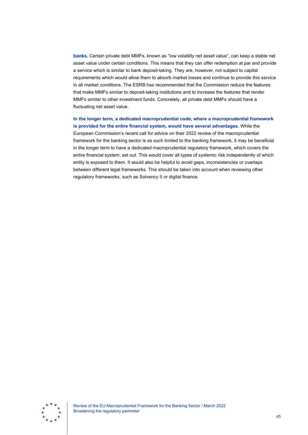**banks.** Certain private debt MMFs, known as "low volatility net asset value", can keep a stable net asset value under certain conditions. This means that they can offer redemption at par and provide a service which is similar to bank deposit-taking. They are, however, not subject to capital requirements which would allow them to absorb market losses and continue to provide this service in all market conditions. The ESRB has recommended that the Commission reduce the features that make MMFs similar to deposit-taking institutions and to increase the features that render MMFs similar to other investment funds. Concretely, all private debt MMFs should have a fluctuating net asset value.

**In the longer term, a dedicated macroprudential code, where a macroprudential framework is provided for the entire financial system, would have several advantages.** While the European Commission's recent call for advice on their 2022 review of the macroprudential framework for the banking sector is as such limited to the banking framework, it may be beneficial in the longer term to have a dedicated macroprudential regulatory framework, which covers the entire financial system, set out. This would cover all types of systemic risk independently of which entity is exposed to them. It would also be helpful to avoid gaps, inconsistencies or overlaps between different legal frameworks. This should be taken into account when reviewing other regulatory frameworks, such as Solvency II or digital finance.

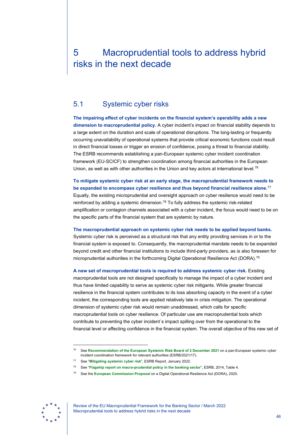# <span id="page-46-0"></span>5 Macroprudential tools to address hybrid risks in the next decade

# <span id="page-46-1"></span>5.1 Systemic cyber risks

**The impairing effect of cyber incidents on the financial system's operability adds a new dimension to macroprudential policy.** A cyber incident's impact on financial stability depends to a large extent on the duration and scale of operational disruptions. The long-lasting or frequently occurring unavailability of operational systems that provide critical economic functions could result in direct financial losses or trigger an erosion of confidence, posing a threat to financial stability. The ESRB recommends establishing a pan-European systemic cyber incident coordination framework (EU-SCICF) to strengthen coordination among financial authorities in the European Union, as well as with other authorities in the Union and key actors at international level.<sup>[76](#page-46-2)</sup>

**To mitigate systemic cyber risk at an early stage, the macroprudential framework needs to be expanded to encompass cyber resilience and thus beyond financial resilience alone.**[77](#page-46-3) Equally, the existing microprudential and oversight approach on cyber resilience would need to be reinforced by adding a systemic dimension.<sup>[78](#page-46-4)</sup> To fully address the systemic risk-related amplification or contagion channels associated with a cyber incident, the focus would need to be on the specific parts of the financial system that are systemic by nature.

**The macroprudential approach on systemic cyber risk needs to be applied beyond banks.**

Systemic cyber risk is perceived as a structural risk that any entity providing services in or to the financial system is exposed to. Consequently, the macroprudential mandate needs to be expanded beyond credit and other financial institutions to include third-party providers, as is also foreseen for microprudential authorities in the forthcoming Digital Operational Resilience Act (DORA).[79](#page-46-5)

**A new set of macroprudential tools is required to address systemic cyber risk.** Existing macroprudential tools are not designed specifically to manage the impact of a cyber incident and thus have limited capability to serve as systemic cyber risk mitigants. While greater financial resilience in the financial system contributes to its loss absorbing capacity in the event of a cyber incident, the corresponding tools are applied relatively late in crisis mitigation. The operational dimension of systemic cyber risk would remain unaddressed, which calls for specific macroprudential tools on cyber resilience. Of particular use are macroprudential tools which contribute to preventing the cyber incident`s impact spilling over from the operational to the financial level or affecting confidence in the financial system. The overall objective of this new set of

<span id="page-46-5"></span><span id="page-46-4"></span><span id="page-46-3"></span><span id="page-46-2"></span>

Review of the EU Macroprudential Framework for the Banking Sector / March 2022 Macroprudential tools to address hybrid risks in the next decade

<sup>76</sup> See **[Recommendation of the European Systemic Risk Board of 2 December 2021](https://www.esrb.europa.eu/pub/pdf/recommendations/esrb.recommendation220127_on_cyber_incident_coordination%7E0ebcbf5f69.en.pdf)** on a pan-European systemic cyber incident coordination framework for relevant authorities (ESRB/2021/17).

<sup>77</sup> See "**[Mitigating systemic cyber risk](https://www.esrb.europa.eu/pub/pdf/reports/esrb.SystemiCyberRisk.220127%7Eb6655fa027.en.pdf)**", ESRB Report, January 2022.

<sup>78</sup> See "**[Flagship report on macro-prudential policy in the banking sector](https://www.esrb.europa.eu/pub/pdf/other/140303_flagship_report.pdf)**", ESRB, 2014, Table 4.

<sup>79</sup> See the **European Commission Proposal** [on a Digital Operational Resilience Act \(DORA\), 2020](https://eur-lex.europa.eu/legal-content/EN/TXT/PDF/?uri=CELEX:52020PC0595&from=EN)**.**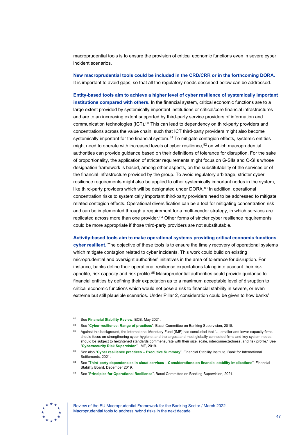macroprudential tools is to ensure the provision of critical economic functions even in severe cyber incident scenarios.

**New macroprudential tools could be included in the CRD/CRR or in the forthcoming DORA.** It is important to avoid gaps, so that all the regulatory needs described below can be addressed.

**Entity-based tools aim to achieve a higher level of cyber resilience of systemically important institutions compared with others.** In the financial system, critical economic functions are to a large extent provided by systemically important institutions or critical/core financial infrastructures and are to an increasing extent supported by third-party service providers of information and communication technologies (ICT).<sup>[80](#page-47-0)</sup> This can lead to dependency on third-party providers and concentrations across the value chain, such that ICT third-party providers might also become systemically important for the financial system.<sup>[81](#page-47-1)</sup> To mitigate contagion effects, systemic entities might need to operate with increased levels of cyber resilience, $82$  on which macroprudential authorities can provide guidance based on their definitions of tolerance for disruption. For the sake of proportionality, the application of stricter requirements might focus on G-SIIs and O-SIIs whose designation framework is based, among other aspects, on the substitutability of the services or of the financial infrastructure provided by the group. To avoid regulatory arbitrage, stricter cyber resilience requirements might also be applied to other systemically important nodes in the system, like third-party providers which will be designated under DORA.<sup>[83](#page-47-3)</sup> In addition, operational concentration risks to systemically important third-party providers need to be addressed to mitigate related contagion effects. Operational diversification can be a tool for mitigating concentration risk and can be implemented through a requirement for a multi-vendor strategy, in which services are replicated across more than one provider. $84$  Other forms of stricter cyber resilience requirements could be more appropriate if those third-party providers are not substitutable.

**Activity-based tools aim to make operational systems providing critical economic functions cyber resilient.** The objective of these tools is to ensure the timely recovery of operational systems which mitigate contagion related to cyber incidents. This work could build on existing microprudential and oversight authorities' initiatives in the area of tolerance for disruption. For instance, banks define their operational resilience expectations taking into account their risk appetite, risk capacity and risk profile.<sup>[85](#page-47-5)</sup> Macroprudential authorities could provide guidance to financial entities by defining their expectation as to a maximum acceptable level of disruption to critical economic functions which would not pose a risk to financial stability in severe, or even extreme but still plausible scenarios. Under Pillar 2, consideration could be given to how banks'

<span id="page-47-5"></span><span id="page-47-4"></span><span id="page-47-3"></span>

<sup>80</sup> See **[Financial Stability Review](https://www.ecb.europa.eu/pub/financial-stability/fsr/html/ecb.fsr202105%7E757f727fe4.en.html)**, ECB, May 2021.

<span id="page-47-1"></span><span id="page-47-0"></span><sup>81</sup> See "**[Cyber-resilience: Range of practices](https://www.bis.org/bcbs/publ/d454.pdf)**", Basel Committee on Banking Supervision, 2018.

<span id="page-47-2"></span><sup>82</sup> Against this background, the International Monetary Fund (IMF) has concluded that "... smaller and lower-capacity firms should focus on strengthening cyber hygiene, and the largest and most globally connected firms and key system nodes should be subject to heightened standards commensurate with their size, scale, interconnectedness, and risk profile." See "**[Cybersecurity Risk Supervision](https://www.imf.org/-/media/Files/Publications/DP/2019/English/CRSEA.ashx)**", IMF, 2019.

<sup>83</sup> See also "**[Cyber resilience practices –](https://www.bis.org/fsi/fsisummaries/cyber_resilience.pdf) Executive Summary**", Financial Stability Institute, Bank for International Settlements, 2021.

<sup>84</sup> See "**Third-party dependencies in cloud services – [Considerations on financial stability implications](https://www.fsb.org/wp-content/uploads/P091219-2.pdf)**", Financial Stability Board, December 2019.

<sup>85</sup> See "**[Principles for Operational Resilience](https://www.bis.org/bcbs/publ/d516.pdf)**", Basel Committee on Banking Supervision, 2021.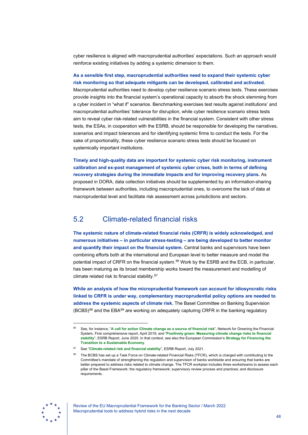cyber resilience is aligned with macroprudential authorities' expectations. Such an approach would reinforce existing initiatives by adding a systemic dimension to them.

## **As a sensible first step, macroprudential authorities need to expand their systemic cyber risk monitoring so that adequate mitigants can be developed, calibrated and activated.**

Macroprudential authorities need to develop cyber resilience scenario stress tests. These exercises provide insights into the financial system's operational capacity to absorb the shock stemming from a cyber incident in "what if" scenarios. Benchmarking exercises test results against institutions' and macroprudential authorities' tolerance for disruption, while cyber resilience scenario stress tests aim to reveal cyber risk-related vulnerabilities in the financial system. Consistent with other stress tests, the ESAs, in cooperation with the ESRB, should be responsible for developing the narratives, scenarios and impact tolerances and for identifying systemic firms to conduct the tests. For the sake of proportionality, these cyber resilience scenario stress tests should be focused on systemically important institutions.

**Timely and high-quality data are important for systemic cyber risk monitoring, instrument calibration and ex-post management of systemic cyber crises, both in terms of defining recovery strategies during the immediate impacts and for improving recovery plans.** As proposed in DORA, data collection initiatives should be supplemented by an information-sharing framework between authorities, including macroprudential ones, to overcome the lack of data at macroprudential level and facilitate risk assessment across jurisdictions and sectors.

# <span id="page-48-0"></span>5.2 Climate-related financial risks

**The systemic nature of climate-related financial risks (CRFR) is widely acknowledged, and numerous initiatives – in particular stress-testing – are being developed to better monitor and quantify their impact on the financial system.** Central banks and supervisors have been combining efforts both at the international and European level to better measure and model the potential impact of CRFR on the financial system.<sup>[86](#page-48-1)</sup> Work by the ESRB and the ECB, in particular, has been maturing as its broad membership works toward the measurement and modelling of climate related risk to financial stability.[87](#page-48-2)

**While an analysis of how the microprudential framework can account for idiosyncratic risks linked to CRFR is under way, complementary macroprudential policy options are needed to address the systemic aspects of climate risk.** The Basel Committee on Banking Supervision  $(BCBS)^{88}$  $(BCBS)^{88}$  $(BCBS)^{88}$  and the EBA $^{89}$  $^{89}$  $^{89}$  are working on adequately capturing CRFR in the banking regulatory

<span id="page-48-3"></span><span id="page-48-2"></span>

<span id="page-48-4"></span><span id="page-48-1"></span><sup>86</sup> See, for instance, "**[A call for action Climate change as a source of financial risk](https://www.ngfs.net/sites/default/files/medias/documents/ngfs_first_comprehensive_report_-_17042019_0.pdf)**", Network for Greening the Financial [System, First comprehensive](https://www.ngfs.net/sites/default/files/medias/documents/ngfs_first_comprehensive_report_-_17042019_0.pdf) report, April 2019, and "**[Positively green: Measuring climate change risks to financial](https://www.esrb.europa.eu/pub/pdf/reports/esrb.report200608_on_Positively_green_-_Measuring_climate_change_risks_to_financial_stability%7Ed903a83690.en.pdf)  stability**", [ESRB Report, June 2020.](https://www.esrb.europa.eu/pub/pdf/reports/esrb.report200608_on_Positively_green_-_Measuring_climate_change_risks_to_financial_stability%7Ed903a83690.en.pdf) In that context, see also the European Commission's **[Strategy for Financing the](https://eur-lex.europa.eu/legal-content/EN/TXT/HTML/?uri=CELEX:52021DC0390&from=BG)  [Transition to a Sustainable Economy](https://eur-lex.europa.eu/legal-content/EN/TXT/HTML/?uri=CELEX:52021DC0390&from=BG)**.

<sup>87</sup> See "**[Climate-related risk and financial stability](https://www.esrb.europa.eu/pub/pdf/reports/esrb.climateriskfinancialstability202107%7E79c10eba1a.en.pdf)**", ESRB Report, July 2021.

The BCBS has set up a Task Force on Climate-related Financial Risks (TFCR), which is charged with contributing to the Committee's mandate of strengthening the regulation and supervision of banks worldwide and ensuring that banks are better prepared to address risks related to climate change. The TFCR workplan includes three workstreams to assess each pillar of the Basel Framework: the regulatory framework; supervisory review process and practices; and disclosure requirements.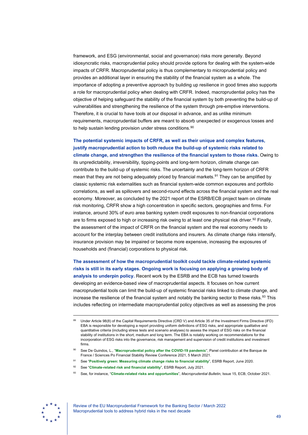framework, and ESG (environmental, social and governance) risks more generally. Beyond idiosyncratic risks, macroprudential policy should provide options for dealing with the system-wide impacts of CRFR. Macroprudential policy is thus complementary to microprudential policy and provides an additional layer in ensuring the stability of the financial system as a whole. The importance of adopting a preventive approach by building up resilience in good times also supports a role for macroprudential policy when dealing with CRFR. Indeed, macroprudential policy has the objective of helping safeguard the stability of the financial system by both preventing the build-up of vulnerabilities and strengthening the resilience of the system through pre-emptive interventions. Therefore, it is crucial to have tools at our disposal in advance, and as unlike minimum requirements, macroprudential buffers are meant to absorb unexpected or exogenous losses and to help sustain lending provision under stress conditions.<sup>[90](#page-49-0)</sup>

**The potential systemic impacts of CRFR, as well as their unique and complex features, justify macroprudential action to both reduce the build-up of systemic risks related to climate change, and strengthen the resilience of the financial system to those risks.** Owing to its unpredictability, irreversibility, tipping-points and long-term horizon, climate change can contribute to the build-up of systemic risks. The uncertainty and the long-term horizon of CRFR mean that they are not being adequately priced by financial markets.<sup>[91](#page-49-1)</sup> They can be amplified by classic systemic risk externalities such as financial system-wide common exposures and portfolio correlations, as well as spillovers and second-round effects across the financial system and the real economy. Moreover, as concluded by the 2021 report of the ESRB/ECB project team on climate risk monitoring, CRFR show a high concentration in specific sectors, geographies and firms. For instance, around 30% of euro area banking system credit exposures to non-financial corporations are to firms exposed to high or increasing risk owing to at least one physical risk driver.<sup>[92](#page-49-2)</sup> Finally, the assessment of the impact of CRFR on the financial system and the real economy needs to account for the interplay between credit institutions and insurers. As climate change risks intensify, insurance provision may be impaired or become more expensive, increasing the exposures of households and (financial) corporations to physical risk.

**The assessment of how the macroprudential toolkit could tackle climate-related systemic risks is still in its early stages. Ongoing work is focusing on applying a growing body of analysis to underpin policy.** Recent work by the ESRB and the ECB has turned towards developing an evidence-based view of macroprudential aspects. It focuses on how current macroprudential tools can limit the build-up of systemic financial risks linked to climate change, and increase the resilience of the financial system and notably the banking sector to these risks.<sup>[93](#page-49-3)</sup> This includes reflecting on intermediate macroprudential policy objectives as well as assessing the pros

<sup>93</sup> See, for instance, "**[Climate-related risks and opportunities](https://www.ecb.europa.eu/pub/financial-stability/macroprudential-bulletin/html/index.en.html)**", *Macroprudential Bulletin*, Issue 15, ECB, October 2021.

<span id="page-49-3"></span><span id="page-49-2"></span><span id="page-49-1"></span><span id="page-49-0"></span>

Review of the EU Macroprudential Framework for the Banking Sector / March 2022 Macroprudential tools to address hybrid risks in the next decade

Under Article 98(8) of the Capital Requirements Directive (CRD V) and Article 35 of the Investment Firms Directive (IFD) EBA is responsible for developing a report providing uniform definitions of ESG risks, and appropriate qualitative and quantitative criteria (including stress tests and scenario analyses) to assess the impact of ESG risks on the financial stability of institutions in the short, medium and long term. The EBA is notably working on recommendations for the incorporation of ESG risks into the governance, risk management and supervision of credit institutions and investment firms.

<sup>90</sup> See De Guindos, L., "**[Macroprudential policy after the COVID-19 pandemic](https://www.ecb.europa.eu/press/key/date/2021/html/ecb.sp210301%7E207a2ecf7e.en.html)**", Panel contribution at the Banque de [France / Sciences Po Financial Stability Review Conference 2021, 5 March](https://www.ecb.europa.eu/press/key/date/2021/html/ecb.sp210301%7E207a2ecf7e.en.html) 2021.

<sup>91</sup> See "**[Positively green: Measuring climate change risks to financial stability](https://www.esrb.europa.eu/pub/pdf/reports/esrb.report200608_on_Positively_green_-_Measuring_climate_change_risks_to_financial_stability%7Ed903a83690.en.pdf)**", ESRB Report, June 2020.

<sup>92</sup> See "**[Climate-related risk and financial stability](https://www.esrb.europa.eu/pub/pdf/reports/esrb.climateriskfinancialstability202107%7E79c10eba1a.en.pdf)**", ESRB Report, July 2021.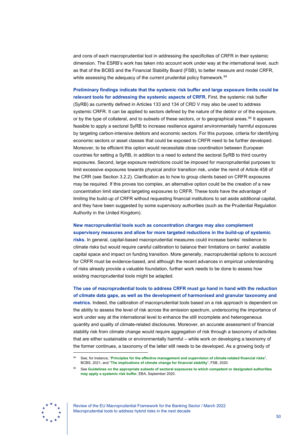and cons of each macroprudential tool in addressing the specificities of CRFR in their systemic dimension. The ESRB's work has taken into account work under way at the international level, such as that of the BCBS and the Financial Stability Board (FSB), to better measure and model CRFR, while assessing the adequacy of the current prudential policy framework.<sup>[94](#page-50-0)</sup>

**Preliminary findings indicate that the systemic risk buffer and large exposure limits could be relevant tools for addressing the systemic aspects of CRFR.** First, the systemic risk buffer (SyRB) as currently defined in Articles 133 and 134 of CRD V may also be used to address systemic CRFR. It can be applied to sectors defined by the nature of the debtor or of the exposure, or by the type of collateral, and to subsets of these sectors, or to geographical areas.<sup>95</sup> It appears feasible to apply a sectoral SyRB to increase resilience against environmentally harmful exposures by targeting carbon-intensive debtors and economic sectors. For this purpose, criteria for identifying economic sectors or asset classes that could be exposed to CRFR need to be further developed. Moreover, to be efficient this option would necessitate close coordination between European countries for setting a SyRB, in addition to a need to extend the sectoral SyRB to third country exposures. Second, large exposure restrictions could be imposed for macroprudential purposes to limit excessive exposures towards physical and/or transition risk, under the remit of Article 458 of the CRR (see Section 3.2.2). Clarification as to how to group clients based on CRFR exposures may be required. If this proves too complex, an alternative option could be the creation of a new concentration limit standard targeting exposures to CRFR. These tools have the advantage of limiting the build-up of CRFR without requesting financial institutions to set aside additional capital, and they have been suggested by some supervisory authorities (such as the Prudential Regulation Authority in the United Kingdom).

# **New macroprudential tools such as concentration charges may also complement supervisory measures and allow for more targeted reductions in the build-up of systemic**

**risks.** In general, capital-based macroprudential measures could increase banks' resilience to climate risks but would require careful calibration to balance their limitations on banks' available capital space and impact on funding transition. More generally, macroprudential options to account for CRFR must be evidence-based, and although the recent advances in empirical understanding of risks already provide a valuable foundation, further work needs to be done to assess how existing macroprudential tools might be adapted.

**The use of macroprudential tools to address CRFR must go hand in hand with the reduction of climate data gaps, as well as the development of harmonised and granular taxonomy and metrics.** Indeed, the calibration of macroprudential tools based on a risk approach is dependent on the ability to assess the level of risk across the emission spectrum, underscoring the importance of work under way at the international level to enhance the still incomplete and heterogeneous quantity and quality of climate-related disclosures. Moreover, an accurate assessment of financial stability risk from climate change would require aggregation of risk through a taxonomy of activities that are either sustainable or environmentally harmful – while work on developing a taxonomy of the former continues, a taxonomy of the latter still needs to be developed. As a growing body of

<span id="page-50-1"></span><span id="page-50-0"></span>

See, for instance, "[Principles for the effective management and supervision of climate-related financial risks](https://www.bis.org/press/p211116.htm)", BCBS, 2021, and "**[The implications of climate change for financial stability](https://www.fsb.org/2020/11/the-implications-of-climate-change-for-financial-stability/)**", FSB, 2020.

<sup>95</sup> See **[Guidelines on the appropriate subsets of sectoral exposures to which competent or designated authorities](https://eba.europa.eu/eba-publishes-final-guidelines-appropriate-subsets-sectoral-exposures-application-systemic-risk)  [may apply a systemic risk buffer](https://eba.europa.eu/eba-publishes-final-guidelines-appropriate-subsets-sectoral-exposures-application-systemic-risk)**, EBA, September 2020.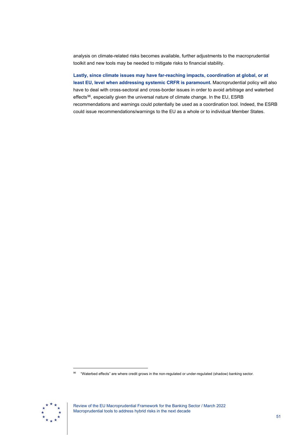analysis on climate-related risks becomes available, further adjustments to the macroprudential toolkit and new tools may be needed to mitigate risks to financial stability.

**Lastly, since climate issues may have far-reaching impacts, coordination at global, or at least EU, level when addressing systemic CRFR is paramount.** Macroprudential policy will also have to deal with cross-sectoral and cross-border issues in order to avoid arbitrage and waterbed effects<sup>[96](#page-51-0)</sup>, especially given the universal nature of climate change. In the EU, ESRB recommendations and warnings could potentially be used as a coordination tool. Indeed, the ESRB could issue recommendations/warnings to the EU as a whole or to individual Member States.

<span id="page-51-0"></span>

Review of the EU Macroprudential Framework for the Banking Sector / March 2022 Macroprudential tools to address hybrid risks in the next decade

<sup>96 &</sup>quot;Waterbed effects" are where credit grows in the non-regulated or under-regulated (shadow) banking sector.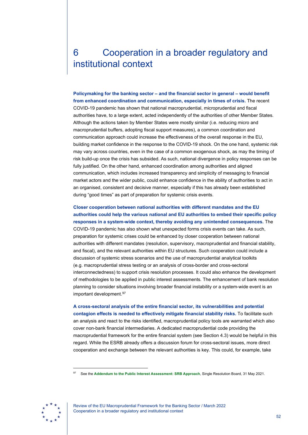# <span id="page-52-0"></span>6 Cooperation in a broader regulatory and institutional context

**Policymaking for the banking sector – and the financial sector in general – would benefit from enhanced coordination and communication, especially in times of crisis.** The recent COVID-19 pandemic has shown that national macroprudential, microprudential and fiscal authorities have, to a large extent, acted independently of the authorities of other Member States. Although the actions taken by Member States were mostly similar (i.e. reducing micro and macroprudential buffers, adopting fiscal support measures), a common coordination and communication approach could increase the effectiveness of the overall response in the EU, building market confidence in the response to the COVID-19 shock. On the one hand, systemic risk may vary across countries, even in the case of a common exogenous shock, as may the timing of risk build-up once the crisis has subsided. As such, national divergence in policy responses can be fully justified. On the other hand, enhanced coordination among authorities and aligned communication, which includes increased transparency and simplicity of messaging to financial market actors and the wider public, could enhance confidence in the ability of authorities to act in an organised, consistent and decisive manner, especially if this has already been established during "good times" as part of preparation for systemic crisis events.

**Closer cooperation between national authorities with different mandates and the EU authorities could help the various national and EU authorities to embed their specific policy responses in a system-wide context, thereby avoiding any unintended consequences.** The COVID-19 pandemic has also shown what unexpected forms crisis events can take. As such, preparation for systemic crises could be enhanced by closer cooperation between national authorities with different mandates (resolution, supervisory, macroprudential and financial stability, and fiscal), and the relevant authorities within EU structures. Such cooperation could include a discussion of systemic stress scenarios and the use of macroprudential analytical toolkits (e.g. macroprudential stress testing or an analysis of cross-border and cross-sectoral interconnectedness) to support crisis resolution processes. It could also enhance the development of methodologies to be applied in public interest assessments. The enhancement of bank resolution planning to consider situations involving broader financial instability or a system-wide event is an important development.<sup>[97](#page-52-1)</sup>

**A cross-sectoral analysis of the entire financial sector, its vulnerabilities and potential contagion effects is needed to effectively mitigate financial stability risks.** To facilitate such an analysis and react to the risks identified, macroprudential policy tools are warranted which also cover non-bank financial intermediaries. A dedicated macroprudential code providing the macroprudential framework for the entire financial system (see Section 4.3) would be helpful in this regard. While the ESRB already offers a discussion forum for cross-sectoral issues, more direct cooperation and exchange between the relevant authorities is key. This could, for example, take

<span id="page-52-1"></span>

Review of the EU Macroprudential Framework for the Banking Sector / March 2022 Cooperation in a broader regulatory and institutional context

<sup>97</sup> See the **[Addendum to the Public Interest Assessment: SRB Approach](https://www.srb.europa.eu/system/files/media/document/2021-05-29_srb_addendum_to_public_interest_assessment.pdf)**, Single Resolution Board, 31 May 2021.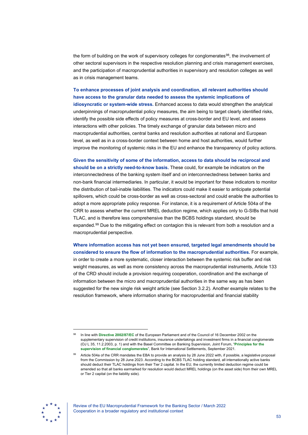the form of building on the work of supervisory colleges for conglomerates<sup>[98](#page-53-0)</sup>, the involvement of other sectoral supervisors in the respective resolution planning and crisis management exercises, and the participation of macroprudential authorities in supervisory and resolution colleges as well as in crisis management teams.

**To enhance processes of joint analysis and coordination, all relevant authorities should have access to the granular data needed to assess the systemic implications of idiosyncratic or system-wide stress.** Enhanced access to data would strengthen the analytical underpinnings of macroprudential policy measures, the aim being to target clearly identified risks, identify the possible side effects of policy measures at cross-border and EU level, and assess interactions with other policies. The timely exchange of granular data between micro and macroprudential authorities, central banks and resolution authorities at national and European level, as well as in a cross-border context between home and host authorities, would further improve the monitoring of systemic risks in the EU and enhance the transparency of policy actions.

**Given the sensitivity of some of the information, access to data should be reciprocal and should be on a strictly need-to-know basis.** These could, for example be indicators on the interconnectedness of the banking system itself and on interconnectedness between banks and non-bank financial intermediaries. In particular, it would be important for these indicators to monitor the distribution of bail-inable liabilities. The indicators could make it easier to anticipate potential spillovers, which could be cross-border as well as cross-sectoral and could enable the authorities to adopt a more appropriate policy response. For instance, it is a requirement of Article 504a of the CRR to assess whether the current MREL deduction regime, which applies only to G-SIBs that hold TLAC, and is therefore less comprehensive than the BCBS holdings standard, should be expanded.<sup>[99](#page-53-1)</sup> Due to the mitigating effect on contagion this is relevant from both a resolution and a macroprudential perspective.

**Where information access has not yet been ensured, targeted legal amendments should be considered to ensure the flow of information to the macroprudential authorities.** For example, in order to create a more systematic, closer interaction between the systemic risk buffer and risk weight measures, as well as more consistency across the macroprudential instruments, Article 133 of the CRD should include a provision requiring cooperation, coordination and the exchange of information between the micro and macroprudential authorities in the same way as has been suggested for the new single risk weight article (see Section 3.2.2). Another example relates to the resolution framework, where information sharing for macroprudential and financial stability

<span id="page-53-1"></span>

<span id="page-53-0"></span><sup>98</sup> In line with **[Directive 2002/87/EC](https://eur-lex.europa.eu/legal-content/EN/TXT/?uri=CELEX%3A02002L0087-20210626)** of the European Parliament and of the Council of 16 December 2002 on the supplementary supervision of credit institutions, insurance undertakings and investment firms in a financial conglomerate (OJ L 35, 11.2.2003, p. 1) and with the Basel Committee on Banking Supervision, Joint Forum, "**[Principles for the](https://www.bis.org/publ/joint29.htm)  [supervision of financial conglomerates](https://www.bis.org/publ/joint29.htm)**", Bank for International Settlements, September 2021.

Article 504a of the CRR mandates the EBA to provide an analysis by 28 June 2022 with, if possible, a legislative proposal from the Commission by 28 June 2023. According to the BCBS TLAC holding standard, all internationally active banks should deduct their TLAC holdings from their Tier 2 capital. In the EU, the currently limited deduction regime could be amended so that all banks earmarked for resolution would deduct MREL holdings (on the asset side) from their own MREL or Tier 2 capital (on the liability side).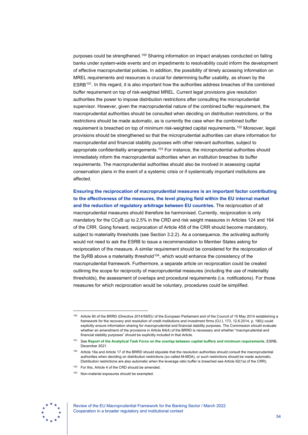purposes could be strengthened.[100](#page-54-0) Sharing information on impact analyses conducted on failing banks under system-wide events and on impediments to resolvability could inform the development of effective macroprudential policies. In addition, the possibility of timely accessing information on MREL requirements and resources is crucial for determining buffer usability, as shown by the ESRB<sup>101</sup>. In this regard, it is also important how the authorities address breaches of the combined buffer requirement on top of risk-weighted MREL. Current legal provisions give resolution authorities the power to impose distribution restrictions after consulting the microprudential supervisor. However, given the macroprudential nature of the combined buffer requirement, the macroprudential authorities should be consulted when deciding on distribution restrictions, or the restrictions should be made automatic, as is currently the case when the combined buffer requirement is breached on top of minimum risk-weighted capital requirements[.102](#page-54-2) Moreover, legal provisions should be strengthened so that the microprudential authorities can share information for macroprudential and financial stability purposes with other relevant authorities, subject to appropriate confidentiality arrangements.<sup>[103](#page-54-3)</sup> For instance, the microprudential authorities should immediately inform the macroprudential authorities when an institution breaches its buffer requirements. The macroprudential authorities should also be involved in assessing capital conservation plans in the event of a systemic crisis or if systemically important institutions are affected.

**Ensuring the reciprocation of macroprudential measures is an important factor contributing to the effectiveness of the measures, the level playing field within the EU internal market and the reduction of regulatory arbitrage between EU countries.** The reciprocation of all macroprudential measures should therefore be harmonised. Currently, reciprocation is only mandatory for the CCyB up to 2.5% in the CRD and risk weight measures in Articles 124 and 164 of the CRR. Going forward, reciprocation of Article 458 of the CRR should become mandatory, subject to materiality thresholds (see Section 3.2.2). As a consequence, the activating authority would not need to ask the ESRB to issue a recommendation to Member States asking for reciprocation of the measure. A similar requirement should be considered for the reciprocation of the SyRB above a materiality threshold<sup>104</sup>, which would enhance the consistency of the macroprudential framework. Furthermore, a separate article on reciprocation could be created outlining the scope for reciprocity of macroprudential measures (including the use of materiality thresholds), the assessment of overlaps and procedural requirements (i.e. notifications). For those measures for which reciprocation would be voluntary, procedures could be simplified.

<span id="page-54-4"></span><span id="page-54-3"></span><span id="page-54-2"></span><span id="page-54-1"></span>

<span id="page-54-0"></span><sup>100</sup> Article 90 of the BRRD (Directive 2014/59/EU of the European Parliament and of the Council of 15 May 2014 establishing a framework for the recovery and resolution of credit institutions and investment firms (OJ L 173, 12.6.2014, p. 190)) could explicitly ensure information sharing for macroprudential and financial stability purposes. The Commission should evaluate whether an amendment of the provisions in Article 84(4) of the BRRD is necessary and whether "macroprudential and financial stability purposes" should be explicitly included in that Article.

<sup>101</sup> See **[Report of the Analytical Task Force on the overlap between capital buffers and minimum requirements](https://www.esrb.europa.eu/pub/pdf/reports/esrb.ATFreport211217_capitalbuffers%7Ea1d4725ab0.en.pdf)**, ESRB, December 2021.

<sup>&</sup>lt;sup>102</sup> Article 16a and Article 17 of the BRRD should stipulate that the resolution authorities should consult the macroprudential authorities when deciding on distribution restrictions (so called M-MDA), or such restrictions should be made automatic. Distribution restrictions are also automatic when the leverage ratio buffer is breached see Article 92(1a) of the CRR).

 $103$  For this, Article 4 of the CRD should be amended.

<sup>104</sup> Non-material exposures should be exempted.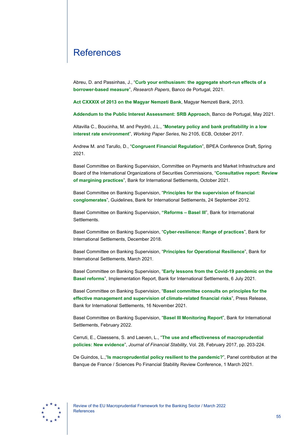# <span id="page-55-0"></span>**References**

Abreu, D. and Passinhas, J., "**[Curb your enthusiasm: the aggregate short-run effects of a](https://www.bportugal.pt/en/paper/curb-your-enthusiasm-aggregate-short-run-effects-borrower-based-measure)  [borrower-based measure](https://www.bportugal.pt/en/paper/curb-your-enthusiasm-aggregate-short-run-effects-borrower-based-measure)**", *Research Papers*, Banco de Portugal, 2021.

**[Act CXXXIX of 2013 on the Magyar Nemzeti Bank](https://www.mnb.hu/letoltes/mnb-torveny-2019-04-05-en.pdf)**, Magyar Nemzeti Bank, 2013.

**[Addendum to the Public Interest Assessment: SRB Approach](https://www.srb.europa.eu/system/files/media/document/2021-05-29_srb_addendum_to_public_interest_assessment.pdf)**, Banco de Portugal, May 2021.

Altavilla C., Boucinha, M. and Peydró, J.L., "**[Monetary policy and bank profitability in a low](https://www.ecb.europa.eu/pub/pdf/scpwps/ecb.wp2105.en.pdf)  [interest rate environment](https://www.ecb.europa.eu/pub/pdf/scpwps/ecb.wp2105.en.pdf)**", *Working Paper Series*, No 2105, ECB, October 2017.

Andrew M. and Tarullo, D., "**[Congruent Financial Regulation](https://www.brookings.edu/wp-content/uploads/2021/03/BPEASP21_Metrick-Tarullo_conf-draft.pdf)**", BPEA Conference Draft, Spring 2021.

Basel Committee on Banking Supervision, Committee on Payments and Market Infrastructure and Board of the International Organizations of Securities Commissions, "**[Consultative report: Review](https://www.bis.org/bcbs/publ/d526.pdf)  [of margining practices](https://www.bis.org/bcbs/publ/d526.pdf)**", Bank for International Settlements, October 2021.

Basel Committee on Banking Supervision, "**[Principles for the supervision of financial](https://www.bis.org/publ/joint29.htm)  [conglomerates](https://www.bis.org/publ/joint29.htm)**", Guidelines, Bank for International Settlements, 24 September 2012.

Basel Committee on Banking Supervision, **["Reforms – Basel III](https://www.bis.org/bcbs/basel3/b3_bank_sup_reforms.pdf)**", Bank for International Settlements.

Basel Committee on Banking Supervision, "**[Cyber-resilience: Range of practices](https://www.bis.org/bcbs/publ/d454.pdf)**", Bank for International Settlements, December 2018.

Basel Committee on Banking Supervision, "**[Principles for Operational Resilience](https://www.bis.org/bcbs/publ/d516.pdf)**", Bank for International Settlements, March 2021.

Basel Committee on Banking Supervision, "**[Early lessons from the Covid-19 pandemic on the](https://www.bis.org/bcbs/publ/d521.htm)  [Basel reforms](https://www.bis.org/bcbs/publ/d521.htm)**", Implementation Report, Bank for International Settlements, 6 July 2021.

Basel Committee on Banking Supervision, "**[Basel committee consults on principles for the](https://www.bis.org/press/p211116.htm)  [effective management and supervision of climate-related financial risks](https://www.bis.org/press/p211116.htm)**", Press Release, Bank for International Settlements, 16 November 2021.

Basel Committee on Banking Supervision, "**[Basel III Monitoring Report](https://www.bis.org/bcbs/publ/d531.pdf)**", Bank for International Settlements, February 2022.

Cerruti, E., Claessens, S. and Laeven, L., "**[The use and effectiveness of macroprudential](https://www.sciencedirect.com/science/article/pii/S1572308915001035)  [policies: New evidence](https://www.sciencedirect.com/science/article/pii/S1572308915001035)**", *Journal of Financial Stability*, Vol. 28, February 2017, pp. 203-224.

De Guindos, L.,"**[Is macroprudential policy resilient to the pandemic?](https://www.ecb.europa.eu/press/key/date/2021/html/ecb.sp210301%7E207a2ecf7e.en.html)**", Panel contribution at the Banque de France / Sciences Po Financial Stability Review Conference, 1 March 2021.

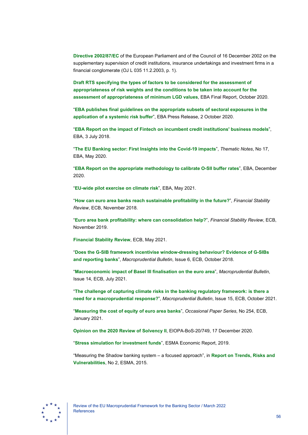**[Directive 2002/87/EC](https://eur-lex.europa.eu/legal-content/EN/TXT/?uri=CELEX%3A02002L0087-20210626)** of the European Parliament and of the Council of 16 December 2002 on the supplementary supervision of credit institutions, insurance undertakings and investment firms in a financial conglomerate (OJ L 035 11.2.2003, p. 1).

**[Draft RTS specifying the types of factors to be considered for the assessment of](https://www.eba.europa.eu/sites/default/documents/files/document_library/Publications/Draft%20Technical%20Standards/2021/1023596/EBA%20RTS%202021%2012%20EBA%20Final%20Report%20on%20draft%20RTS%20%20on%20Articles%20124%20%284%29%20and%20164%20%288%29%20of%20the%20CRR.pdf)  [appropriateness of risk weights and the conditions to be taken into account for the](https://www.eba.europa.eu/sites/default/documents/files/document_library/Publications/Draft%20Technical%20Standards/2021/1023596/EBA%20RTS%202021%2012%20EBA%20Final%20Report%20on%20draft%20RTS%20%20on%20Articles%20124%20%284%29%20and%20164%20%288%29%20of%20the%20CRR.pdf)  [assessment of appropriateness of minimum LGD values](https://www.eba.europa.eu/sites/default/documents/files/document_library/Publications/Draft%20Technical%20Standards/2021/1023596/EBA%20RTS%202021%2012%20EBA%20Final%20Report%20on%20draft%20RTS%20%20on%20Articles%20124%20%284%29%20and%20164%20%288%29%20of%20the%20CRR.pdf)**, EBA Final Report, October 2020.

"**[EBA publishes final guidelines on the appropriate subsets of sectoral exposures in the](https://www.eba.europa.eu/eba-publishes-final-guidelines-appropriate-subsets-sectoral-exposures-application-systemic-risk)  [application of a systemic risk buffer](https://www.eba.europa.eu/eba-publishes-final-guidelines-appropriate-subsets-sectoral-exposures-application-systemic-risk)**", EBA Press Release, 2 October 2020.

"**[EBA Report on the impact of Fintech on incumbent credit institutions' business models](https://www.eba.europa.eu/sites/default/documents/files/documents/10180/2270909/1f27bb57-387e-4978-82f6-ece725b51941/Report%20on%20the%20impact%20of%20Fintech%20on%20incumbent%20credit%20institutions%27%20business%20models.pdf)**", EBA, 3 July 2018.

"**[The EU Banking sector: First Insights into the Covid-19 impacts](https://www.eba.europa.eu/sites/default/documents/files/document_library/Risk%20Analysis%20and%20Data/Risk%20Assessment%20Reports/2020/Thematic%20notes/883986/Thematic%20note%20-%20Preliminary%20analysis%20of%20impact%20of%20COVID-19%20on%20EU%20banks%20%E2%80%93%20May%202020.pdf)**", *Thematic Notes*, No 17, [EBA, May 2020.](https://www.eba.europa.eu/sites/default/documents/files/document_library/Risk%20Analysis%20and%20Data/Risk%20Assessment%20Reports/2020/Thematic%20notes/883986/Thematic%20note%20-%20Preliminary%20analysis%20of%20impact%20of%20COVID-19%20on%20EU%20banks%20%E2%80%93%20May%202020.pdf)

"**[EBA Report on the appropriate methodology to calibrate O-SII buffer rates](https://www.eba.europa.eu/sites/default/documents/files/document_library/Publications/Reports/2020/961796/EBA%20report%20on%20calibration%20of%20OSII%20buffer%20rates.pdf)**", EBA, December [2020.](https://www.eba.europa.eu/sites/default/documents/files/document_library/Publications/Reports/2020/961796/EBA%20report%20on%20calibration%20of%20OSII%20buffer%20rates.pdf)

"**[EU-wide pilot exercise on climate risk](https://www.eba.europa.eu/risk-analysis-and-data/eu-wide-pilot-exercise-climate-risk#:%7E:text=The%20EU%2Dwide%20pilot%20exercise,have%20carried%20out%20so%20far.)**", EBA, May 2021.

"**[How can euro area banks reach sustainable profitability in the future?](https://www.ecb.europa.eu/pub/financial-stability/fsr/special/html/ecb.fsrart201811_1.en.html)**", *Financial Stability Review*[, ECB, November 2018.](https://www.ecb.europa.eu/pub/financial-stability/fsr/special/html/ecb.fsrart201811_1.en.html)

"**[Euro area bank profitability: where can consolidation help?](https://www.ecb.europa.eu/pub/financial-stability/fsr/special/html/ecb.fsrart201911_01%7E81377050be.en.html)**", *Financial Stability Review*, ECB, [November 2019.](https://www.ecb.europa.eu/pub/financial-stability/fsr/special/html/ecb.fsrart201911_01%7E81377050be.en.html)

**[Financial Stability Review](https://www.ecb.europa.eu/pub/financial-stability/fsr/html/ecb.fsr202105%7E757f727fe4.en.html)**, ECB, May 2021.

"**[Does the G-SIB framework incentivise window-dressing behaviour? Evidence of G-SIBs](https://www.ecb.europa.eu/pub/financial-stability/macroprudential-bulletin/html/ecb.mpbu201810_02.en.html#:%7E:text=Window-dressing%20behaviour%20could%20have%20detrimental%20effects%20on%20financial,in%20this%20article%20suggests%20that%20both%20G%20)  and reporting banks**", *Macroprudential Bulletin*[, Issue 6, ECB, October 2018.](https://www.ecb.europa.eu/pub/financial-stability/macroprudential-bulletin/html/ecb.mpbu201810_02.en.html#:%7E:text=Window-dressing%20behaviour%20could%20have%20detrimental%20effects%20on%20financial,in%20this%20article%20suggests%20that%20both%20G%20)

"**[Macroeconomic impact of Basel III finalisation on the euro area](https://www.ecb.europa.eu/pub/financial-stability/macroprudential-bulletin/html/ecb.mpbu202107_1%7E3292170452.en.html)**", *Macroprudential Bulletin*, [Issue 14, ECB, July 2021.](https://www.ecb.europa.eu/pub/financial-stability/macroprudential-bulletin/html/ecb.mpbu202107_1%7E3292170452.en.html)

"**[The challenge of capturing climate risks in the banking regulatory framework: is there a](https://www.ecb.europa.eu/pub/financial-stability/macroprudential-bulletin/html/ecb.mpbu202110_1%7E5323a5baa8.en.html)  [need for a macroprudential response?](https://www.ecb.europa.eu/pub/financial-stability/macroprudential-bulletin/html/ecb.mpbu202110_1%7E5323a5baa8.en.html)**", *Macroprudential Bulletin*, Issue 15, ECB, October 2021.

"**[Measuring the cost of equity of euro area banks](https://www.ecb.europa.eu/pub/pdf/scpops/ecb.op254%7E664ed99e11.en.pdf)**", *Occasional Paper Series*, No 254, ECB, January 2021.

**[Opinion on the 2020 Review of Solvency II](https://www.eiopa.europa.eu/sites/default/files/solvency_ii/eiopa-bos-20-749-opinion-2020-review-solvency-ii.pdf)**, EIOPA-BoS-20/749, 17 December 2020.

"**[Stress simulation for investment funds](https://www.esma.europa.eu/sites/default/files/library/esma50-164-2458_stresi_report.pdf)**", ESMA Economic Report, 2019.

"Measuring the Shadow banking system – a focused approach", in **[Report on Trends, Risks and](https://www.esma.europa.eu/sites/default/files/library/2015_esma_-_1290_-_trv_2_2015.pdf)  [Vulnerabilities](https://www.esma.europa.eu/sites/default/files/library/2015_esma_-_1290_-_trv_2_2015.pdf)**, No 2, ESMA, 2015.

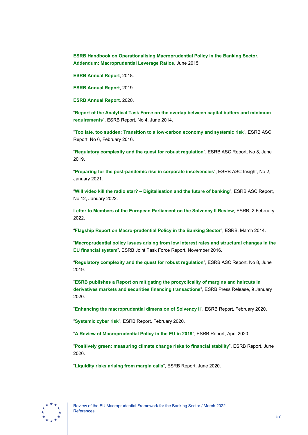**[ESRB Handbook on Operationalising Macroprudential Policy in the Banking Sector.](https://www.esrb.europa.eu/pub/pdf/other/150625_esrb_handbook_addendum.en.pdf)  [Addendum: Macroprudential Leverage Ratios](https://www.esrb.europa.eu/pub/pdf/other/150625_esrb_handbook_addendum.en.pdf)**, June 2015.

**[ESRB Annual Report](https://www.esrb.europa.eu/pub/pdf/ar/2019/esrb.ar2018%7Ed69ff774ac.en.pdf)**, 2018.

**[ESRB Annual Report](https://www.esrb.europa.eu/pub/pdf/ar/2020/esrb.ar2019%7E03c9997400.en.pdf)**, 2019.

**[ESRB Annual Report](https://www.esrb.europa.eu/pub/pdf/ar/2021/esrb.ar2020%7Ef20842b253.en.pdf)**, 2020.

"**[Report of the Analytical Task Force on the overlap between capital buffers and minimum](https://www.esrb.europa.eu/pub/pdf/reports/esrb.ATFreport211217_capitalbuffers%7Ea1d4725ab0.en.pdf)  [requirements](https://www.esrb.europa.eu/pub/pdf/reports/esrb.ATFreport211217_capitalbuffers%7Ea1d4725ab0.en.pdf)**", ESRB Report, No 4, June 2014.

"**[Too late, too sudden: Transition to a low-carbon economy and systemic risk](https://www.esrb.europa.eu/pub/pdf/asc/Reports_ASC_6_1602.pdf)**", ESRB ASC Report, No 6, February 2016.

"**[Regulatory complexity and the quest for robust regulation](https://www.esrb.europa.eu/pub/pdf/asc/esrb.asc190604_8_regulatorycomplexityquestrobustregulation%7Ee63a7136c7.en.pdf)**", ESRB ASC Report, No 8, June 2019.

"**[Preparing for the post-pandemic rise in corporate insolvencies](https://www.esrb.europa.eu/pub/asc/insights/shared/pdf/esrb.ascinsight212101_2%7E534e2c6120.en.pdf)**", ESRB ASC Insight, No 2, January 2021.

"**Will video kill the radio star? – [Digitalisation and the future of banking](https://www.esrb.europa.eu/pub/pdf/asc/esrb.ascreport202201_digitalisationandthefutureofbanking%7E83f079b5c7.en.pdf)**", ESRB ASC Report, [No 12, January 2022.](https://www.esrb.europa.eu/pub/pdf/asc/esrb.ascreport202201_digitalisationandthefutureofbanking%7E83f079b5c7.en.pdf)

**[Letter to Members of the European Parliament on the Solvency II Review](https://www.esrb.europa.eu/pub/pdf/other/esrb.letter220202_on_solvencyii_to_EU_Parliament%7Ee573a2038c.en.pdf)**, ESRB, 2 February 2022.

"**[Flagship Report on Macro-prudential Policy in the Banking Sector](https://www.esrb.europa.eu/pub/pdf/other/140303_flagship_report.pdf)**", ESRB, March 2014.

"**[Macroprudential policy issues arising from low interest rates and structural changes in the](https://www.esrb.europa.eu/pub/pdf/reports/161128_low_interest_rate_report.en.pdf)  [EU financial system](https://www.esrb.europa.eu/pub/pdf/reports/161128_low_interest_rate_report.en.pdf)**", ESRB Joint Task Force Report, November 2016.

"**[Regulatory complexity and the quest for robust regulation](https://www.esrb.europa.eu/pub/pdf/asc/esrb.asc190604_8_regulatorycomplexityquestrobustregulation%7Ee63a7136c7.en.pdf)**", ESRB ASC Report, No 8, June 2019.

"**[ESRB publishes a Report on mitigating the procyclicality of margins and haircuts in](https://www.esrb.europa.eu/news/pr/date/2020/html/esrb.pr200109%7E242bd091d4.en.html)  [derivatives markets and securities financing transactions](https://www.esrb.europa.eu/news/pr/date/2020/html/esrb.pr200109%7E242bd091d4.en.html)**", ESRB Press Release, 9 January 2020.

"**[Enhancing the macroprudential dimension of Solvency II](https://www.esrb.europa.eu/pub/pdf/reports/esrb.200226_enhancingmacroprudentialdimensionsolvency2%7E1264e30795.en.pdf)**", ESRB Report, February 2020.

"**[Systemic cyber risk](https://www.esrb.europa.eu/pub/pdf/reports/esrb.report200219_systemiccyberrisk%7E101a09685e.en.pdf)**", ESRB Report, February 2020.

"**[A Review of Macroprudential Policy in the EU in 2019](https://www.esrb.europa.eu/pub/pdf/reports/review_macroprudential_policy/esrb.report200429_reviewofmacroprudentialpolicy%7E13aab65584.en.pdf)**", ESRB Report, April 2020.

"**[Positively green: measuring climate change risks to financial stability](https://www.esrb.europa.eu/pub/pdf/reports/esrb.report200608_on_Positively_green_-_Measuring_climate_change_risks_to_financial_stability%7Ed903a83690.en.pdf)**", ESRB Report, June 2020.

"**[Liquidity risks arising from margin calls](https://www.esrb.europa.eu/pub/pdf/reports/esrb.report200608_on_Liquidity_risks_arising_from_margin_calls_3%7E08542993cf.en.pdf)**", ESRB Report, June 2020.

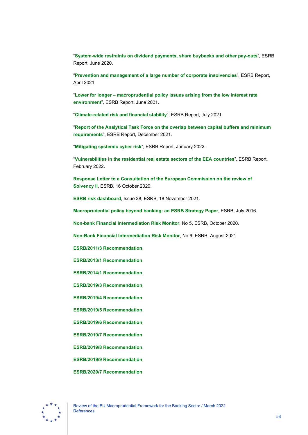"**[System-wide restraints on dividend payments, share buybacks and other pay-outs](https://www.esrb.europa.eu/pub/pdf/reports/esrb.report200608_on_System-wide_restraints_on_dividend_payments_share_buybacks_and_other_pay-outs_2%7Ec77216425b.en.pdf)**", ESRB [Report, June 2020.](https://www.esrb.europa.eu/pub/pdf/reports/esrb.report200608_on_System-wide_restraints_on_dividend_payments_share_buybacks_and_other_pay-outs_2%7Ec77216425b.en.pdf)

"**[Prevention and management of a large number of corporate insolvencies](https://www.esrb.europa.eu/pub/pdf/reports/esrb.report210428_PreventionAndManagementOfALargeNumberOfCorporateInsolvencies%7Ecf33e0285f.en.pdf)**", ESRB Report, April 2021.

"**Lower for longer – [macroprudential policy issues arising from the low interest rate](https://www.esrb.europa.eu/pub/pdf/reports/esrb.reports210601_low_interest_rate%7E199fb84437.en.pdf)  environment**[", ESRB Report, June 2021.](https://www.esrb.europa.eu/pub/pdf/reports/esrb.reports210601_low_interest_rate%7E199fb84437.en.pdf)

"**[Climate-related risk and financial stability](https://www.esrb.europa.eu/pub/pdf/reports/esrb.climateriskfinancialstability202107%7E79c10eba1a.en.pdf)**", ESRB Report, July 2021.

"**[Report of the Analytical Task Force on the overlap between capital buffers and minimum](https://www.esrb.europa.eu/pub/pdf/reports/esrb.ATFreport211217_capitalbuffers%7Ea1d4725ab0.en.pdf?1485b688223df041bdf275ea2384aab3)  [requirements](https://www.esrb.europa.eu/pub/pdf/reports/esrb.ATFreport211217_capitalbuffers%7Ea1d4725ab0.en.pdf?1485b688223df041bdf275ea2384aab3)**", ESRB Report, December 2021.

"**[Mitigating systemic cyber risk](https://www.esrb.europa.eu/pub/pdf/reports/esrb.SystemiCyberRisk.220127%7Eb6655fa027.en.pdf)**", ESRB Report, January 2022.

"**[Vulnerabilities in the residential real estate sectors of the EEA countries](https://www.esrb.europa.eu/pub/pdf/reports/esrb.report220211_vulnerabilities_eea_countries%7E27e571112b.en.pdf)**", ESRB Report, [February 2022.](https://www.esrb.europa.eu/pub/pdf/reports/esrb.report220211_vulnerabilities_eea_countries%7E27e571112b.en.pdf)

**[Response Letter to a Consultation of the European Commission on the review of](https://www.esrb.europa.eu/pub/pdf/other/esrb.letter201016_on_response_to_Solvency_II_review_consultation%7E8898c97469.en.pdf)  [Solvency](https://www.esrb.europa.eu/pub/pdf/other/esrb.letter201016_on_response_to_Solvency_II_review_consultation%7E8898c97469.en.pdf) II**, ESRB, 16 October 2020.

**ESRB risk dashboard**[, Issue 38, ESRB, 18 November 2021.](https://www.esrb.europa.eu/pub/pdf/dashboard/esrb.risk_dashboard211209%7Ec09aef002a.en.pdf)

**[Macroprudential policy beyond banking:](https://www.esrb.europa.eu/pub/pdf/reports/20160718_strategy_paper_beyond_banking.en.pdf) an ESRB Strategy Paper**, ESRB, July 2016.

**[Non-bank Financial Intermediation Risk Monitor](https://www.esrb.europa.eu/pub/pdf/reports/nbfi_monitor/esrb.202010_eunon-bankfinancialintermediationriskmonitor2020%7E89c25e1973.en.pdf)**, No 5, ESRB, October 2020.

**[Non-Bank Financial Intermediation Risk Monitor](https://www.esrb.europa.eu/pub/pdf/reports/nbfi_monitor/esrb.202108_eunon-bankfinancialintermediationriskmonitor2021_%7E88093a4a94.en.pdf)**, No 6, ESRB, August 2021.

**[ESRB/2011/3 Recommendation](https://www.esrb.europa.eu/pub/pdf/ESRB_Recommendation_on_National_Macroprudential_Mandates.pdf)**.

**[ESRB/2013/1 Recommendation](https://www.esrb.europa.eu/pub/pdf/recommendations/2013/ESRB_2013_1.en.pdf)**.

**[ESRB/2014/1 Recommendation](https://www.esrb.europa.eu/pub/pdf/recommendations/140630_ESRB_Recommendation.en.pdf)**.

**[ESRB/2019/3 Recommendation](https://www.esrb.europa.eu/pub/pdf/recommendations/esrb.recommendation190819_ESRB_2019-3%7E6690e1fbd3.en.pdf)**.

**[ESRB/2019/4 Recommendation](https://www.esrb.europa.eu/pub/pdf/recommendations/esrb.recommendation190923_be_recommandation%7E2cb5134896.en.pdf)**.

**[ESRB/2019/5 Recommendation](https://www.esrb.europa.eu/pub/pdf/recommendations/esrb.recommendation190923_dk_recommandation%7E85f24c864d.en.pdf)**.

**[ESRB/2019/6 Recommendation](https://www.esrb.europa.eu/pub/pdf/recommendations/esrb.recommendation190923_lu_recommandation%7E6577fe0f0d.en.pdf)**.

**[ESRB/2019/7 Recommendation](https://www.esrb.europa.eu/pub/pdf/recommendations/esrb.recommendation190923_nl_recommandation%7Ededbe77acd.en.pdf)**.

**[ESRB/2019/8 Recommendation](https://www.esrb.europa.eu/pub/pdf/recommendations/esrb.recommendation190923_fi_recommandation%7E60d62c4314.en.pdf)**.

**[ESRB/2019/9 Recommendation](https://www.esrb.europa.eu/pub/pdf/recommendations/esrb.recommendation190923_se_recommandation%7Ea11003ac8e.en.pdf)**.

**[ESRB/2020/7 Recommendation](https://www.esrb.europa.eu/pub/pdf/recommendations/esrb.recommendation200608_on_restriction_of_distributions_during_the_COVID-19_pandemic_2%7Ef4cdad4ec1.en.pdf)**.

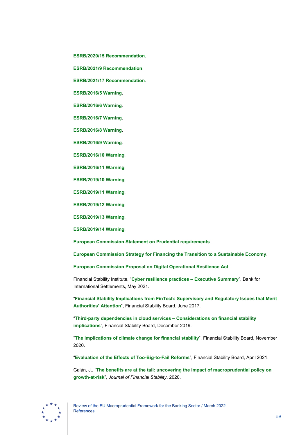**[ESRB/2020/15 Recommendation](https://www.esrb.europa.eu/pub/pdf/recommendations/esrb.recommendation201215_on_restriction_of_distributions_during_the_COVID-19_pandemic%7E2502cd1d1c.en.pdf)**.

**[ESRB/2021/9 Recommendation](https://www.esrb.europa.eu/pub/pdf/recommendations/esrb.recommendation220125_on_reform_of_money_market_funds%7E30936c5629.en.pdf)**.

**[ESRB/2021/17 Recommendation](https://www.esrb.europa.eu/pub/pdf/recommendations/esrb.recommendation220127_on_cyber_incident_coordination%7E0ebcbf5f69.en.pdf)**.

**[ESRB/2016/5 Warning](https://www.esrb.europa.eu/pub/pdf/warnings/161128_ESRB_AT_warning.en.pdf)**.

**[ESRB/2016/6 Warning](https://www.esrb.europa.eu/pub/pdf/warnings/161128_ESRB_BE_warning.en.pdf)**.

**[ESRB/2016/7 Warning](https://www.esrb.europa.eu/pub/pdf/warnings/161128_ESRB_DK_warning.en.pdf)**.

**[ESRB/2016/8 Warning](https://www.esrb.europa.eu/pub/pdf/warnings/161128_ESRB_FI_warning.en.pdf)**.

**[ESRB/2016/9 Warning](https://www.esrb.europa.eu/pub/pdf/warnings/161128_ESRB_LU_warning.en.pdf)**.

**[ESRB/2016/10 Warning](https://www.esrb.europa.eu/pub/pdf/warnings/161128_ESRB_NL_warning.en.pdf)**.

**[ESRB/2016/11 Warning](https://www.esrb.europa.eu/pub/pdf/warnings/161128_ESRB_SE_warning.en.pdf)**.

**[ESRB/2019/10 Warning](https://www.esrb.europa.eu/pub/pdf/warnings/esrb.warning190923_cz_warning%7Ebd479e5cb1.en.pdf)**.

**[ESRB/2019/11 Warning](https://www.esrb.europa.eu/pub/pdf/warnings/esrb.warning190923_de_warning%7E6e31e93446.en.pdf)**.

**[ESRB/2019/12 Warning](https://www.esrb.europa.eu/pub/pdf/warnings/esrb.warning190923_fr_warning%7E48c2ad6df4.en.pdf)**.

**[ESRB/2019/13 Warning](https://www.esrb.europa.eu/pub/pdf/warnings/esrb.warning190923_is_warning%7E32a34b069f.en.pdf)**.

**[ESRB/2019/14 Warning](https://www.esrb.europa.eu/pub/pdf/warnings/esrb.warning190923_no_warning%7Ed3e4f2c135.en.pdf)**.

**[European Commission Statement on Prudential requirements](https://ec.europa.eu/info/business-economy-euro/banking-and-finance/financial-supervision-and-risk-management/managing-risks-banks-and-financial-institutions/prudential-requirements_en)**.

**[European Commission Strategy for Financing the Transition to a Sustainable Economy](https://eur-lex.europa.eu/legal-content/EN/TXT/HTML/?uri=CELEX:52021DC0390&from=BG)**.

**[European Commission Proposal on Digital Operational Resilience Act](https://eur-lex.europa.eu/legal-content/EN/TXT/PDF/?uri=CELEX:52020PC0595&from=EN)**.

Financial Stability Institute, "**[Cyber resilience practices –](https://www.bis.org/fsi/fsisummaries/cyber_resilience.pdf) Executive Summary**", Bank for International Settlements, May 2021.

"**[Financial Stability Implications from FinTech: Supervisory and Regulatory Issues that Merit](https://www.fsb.org/wp-content/uploads/R270617.pdf)  [Authorities' Attention](https://www.fsb.org/wp-content/uploads/R270617.pdf)**", Financial Stability Board, June 2017.

"**[Third-party dependencies in cloud services –](https://www.fsb.org/wp-content/uploads/P091219-2.pdf) Considerations on financial stability [implications](https://www.fsb.org/wp-content/uploads/P091219-2.pdf)**", Financial Stability Board, December 2019.

"**[The implications of climate change for financial stability](https://www.fsb.org/2020/11/the-implications-of-climate-change-for-financial-stability/)**", Financial Stability Board, November 2020.

"**[Evaluation of the Effects of Too-Big-to-Fail Reforms](https://www.fsb.org/wp-content/uploads/P010421-1.pdf)**", Financial Stability Board, April 2021.

Galán, J., "**[The benefits are at the tail: uncovering the impact of macroprudential policy on](https://www.sciencedirect.com/science/article/pii/S1572308920301340)  growth-at-risk**", *Journal [of Financial Stability](https://www.sciencedirect.com/science/article/pii/S1572308920301340)*, 2020.

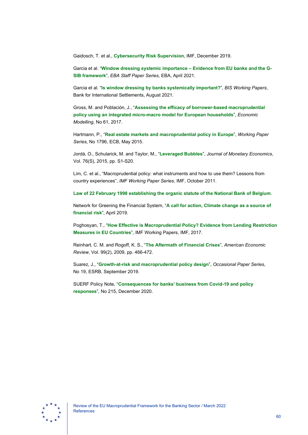Gaidosch, T. et al., **[Cybersecurity Risk Supervision](https://www.imf.org/en/Publications/Departmental-Papers-Policy-Papers/Issues/2019/09/23/Cybersecurity-Risk-Supervision-46238)**, IMF, December 2019.

Garcia et al. "**[Window dressing systemic importance –](https://www.eba.europa.eu/sites/default/documents/files/document_library/972420/Window%20dressing%20systemic%20importance%20-%20Garcia%20Lewrick%20Secnik.pdf) Evidence from EU banks and the G-SIB framework**", *[EBA Staff Paper Series](https://www.eba.europa.eu/sites/default/documents/files/document_library/972420/Window%20dressing%20systemic%20importance%20-%20Garcia%20Lewrick%20Secnik.pdf)*, EBA, April 2021.

Garcia et al. "**[Is window dressing by banks systemically important?](https://www.bis.org/publ/work960.pdf)**", *BIS Working Papers*, Bank for International Settlements, August 2021.

Gross, M. and Población, J., "**[Assessing the efficacy of borrower-based macroprudential](https://www.sciencedirect.com/science/article/pii/S0264999316309117)  [policy using an integrated micro-macro model for European households](https://www.sciencedirect.com/science/article/pii/S0264999316309117)**", *Economic Modelling*[, No 61, 2017.](https://www.sciencedirect.com/science/article/pii/S0264999316309117)

Hartmann, P., "**[Real estate markets and macroprudential policy in Europe](https://www.ecb.europa.eu/pub/pdf/scpwps/ecbwp1796.en.pdf)**", *Working Paper Series*[, No 1796, ECB, May 2015.](https://www.ecb.europa.eu/pub/pdf/scpwps/ecbwp1796.en.pdf)

Jordà, O., Schularick, M. and Taylor, M., "**[Leveraged Bubbles](https://ideas.repec.org/a/eee/moneco/v76y2015isps1-s20.html)**", *Journal of Monetary Economics*, Vol. 76(S), 2015, pp. S1-S20.

Lim, C. et al., "Macroprudential policy: what instruments and how to use them? Lessons from country experiences", *IMF Working Paper Series*, IMF, October 2011.

**[Law of 22 February 1998 establishing the organic statute of the National Bank of Belgium](https://www.nbb.be/doc/ts/enterprise/juridisch/e/organic_act.pdf)**.

Network for Greening the Financial System, "**[A call for action, Climate change as a source of](https://www.ngfs.net/sites/default/files/medias/documents/ngfs_first_comprehensive_report_-_17042019_0.pdf)  [financial risk](https://www.ngfs.net/sites/default/files/medias/documents/ngfs_first_comprehensive_report_-_17042019_0.pdf)**", April 2019.

Poghosyan, T., "**[How Effective is Macroprudential Policy? Evidence from Lending Restriction](https://www.imf.org/en/Publications/WP/Issues/2019/03/01/How-Effective-is-Macroprudential-Policy-Evidence-from-Lending-Restriction-Measures-in-EU-46640)  [Measures in EU Countries](https://www.imf.org/en/Publications/WP/Issues/2019/03/01/How-Effective-is-Macroprudential-Policy-Evidence-from-Lending-Restriction-Measures-in-EU-46640)**", IMF Working Papers, IMF, 2017.

Reinhart, C. M. and Rogoff, K. S., "**[The Aftermath of Financial Crises](https://www.aeaweb.org/articles?id=10.1257/aer.99.2.466)**", *American Economic Review*, Vol. 99(2), 2009, pp. 466-472.

Suarez, J., "**[Growth-at-risk and macroprudential policy design](https://www.esrb.europa.eu/pub/pdf/occasional/esrb.op.19%7E43eb11b861.en.pdf)**", *Occasional Paper Series*, No 19, ESRB, September 2019.

SUERF Policy Note, "**[Consequences for banks' business from Covid-19 and policy](https://www.suerf.org/docx/f_e0c4ac2b3663de42c0d23a34498a70bd_19457_suerf.pdf)  [responses](https://www.suerf.org/docx/f_e0c4ac2b3663de42c0d23a34498a70bd_19457_suerf.pdf)**", No 215, December 2020.

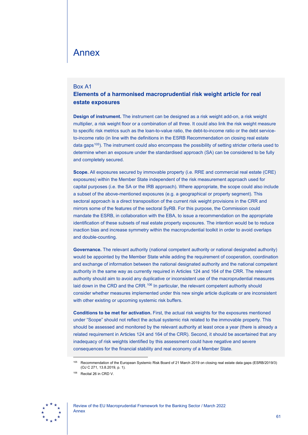# <span id="page-61-0"></span>Annex

### <span id="page-61-1"></span>Box A1

# **Elements of a harmonised macroprudential risk weight article for real estate exposures**

**Design of instrument.** The instrument can be designed as a risk weight add-on, a risk weight multiplier, a risk weight floor or a combination of all three. It could also link the risk weight measure to specific risk metrics such as the loan-to-value ratio, the debt-to-income ratio or the debt serviceto-income ratio (in line with the definitions in the ESRB Recommendation on closing real estate data gaps[105\)](#page-61-2). The instrument could also encompass the possibility of setting stricter criteria used to determine when an exposure under the standardised approach (SA) can be considered to be fully and completely secured.

**Scope.** All exposures secured by immovable property (i.e. RRE and commercial real estate (CRE) exposures) within the Member State independent of the risk measurement approach used for capital purposes (i.e. the SA or the IRB approach). Where appropriate, the scope could also include a subset of the above-mentioned exposures (e.g. a geographical or property segment). This sectoral approach is a direct transposition of the current risk weight provisions in the CRR and mirrors some of the features of the sectoral SyRB. For this purpose, the Commission could mandate the ESRB, in collaboration with the EBA, to issue a recommendation on the appropriate identification of these subsets of real estate property exposures. The intention would be to reduce inaction bias and increase symmetry within the macroprudential toolkit in order to avoid overlaps and double-counting.

**Governance.** The relevant authority (national competent authority or national designated authority) would be appointed by the Member State while adding the requirement of cooperation, coordination and exchange of information between the national designated authority and the national competent authority in the same way as currently required in Articles 124 and 164 of the CRR. The relevant authority should aim to avoid any duplicative or inconsistent use of the macroprudential measures laid down in the CRD and the CRR.<sup>[106](#page-61-3)</sup> In particular, the relevant competent authority should consider whether measures implemented under this new single article duplicate or are inconsistent with other existing or upcoming systemic risk buffers.

**Conditions to be met for activation.** First, the actual risk weights for the exposures mentioned under "Scope" should not reflect the actual systemic risk related to the immovable property. This should be assessed and monitored by the relevant authority at least once a year (there is already a related requirement in Articles 124 and 164 of the CRR). Second, it should be ascertained that any inadequacy of risk weights identified by this assessment could have negative and severe consequences for the financial stability and real economy of a Member State.

<span id="page-61-3"></span><span id="page-61-2"></span>

<sup>105</sup> Recommendation of the European Systemic Risk Board of 21 March 2019 on closing real estate data gaps (ESRB/2019/3) (OJ C 271, 13.8.2019, p. 1).

<sup>106</sup> Recital 26 in CRD V.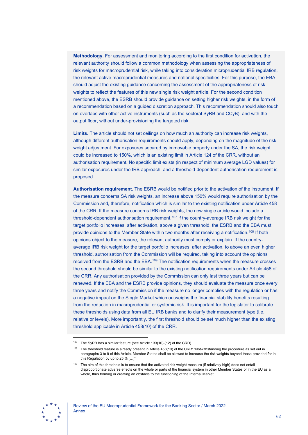**Methodology.** For assessment and monitoring according to the first condition for activation, the relevant authority should follow a common methodology when assessing the appropriateness of risk weights for macroprudential risk, while taking into consideration microprudential IRB regulation, the relevant active macroprudential measures and national specificities. For this purpose, the EBA should adjust the existing guidance concerning the assessment of the appropriateness of risk weights to reflect the features of this new single risk weight article. For the second condition mentioned above, the ESRB should provide guidance on setting higher risk weights, in the form of a recommendation based on a guided discretion approach. This recommendation should also touch on overlaps with other active instruments (such as the sectoral SyRB and CCyB), and with the output floor, without under-provisioning the targeted risk.

**Limits.** The article should not set ceilings on how much an authority can increase risk weights, although different authorisation requirements should apply, depending on the magnitude of the risk weight adjustment. For exposures secured by immovable property under the SA, the risk weight could be increased to 150%, which is an existing limit in Article 124 of the CRR, without an authorisation requirement. No specific limit exists (in respect of minimum average LGD values) for similar exposures under the IRB approach, and a threshold-dependent authorisation requirement is proposed.

**Authorisation requirement.** The ESRB would be notified prior to the activation of the instrument. If the measure concerns SA risk weights, an increase above 150% would require authorisation by the Commission and, therefore, notification which is similar to the existing notification under Article 458 of the CRR. If the measure concerns IRB risk weights, the new single article would include a threshold-dependent authorisation requirement. [107](#page-62-0) If the country-average IRB risk weight for the target portfolio increases, after activation, above a given threshold, the ESRB and the EBA must provide opinions to the Member State within two months after receiving a notification[.108](#page-62-1) If both opinions object to the measure, the relevant authority must comply or explain. If the countryaverage IRB risk weight for the target portfolio increases, after activation, to above an even higher threshold, authorisation from the Commission will be required, taking into account the opinions received from the ESRB and the EBA.[109](#page-62-2) The notification requirements when the measure crosses the second threshold should be similar to the existing notification requirements under Article 458 of the CRR. Any authorisation provided by the Commission can only last three years but can be renewed. If the EBA and the ESRB provide opinions, they should evaluate the measure once every three years and notify the Commission if the measure no longer complies with the regulation or has a negative impact on the Single Market which outweighs the financial stability benefits resulting from the reduction in macroprudential or systemic risk. It is important for the legislator to calibrate these thresholds using data from all EU IRB banks and to clarify their measurement type (i.e. relative or levels). More importantly, the first threshold should be set much higher than the existing threshold applicable in Article 458(10) of the CRR.

<span id="page-62-2"></span><span id="page-62-1"></span><span id="page-62-0"></span>

<sup>&</sup>lt;sup>107</sup> The SyRB has a similar feature (see Article 133(10)-(12) of the CRD).

 $108$  The threshold feature is already present in Article 458(10) of the CRR: "Notwithstanding the procedure as set out in paragraphs 3 to 9 of this Article, Member States shall be allowed to increase the risk weights beyond those provided for in this Regulation by up to 25 % […]".

<sup>&</sup>lt;sup>109</sup> The aim of this threshold is to ensure that the activated risk weight measure (if relatively high) does not entail disproportionate adverse effects on the whole or parts of the financial system in other Member States or in the EU as a whole, thus forming or creating an obstacle to the functioning of the Internal Market.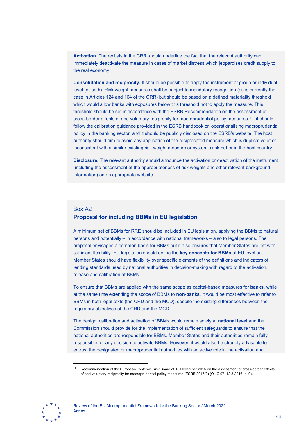**Activation.** The recitals in the CRR should underline the fact that the relevant authority can immediately deactivate the measure in cases of market distress which jeopardises credit supply to the real economy.

**Consolidation and reciprocity.** It should be possible to apply the instrument at group or individual level (or both). Risk weight measures shall be subject to mandatory recognition (as is currently the case in Articles 124 and 164 of the CRR) but should be based on a defined materiality threshold which would allow banks with exposures below this threshold not to apply the measure. This threshold should be set in accordance with the ESRB Recommendation on the assessment of cross-border effects of and voluntary reciprocity for macroprudential policy measures[110](#page-63-1), it should follow the calibration guidance provided in the ESRB handbook on operationalising macroprudential policy in the banking sector, and it should be publicly disclosed on the ESRB's website. The host authority should aim to avoid any application of the reciprocated measure which is duplicative of or inconsistent with a similar existing risk weight measure or systemic risk buffer in the host country.

**Disclosure.** The relevant authority should announce the activation or deactivation of the instrument (including the assessment of the appropriateness of risk weights and other relevant background information) on an appropriate website.

# <span id="page-63-0"></span>Box A2 **Proposal for including BBMs in EU legislation**

A minimum set of BBMs for RRE should be included in EU legislation, applying the BBMs to natural persons and potentially – in accordance with national frameworks – also to legal persons. The proposal envisages a common basis for BBMs but it also ensures that Member States are left with sufficient flexibility. EU legislation should define the **key concepts for BBMs** at EU level but Member States should have flexibility over specific elements of the definitions and indicators of lending standards used by national authorities in decision-making with regard to the activation, release and calibration of BBMs.

To ensure that BBMs are applied with the same scope as capital-based measures for **banks**, while at the same time extending the scope of BBMs to **non-banks**, it would be most effective to refer to BBMs in both legal texts (the CRD and the MCD), despite the existing differences between the regulatory objectives of the CRD and the MCD.

The design, calibration and activation of BBMs would remain solely at **national level** and the Commission should provide for the implementation of sufficient safeguards to ensure that the national authorities are responsible for BBMs. Member States and their authorities remain fully responsible for any decision to activate BBMs. However, it would also be strongly advisable to entrust the designated or macroprudential authorities with an active role in the activation and

<span id="page-63-1"></span>

Recommendation of the European Systemic Risk Board of 15 December 2015 on the assessment of cross-border effects of and voluntary reciprocity for macroprudential policy measures (ESRB/2015/2) (OJ C 97, 12.3.2016, p. 9).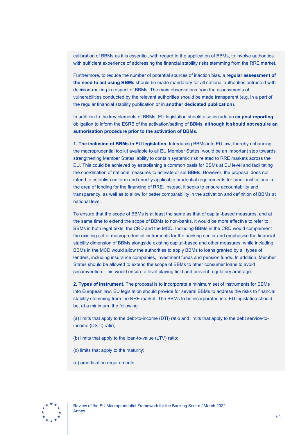calibration of BBMs as it is essential, with regard to the application of BBMs, to involve authorities with sufficient experience of addressing the financial stability risks stemming from the RRE market.

Furthermore, to reduce the number of potential sources of inaction bias, a **regular assessment of the need to act using BBMs** should be made mandatory for all national authorities entrusted with decision-making in respect of BBMs. The main observations from the assessments of vulnerabilities conducted by the relevant authorities should be made transparent (e.g. in a part of the regular financial stability publication or in **another dedicated publication**).

In addition to the key elements of BBMs, EU legislation should also include an **ex post reporting** obligation to inform the ESRB of the activation/setting of BBMs, **although it should not require an authorisation procedure prior to the activation of BBMs.**

**1. The inclusion of BBMs in EU legislation.** Introducing BBMs into EU law, thereby enhancing the macroprudential toolkit available to all EU Member States, would be an important step towards strengthening Member States' ability to contain systemic risk related to RRE markets across the EU. This could be achieved by establishing a common basis for BBMs at EU level and facilitating the coordination of national measures to activate or set BBMs. However, the proposal does not intend to establish uniform and directly applicable prudential requirements for credit institutions in the area of lending for the financing of RRE. Instead, it seeks to ensure accountability and transparency, as well as to allow for better comparability in the activation and definition of BBMs at national level.

To ensure that the scope of BBMs is at least the same as that of capital-based measures, and at the same time to extend the scope of BBMs to non-banks, it would be more effective to refer to BBMs in both legal texts, the CRD and the MCD. Including BBMs in the CRD would complement the existing set of macroprudential instruments for the banking sector and emphasise the financial stability dimension of BBMs alongside existing capital-based and other measures, while including BBMs in the MCD would allow the authorities to apply BBMs to loans granted by all types of lenders, including insurance companies, investment funds and pension funds. In addition, Member States should be allowed to extend the scope of BBMs to other consumer loans to avoid circumvention. This would ensure a level playing field and prevent regulatory arbitrage.

**2. Types of instrument.** The proposal is to incorporate a minimum set of instruments for BBMs into European law. EU legislation should provide for several BBMs to address the risks to financial stability stemming from the RRE market. The BBMs to be incorporated into EU legislation should be, at a minimum, the following:

(a) limits that apply to the debt-to-income (DTI) ratio and limits that apply to the debt service-toincome (DSTI) ratio;

- (b) limits that apply to the loan-to-value (LTV) ratio;
- (c) limits that apply to the maturity;
- (d) amortisation requirements.

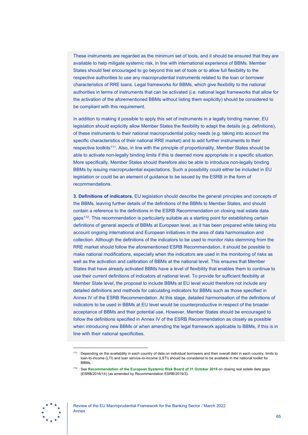These instruments are regarded as the minimum set of tools, and it should be ensured that they are available to help mitigate systemic risk, in line with international experience of BBMs. Member States should feel encouraged to go beyond this set of tools or to allow full flexibility to the respective authorities to use any macroprudential instruments related to the loan or borrower characteristics of RRE loans. Legal frameworks for BBMs, which give flexibility to the national authorities in terms of instruments that can be activated (i.e. national legal frameworks that allow for the activation of the aforementioned BBMs without listing them explicitly) should be considered to be compliant with this requirement.

In addition to making it possible to apply this set of instruments in a legally binding manner, EU legislation should explicitly allow Member States the flexibility to adapt the details (e.g. definitions), of these instruments to their national macroprudential policy needs (e.g. taking into account the specific characteristics of their national RRE market) and to add further instruments to their respective toolkits<sup>111</sup>. Also, in line with the principle of proportionality, Member States should be able to activate non-legally binding limits if this is deemed more appropriate in a specific situation. More specifically, Member States should therefore also be able to introduce non-legally binding BBMs by issuing macroprudential expectations. Such a possibility could either be included in EU legislation or could be an element of guidance to be issued by the ESRB in the form of recommendations.

**3. Definitions of indicators.** EU legislation should describe the general principles and concepts of the BBMs, leaving further details of the definitions of the BBMs to Member States, and should contain a reference to the definitions in the ESRB Recommendation on closing real estate data gaps[112.](#page-65-1) This recommendation is particularly suitable as a starting point for establishing certain definitions of general aspects of BBMs at European level, as it has been prepared while taking into account ongoing international and European initiatives in the area of data harmonisation and collection. Although the definitions of the indicators to be used to monitor risks stemming from the RRE market should follow the aforementioned ESRB Recommendation, it should be possible to make national modifications, especially when the indicators are used in the monitoring of risks as well as the activation and calibration of BBMs at the national level. This ensures that Member States that have already activated BBMs have a level of flexibility that enables them to continue to use their current definitions of indicators at national level. To provide for sufficient flexibility at Member State level, the proposal to include BBMs at EU level would therefore not include any detailed definitions and methods for calculating indicators for BBMs such as those specified in Annex IV of the ESRB Recommendation. At this stage, detailed harmonisation of the definitions of indicators to be used in BBMs at EU level would be counterproductive in respect of the broader acceptance of BBMs and their potential use. However, Member States should be encouraged to follow the definitions specified in Annex IV of the ESRB Recommendation as closely as possible when introducing new BBMs or when amending the legal framework applicable to BBMs, if this is in line with their national specificities.

<span id="page-65-1"></span><span id="page-65-0"></span>

<sup>111</sup> Depending on the availability in each country of data on individual borrowers and their overall debt in each country, limits to loan-to-income (LTI) and loan service-to-income (LSTI) should be considered to be available in the national toolkit for BBMs.

<sup>112</sup> See **[Recommendation of the European Systemic Risk Board of 31 October 2016](https://www.esrb.europa.eu/pub/pdf/recommendations/esrb.recommendation190819_ESRB_2019-3%7E6690e1fbd3.en.pdf)** on closing real estate data gaps [\(ESRB/2016/14\) \(as amended by Recommendation ESRB/2019/3\).](https://www.esrb.europa.eu/pub/pdf/recommendations/esrb.recommendation190819_ESRB_2019-3%7E6690e1fbd3.en.pdf)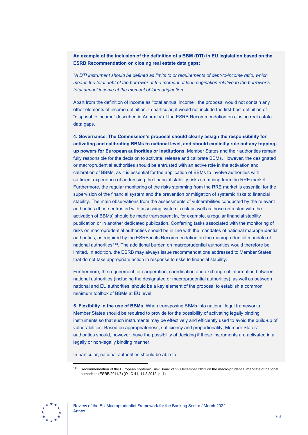**An example of the inclusion of the definition of a BBM (DTI) in EU legislation based on the ESRB Recommendation on closing real estate data gaps:** 

*"A DTI instrument should be defined as limits to or requirements of debt-to-income ratio, which means the total debt of the borrower at the moment of loan origination relative to the borrower's total annual income at the moment of loan origination."*

Apart from the definition of income as "total annual income", the proposal would not contain any other elements of income definition. In particular, it would not include the first-best definition of "disposable income" described in Annex IV of the ESRB Recommendation on closing real estate data gaps.

**4. Governance. The Commission's proposal should clearly assign the responsibility for activating and calibrating BBMs to national level, and should explicitly rule out any toppingup powers for European authorities or institutions.** Member States and their authorities remain fully responsible for the decision to activate, release and calibrate BBMs. However, the designated or macroprudential authorities should be entrusted with an active role in the activation and calibration of BBMs, as it is essential for the application of BBMs to involve authorities with sufficient experience of addressing the financial stability risks stemming from the RRE market. Furthermore, the regular monitoring of the risks stemming from the RRE market is essential for the supervision of the financial system and the prevention or mitigation of systemic risks to financial stability. The main observations from the assessments of vulnerabilities conducted by the relevant authorities (those entrusted with assessing systemic risk as well as those entrusted with the activation of BBMs) should be made transparent in, for example, a regular financial stability publication or in another dedicated publication. Conferring tasks associated with the monitoring of risks on macroprudential authorities should be in line with the mandates of national macroprudential authorities, as required by the ESRB in its Recommendation on the macroprudential mandate of national authorities<sup>113</sup>. The additional burden on macroprudential authorities would therefore be limited. In addition, the ESRB may always issue recommendations addressed to Member States that do not take appropriate action in response to risks to financial stability.

Furthermore, the requirement for cooperation, coordination and exchange of information between national authorities (including the designated or macroprudential authorities), as well as between national and EU authorities, should be a key element of the proposal to establish a common minimum toolbox of BBMs at EU level.

**5. Flexibility in the use of BBMs.** When transposing BBMs into national legal frameworks, Member States should be required to provide for the possibility of activating legally binding instruments so that such instruments may be effectively and efficiently used to avoid the build-up of vulnerabilities. Based on appropriateness, sufficiency and proportionality, Member States' authorities should, however, have the possibility of deciding if those instruments are activated in a legally or non-legally binding manner.

In particular, national authorities should be able to:

<span id="page-66-0"></span>

Recommendation of the European Systemic Risk Board of 22 December 2011 on the macro-prudential mandate of national authorities (ESRB/2011/3) (OJ C 41, 14.2.2012, p. 1).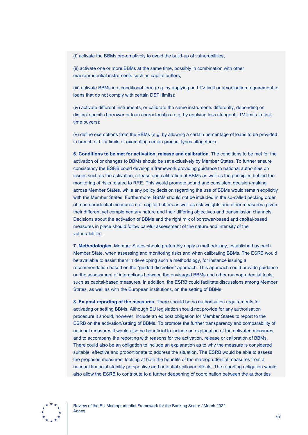(i) activate the BBMs pre-emptively to avoid the build-up of vulnerabilities;

(ii) activate one or more BBMs at the same time, possibly in combination with other macroprudential instruments such as capital buffers;

(iii) activate BBMs in a conditional form (e.g. by applying an LTV limit or amortisation requirement to loans that do not comply with certain DSTI limits);

(iv) activate different instruments, or calibrate the same instruments differently, depending on distinct specific borrower or loan characteristics (e.g. by applying less stringent LTV limits to firsttime buyers);

(v) define exemptions from the BBMs (e.g. by allowing a certain percentage of loans to be provided in breach of LTV limits or exempting certain product types altogether).

**6. Conditions to be met for activation, release and calibration.** The conditions to be met for the activation of or changes to BBMs should be set exclusively by Member States. To further ensure consistency the ESRB could develop a framework providing guidance to national authorities on issues such as the activation, release and calibration of BBMs as well as the principles behind the monitoring of risks related to RRE. This would promote sound and consistent decision-making across Member States, while any policy decision regarding the use of BBMs would remain explicitly with the Member States. Furthermore, BBMs should not be included in the so-called pecking order of macroprudential measures (i.e. capital buffers as well as risk weights and other measures) given their different yet complementary nature and their differing objectives and transmission channels. Decisions about the activation of BBMs and the right mix of borrower-based and capital-based measures in place should follow careful assessment of the nature and intensity of the vulnerabilities.

**7. Methodologies.** Member States should preferably apply a methodology, established by each Member State, when assessing and monitoring risks and when calibrating BBMs. The ESRB would be available to assist them in developing such a methodology, for instance issuing a recommendation based on the "guided discretion" approach. This approach could provide guidance on the assessment of interactions between the envisaged BBMs and other macroprudential tools, such as capital-based measures. In addition, the ESRB could facilitate discussions among Member States, as well as with the European institutions, on the setting of BBMs.

**8. Ex post reporting of the measures.** There should be no authorisation requirements for activating or setting BBMs. Although EU legislation should not provide for any authorisation procedure it should, however, include an ex post obligation for Member States to report to the ESRB on the activation/setting of BBMs. To promote the further transparency and comparability of national measures it would also be beneficial to include an explanation of the activated measures and to accompany the reporting with reasons for the activation, release or calibration of BBMs. There could also be an obligation to include an explanation as to why the measure is considered suitable, effective and proportionate to address the situation. The ESRB would be able to assess the proposed measures, looking at both the benefits of the macroprudential measures from a national financial stability perspective and potential spillover effects. The reporting obligation would also allow the ESRB to contribute to a further deepening of coordination between the authorities

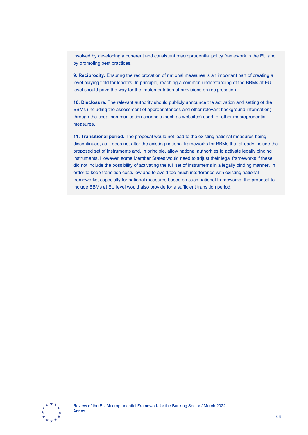involved by developing a coherent and consistent macroprudential policy framework in the EU and by promoting best practices.

**9. Reciprocity.** Ensuring the reciprocation of national measures is an important part of creating a level playing field for lenders. In principle, reaching a common understanding of the BBMs at EU level should pave the way for the implementation of provisions on reciprocation.

**10. Disclosure.** The relevant authority should publicly announce the activation and setting of the BBMs (including the assessment of appropriateness and other relevant background information) through the usual communication channels (such as websites) used for other macroprudential measures.

**11. Transitional period.** The proposal would not lead to the existing national measures being discontinued, as it does not alter the existing national frameworks for BBMs that already include the proposed set of instruments and, in principle, allow national authorities to activate legally binding instruments. However, some Member States would need to adjust their legal frameworks if these did not include the possibility of activating the full set of instruments in a legally binding manner. In order to keep transition costs low and to avoid too much interference with existing national frameworks, especially for national measures based on such national frameworks, the proposal to include BBMs at EU level would also provide for a sufficient transition period.